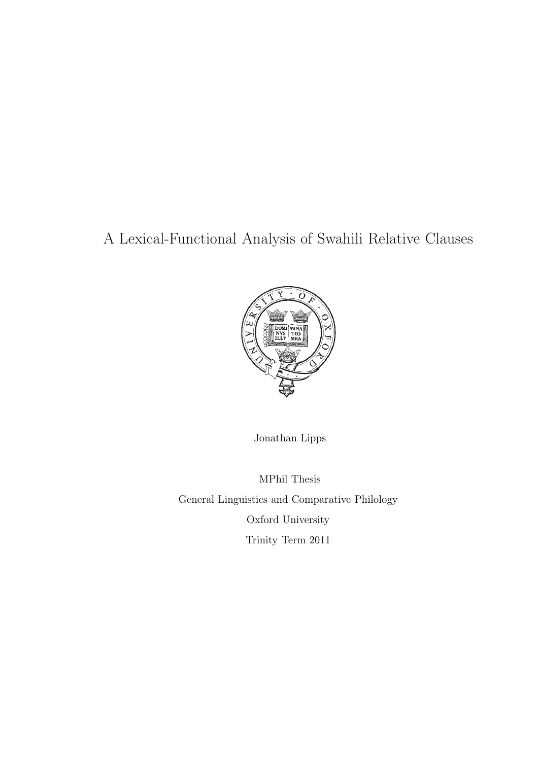# A Lexical-Functional Analysis of Swahili Relative Clauses



Jonathan Lipps

MPhil Thesis General Linguistics and Comparative Philology Oxford University Trinity Term 2011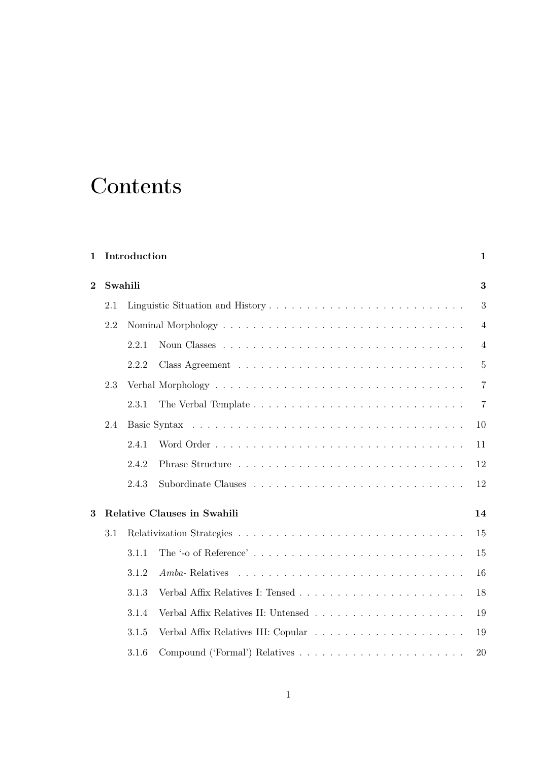# **Contents**

| $\mathbf 1$    |         | Introduction<br>$\mathbf{1}$ |                                  |                |  |  |  |  |
|----------------|---------|------------------------------|----------------------------------|----------------|--|--|--|--|
| $\overline{2}$ | Swahili |                              |                                  |                |  |  |  |  |
|                | 2.1     |                              | Linguistic Situation and History | 3              |  |  |  |  |
|                | 2.2     |                              |                                  | $\overline{4}$ |  |  |  |  |
|                |         | 2.2.1                        |                                  | $\overline{4}$ |  |  |  |  |
|                |         | 2.2.2                        |                                  | $\overline{5}$ |  |  |  |  |
|                | 2.3     |                              |                                  | $\overline{7}$ |  |  |  |  |
|                |         | 2.3.1                        |                                  | 7              |  |  |  |  |
|                | 2.4     |                              |                                  | 10             |  |  |  |  |
|                |         | 2.4.1                        |                                  | 11             |  |  |  |  |
|                |         | 2.4.2                        |                                  | 12             |  |  |  |  |
|                |         | 2.4.3                        |                                  | 12             |  |  |  |  |
| 3              |         |                              | Relative Clauses in Swahili      | 14             |  |  |  |  |
|                | 3.1     |                              |                                  | 15             |  |  |  |  |
|                |         | 3.1.1                        |                                  | 15             |  |  |  |  |
|                |         | 3.1.2                        | $Amba$ - Relatives               | 16             |  |  |  |  |
|                |         | 3.1.3                        |                                  | 18             |  |  |  |  |
|                |         | 3.1.4                        |                                  | 19             |  |  |  |  |
|                |         | 3.1.5                        |                                  | 19             |  |  |  |  |
|                |         | 3.1.6                        |                                  | 20             |  |  |  |  |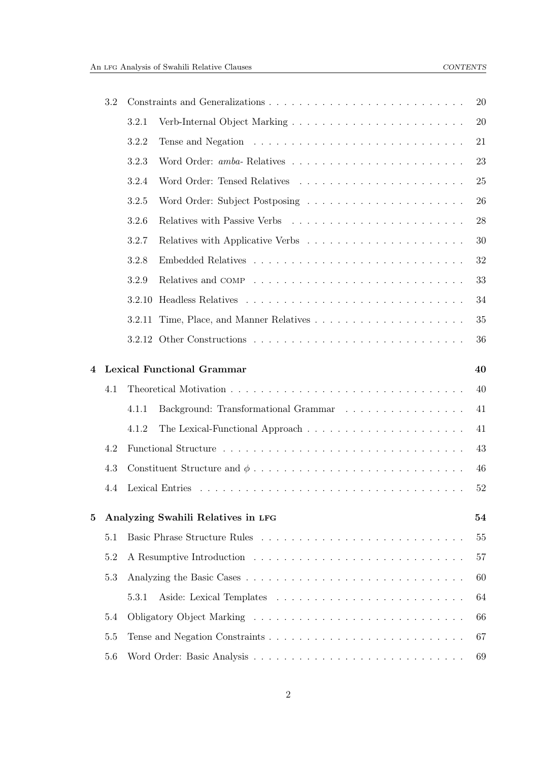| 3.2 |     |        |                                      | 20 |
|-----|-----|--------|--------------------------------------|----|
|     |     | 3.2.1  |                                      | 20 |
|     |     | 3.2.2  |                                      | 21 |
|     |     | 3.2.3  |                                      | 23 |
|     |     | 3.2.4  |                                      | 25 |
|     |     | 3.2.5  |                                      | 26 |
|     |     | 3.2.6  |                                      | 28 |
|     |     | 3.2.7  |                                      | 30 |
|     |     | 3.2.8  |                                      | 32 |
|     |     | 3.2.9  |                                      | 33 |
|     |     | 3.2.10 |                                      | 34 |
|     |     | 3.2.11 |                                      | 35 |
|     |     |        |                                      | 36 |
| 4   |     |        | <b>Lexical Functional Grammar</b>    | 40 |
|     | 4.1 |        |                                      | 40 |
|     |     | 4.1.1  | Background: Transformational Grammar | 41 |
|     |     | 4.1.2  |                                      | 41 |
|     | 4.2 |        |                                      | 43 |
|     | 4.3 |        |                                      | 46 |
|     | 4.4 |        |                                      | 52 |
| 5   |     |        | Analyzing Swahili Relatives in LFG   | 54 |
|     | 5.1 |        |                                      | 55 |
|     | 5.2 |        |                                      | 57 |
|     | 5.3 |        |                                      | 60 |
|     |     | 5.3.1  |                                      | 64 |
|     | 5.4 |        |                                      | 66 |
|     | 5.5 |        |                                      | 67 |
|     |     |        |                                      |    |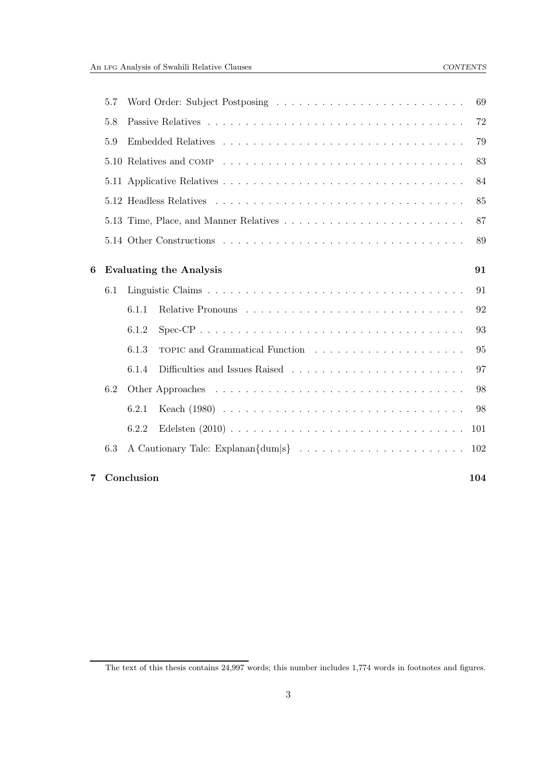|   | 5.7 | 69                                   |  |
|---|-----|--------------------------------------|--|
|   | 5.8 | 72                                   |  |
|   | 5.9 | 79                                   |  |
|   |     | 83                                   |  |
|   |     | 84                                   |  |
|   |     | 85                                   |  |
|   |     | 87                                   |  |
|   |     | 89                                   |  |
| 6 |     | <b>Evaluating the Analysis</b><br>91 |  |
|   | 6.1 | 91                                   |  |
|   |     | 6.1.1<br>92                          |  |
|   |     | 93<br>6.1.2                          |  |
|   |     | 6.1.3<br>95                          |  |
|   |     | 6.1.4<br>97                          |  |
|   | 6.2 | 98                                   |  |
|   |     | 98<br>6.2.1                          |  |
|   |     | 6.2.2<br>101                         |  |
|   | 6.3 | 102                                  |  |
| 7 |     | Conclusion<br>104                    |  |

The text of this thesis contains 24,997 words; this number includes 1,774 words in footnotes and figures.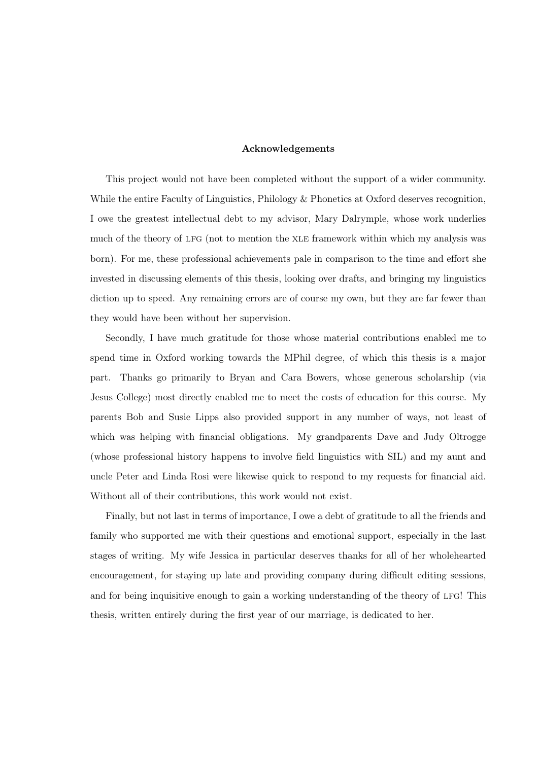#### Acknowledgements

This project would not have been completed without the support of a wider community. While the entire Faculty of Linguistics, Philology & Phonetics at Oxford deserves recognition, I owe the greatest intellectual debt to my advisor, Mary Dalrymple, whose work underlies much of the theory of lfg (not to mention the xle framework within which my analysis was born). For me, these professional achievements pale in comparison to the time and effort she invested in discussing elements of this thesis, looking over drafts, and bringing my linguistics diction up to speed. Any remaining errors are of course my own, but they are far fewer than they would have been without her supervision.

Secondly, I have much gratitude for those whose material contributions enabled me to spend time in Oxford working towards the MPhil degree, of which this thesis is a major part. Thanks go primarily to Bryan and Cara Bowers, whose generous scholarship (via Jesus College) most directly enabled me to meet the costs of education for this course. My parents Bob and Susie Lipps also provided support in any number of ways, not least of which was helping with financial obligations. My grandparents Dave and Judy Oltrogge (whose professional history happens to involve field linguistics with SIL) and my aunt and uncle Peter and Linda Rosi were likewise quick to respond to my requests for financial aid. Without all of their contributions, this work would not exist.

Finally, but not last in terms of importance, I owe a debt of gratitude to all the friends and family who supported me with their questions and emotional support, especially in the last stages of writing. My wife Jessica in particular deserves thanks for all of her wholehearted encouragement, for staying up late and providing company during difficult editing sessions, and for being inquisitive enough to gain a working understanding of the theory of LFG! This thesis, written entirely during the first year of our marriage, is dedicated to her.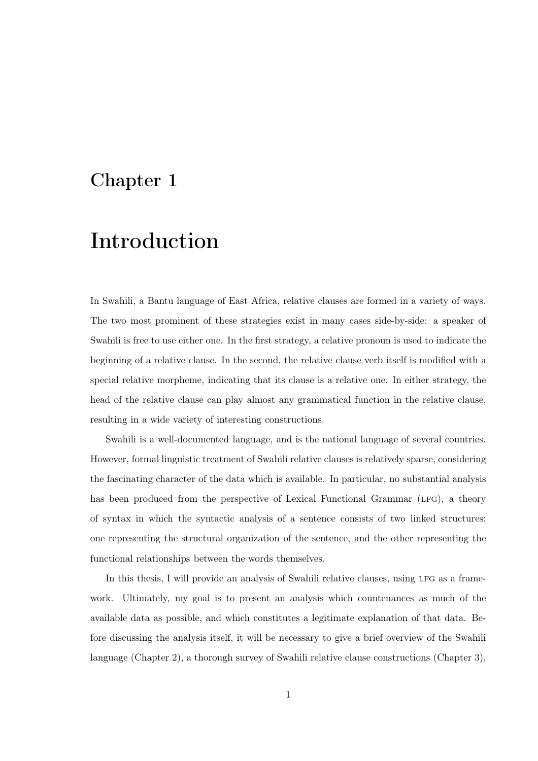# <span id="page-5-0"></span>Chapter 1

# Introduction

In Swahili, a Bantu language of East Africa, relative clauses are formed in a variety of ways. The two most prominent of these strategies exist in many cases side-by-side: a speaker of Swahili is free to use either one. In the first strategy, a relative pronoun is used to indicate the beginning of a relative clause. In the second, the relative clause verb itself is modified with a special relative morpheme, indicating that its clause is a relative one. In either strategy, the head of the relative clause can play almost any grammatical function in the relative clause, resulting in a wide variety of interesting constructions.

Swahili is a well-documented language, and is the national language of several countries. However, formal linguistic treatment of Swahili relative clauses is relatively sparse, considering the fascinating character of the data which is available. In particular, no substantial analysis has been produced from the perspective of Lexical Functional Grammar (LFG), a theory of syntax in which the syntactic analysis of a sentence consists of two linked structures: one representing the structural organization of the sentence, and the other representing the functional relationships between the words themselves.

In this thesis, I will provide an analysis of Swahili relative clauses, using LFG as a framework. Ultimately, my goal is to present an analysis which countenances as much of the available data as possible, and which constitutes a legitimate explanation of that data. Before discussing the analysis itself, it will be necessary to give a brief overview of the Swahili language (Chapter [2\)](#page-7-0), a thorough survey of Swahili relative clause constructions (Chapter [3\)](#page-18-0),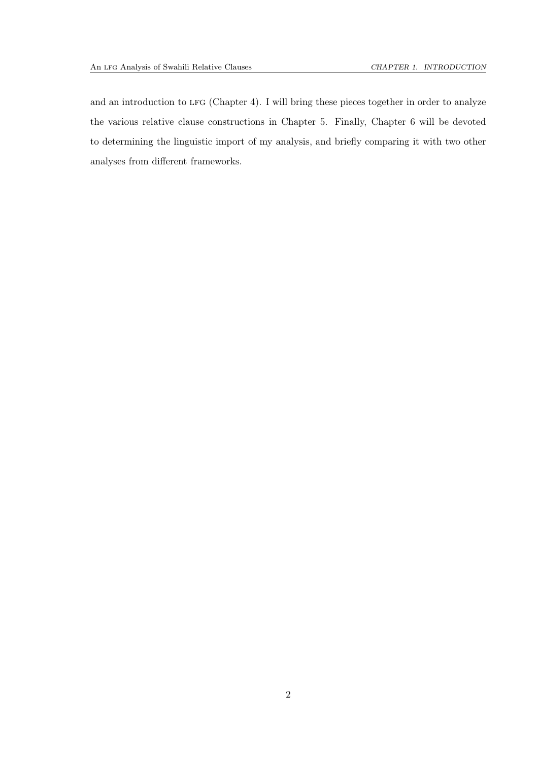and an introduction to LFG (Chapter [4\)](#page-44-0). I will bring these pieces together in order to analyze the various relative clause constructions in Chapter [5.](#page-58-0) Finally, Chapter [6](#page-95-0) will be devoted to determining the linguistic import of my analysis, and briefly comparing it with two other analyses from different frameworks.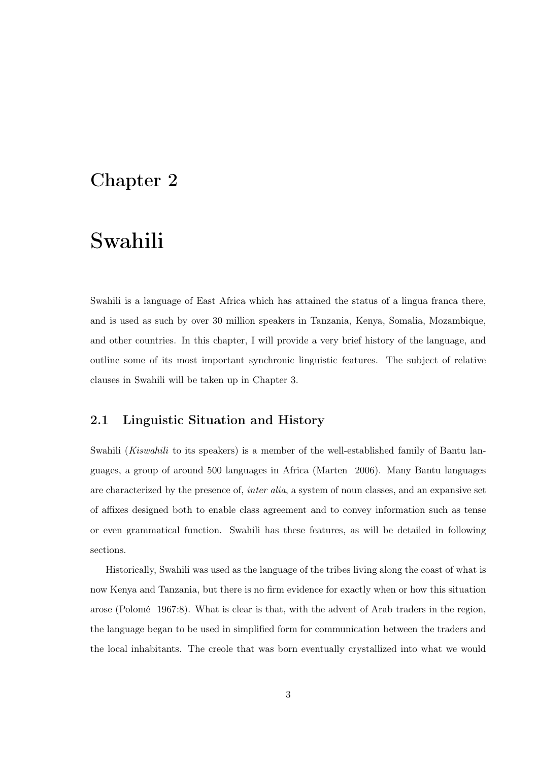# <span id="page-7-0"></span>Chapter 2

# Swahili

Swahili is a language of East Africa which has attained the status of a lingua franca there, and is used as such by over 30 million speakers in Tanzania, Kenya, Somalia, Mozambique, and other countries. In this chapter, I will provide a very brief history of the language, and outline some of its most important synchronic linguistic features. The subject of relative clauses in Swahili will be taken up in Chapter [3.](#page-18-0)

## <span id="page-7-1"></span>2.1 Linguistic Situation and History

Swahili (*Kiswahili* to its speakers) is a member of the well-established family of Bantu languages, a group of around 500 languages in Africa [\(Marten 2006](#page-111-0)). Many Bantu languages are characterized by the presence of, *inter alia*, a system of noun classes, and an expansive set of affixes designed both to enable class agreement and to convey information such as tense or even grammatical function. Swahili has these features, as will be detailed in following sections.

Historically, Swahili was used as the language of the tribes living along the coast of what is now Kenya and Tanzania, but there is no firm evidence for exactly when or how this situation arose [\(Polomé 1967](#page-112-0):8). What is clear is that, with the advent of Arab traders in the region, the language began to be used in simplified form for communication between the traders and the local inhabitants. The creole that was born eventually crystallized into what we would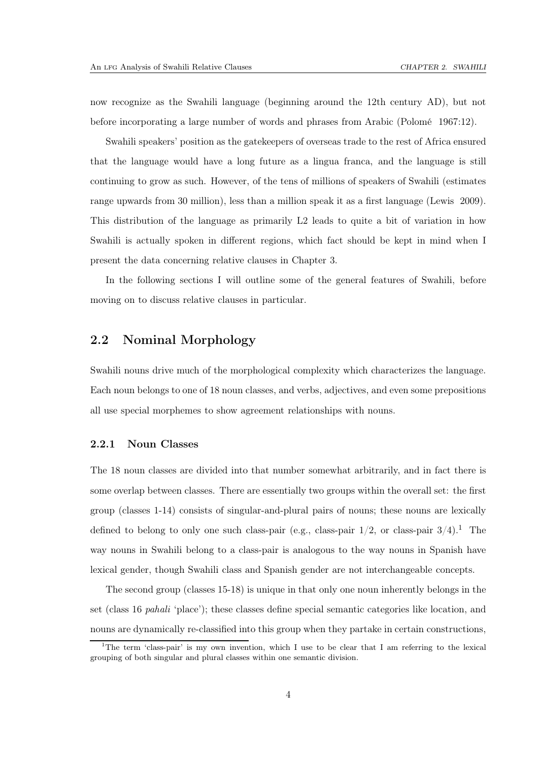now recognize as the Swahili language (beginning around the 12th century AD), but not before incorporating a large number of words and phrases from Arabic [\(Polomé 1967:](#page-112-0)12).

Swahili speakers' position as the gatekeepers of overseas trade to the rest of Africa ensured that the language would have a long future as a lingua franca, and the language is still continuing to grow as such. However, of the tens of millions of speakers of Swahili (estimates range upwards from 30 million), less than a million speak it as a first language [\(Lewis 2009](#page-111-1)). This distribution of the language as primarily L2 leads to quite a bit of variation in how Swahili is actually spoken in different regions, which fact should be kept in mind when I present the data concerning relative clauses in Chapter [3.](#page-18-0)

<span id="page-8-0"></span>In the following sections I will outline some of the general features of Swahili, before moving on to discuss relative clauses in particular.

### 2.2 Nominal Morphology

Swahili nouns drive much of the morphological complexity which characterizes the language. Each noun belongs to one of 18 noun classes, and verbs, adjectives, and even some prepositions all use special morphemes to show agreement relationships with nouns.

### <span id="page-8-1"></span>2.2.1 Noun Classes

The 18 noun classes are divided into that number somewhat arbitrarily, and in fact there is some overlap between classes. There are essentially two groups within the overall set: the first group (classes 1-14) consists of singular-and-plural pairs of nouns; these nouns are lexically defined to belong to only one such class-pair (e.g., class-pair  $1/2$  $1/2$ , or class-pair  $3/4$ ).<sup>1</sup> The way nouns in Swahili belong to a class-pair is analogous to the way nouns in Spanish have lexical gender, though Swahili class and Spanish gender are not interchangeable concepts.

The second group (classes 15-18) is unique in that only one noun inherently belongs in the set (class 16 *pahali* 'place'); these classes define special semantic categories like location, and nouns are dynamically re-classified into this group when they partake in certain constructions,

<span id="page-8-2"></span><sup>&</sup>lt;sup>1</sup>The term 'class-pair' is my own invention, which I use to be clear that I am referring to the lexical grouping of both singular and plural classes within one semantic division.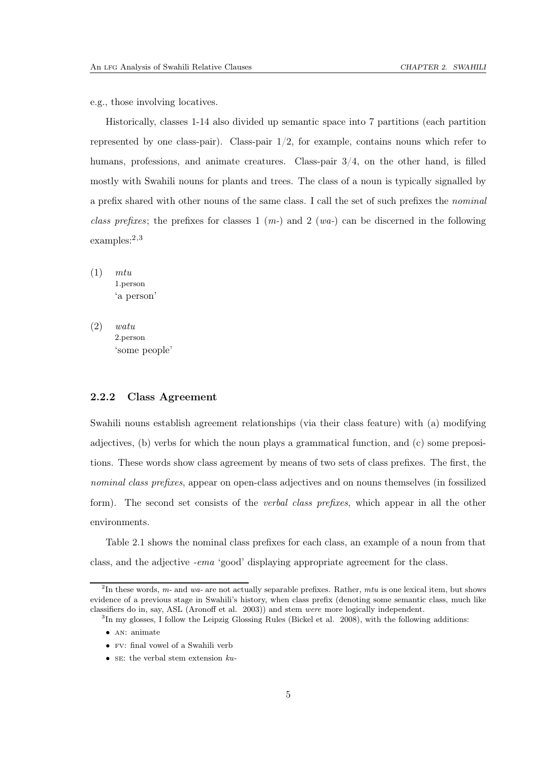e.g., those involving locatives.

Historically, classes 1-14 also divided up semantic space into 7 partitions (each partition represented by one class-pair). Class-pair  $1/2$ , for example, contains nouns which refer to humans, professions, and animate creatures. Class-pair  $3/4$ , on the other hand, is filled mostly with Swahili nouns for plants and trees. The class of a noun is typically signalled by a prefix shared with other nouns of the same class. I call the set of such prefixes the *nominal class prefixes*; the prefixes for classes 1 (*m-*) and 2 (*wa-*) can be discerned in the following examples:<sup>[2](#page-9-1),[3](#page-9-2)</sup>

(1) *mtu* 1.person 'a person'

(2) *watu* 2.person 'some people'

### <span id="page-9-0"></span>2.2.2 Class Agreement

Swahili nouns establish agreement relationships (via their class feature) with (a) modifying adjectives, (b) verbs for which the noun plays a grammatical function, and (c) some prepositions. These words show class agreement by means of two sets of class prefixes. The first, the *nominal class prefixes*, appear on open-class adjectives and on nouns themselves (in fossilized form). The second set consists of the *verbal class prefixes*, which appear in all the other environments.

Table [2.1](#page-10-0) shows the nominal class prefixes for each class, an example of a noun from that class, and the adjective *-ema* 'good' displaying appropriate agreement for the class.

<span id="page-9-1"></span><sup>&</sup>lt;sup>2</sup>In these words, m- and wa- are not actually separable prefixes. Rather, mtu is one lexical item, but shows evidence of a previous stage in Swahili's history, when class prefix (denoting some semantic class, much like classifiers do in, say, ASL [\(Aronoff et al. 2003](#page-110-0))) and stem were more logically independent.

<sup>&</sup>lt;sup>3</sup>In my glosses, I follow the Leipzig Glossing Rules [\(Bickel et](#page-110-1) al. [2008](#page-110-1)), with the following additions:

<span id="page-9-2"></span><sup>•</sup> AN: animate

<sup>•</sup> fv: final vowel of a Swahili verb

<sup>•</sup> se: the verbal stem extension  $ku$ -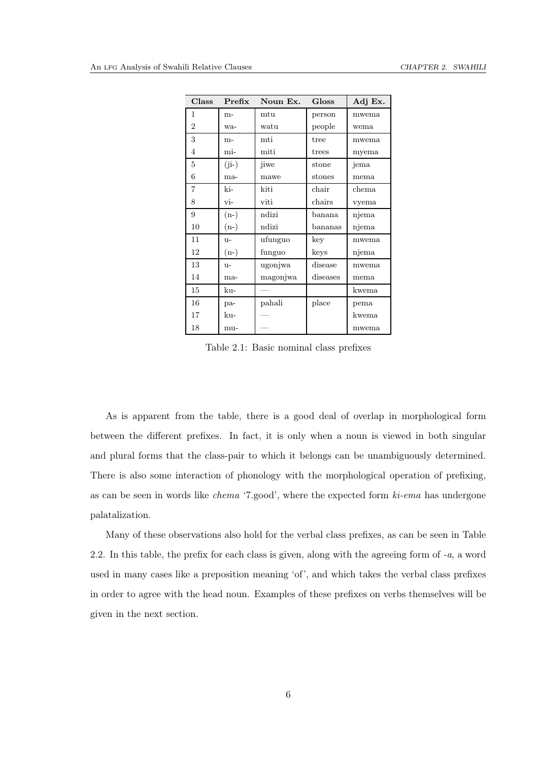| Class          | Prefix  | Noun Ex. | <b>Gloss</b>   | Adj Ex. |
|----------------|---------|----------|----------------|---------|
| 1              | $m-$    | mtu      | person         | mwema   |
| $\overline{2}$ | wa-     | watu     | people         | wema    |
| 3              | $m-$    | mti      | tree           | mwema   |
| 4              | mi-     | miti     | trees          | myema   |
| $\overline{5}$ | $(ji-)$ | jiwe     | stone          | jema    |
| 6              | ma-     | mawe     | stones         | mema    |
| $\overline{7}$ | ki-     | kiti     | $_{\rm chair}$ | chema   |
| 8              | vi-     | viti     | chairs         | vyema   |
| 9              | $(n-)$  | ndizi    | banana         | njema   |
| 10             | $(n-)$  | ndizi    | bananas        | njema   |
| 11             | $u-$    | ufunguo  | key            | mwema   |
| 12             | $(n-)$  | funguo   | keys           | njema   |
| 13             | $11 -$  | ugonjwa  | disease        | mwema   |
| 14             | ma-     | magonjwa | diseases       | mema    |
| 15             | ku-     |          |                | kwema   |
| 16             | pa-     | pahali   | place          | pema    |
| 17             | ku-     |          |                | kwema   |
| 18             | mu-     |          |                | mwema   |

<span id="page-10-0"></span>Table 2.1: Basic nominal class prefixes

As is apparent from the table, there is a good deal of overlap in morphological form between the different prefixes. In fact, it is only when a noun is viewed in both singular and plural forms that the class-pair to which it belongs can be unambiguously determined. There is also some interaction of phonology with the morphological operation of prefixing, as can be seen in words like *chema* '7.good', where the expected form *ki-ema* has undergone palatalization.

Many of these observations also hold for the verbal class prefixes, as can be seen in Table [2.2.](#page-11-2) In this table, the prefix for each class is given, along with the agreeing form of *-a*, a word used in many cases like a preposition meaning 'of', and which takes the verbal class prefixes in order to agree with the head noun. Examples of these prefixes on verbs themselves will be given in the next section.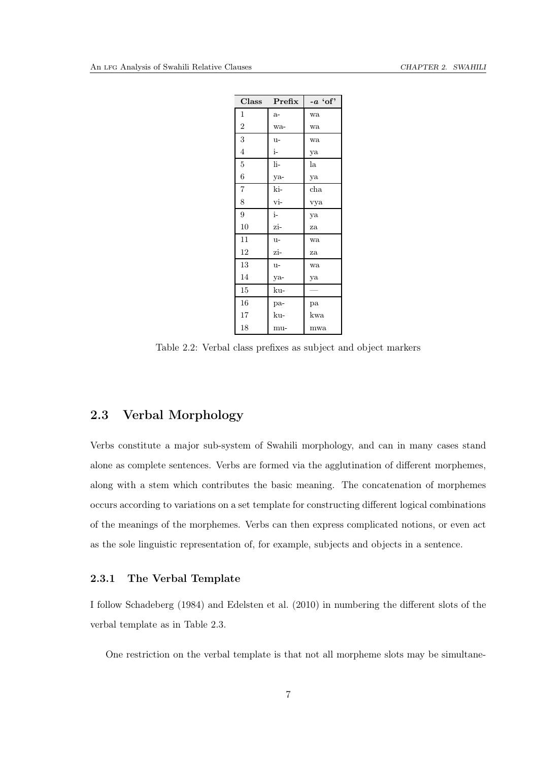| Class          | Prefix | $-a$ 'of'    |
|----------------|--------|--------------|
| 1              | $a-$   | wa           |
| $\overline{2}$ | wa-    | wa           |
| 3              | $u -$  | wa           |
| 4              | i-     | ya           |
| 5              | li-    | la           |
| 6              | ya-    | ya           |
| $\overline{7}$ | ki-    | $_{\rm cha}$ |
| 8              | vi-    | vya          |
| 9              | $i-$   | ya           |
| 10             | zi-    | za           |
| 11             | $u -$  | wa           |
| 12             | zi-    | za           |
| 13             | u-     | wa           |
| 14             | ya-    | ya           |
| 15             | ku-    |              |
| 16             | pa-    | pa           |
| 17             | ku-    | kwa          |
| 18             | mu-    | mwa          |

<span id="page-11-2"></span>Table 2.2: Verbal class prefixes as subject and object markers

## <span id="page-11-0"></span>2.3 Verbal Morphology

Verbs constitute a major sub-system of Swahili morphology, and can in many cases stand alone as complete sentences. Verbs are formed via the agglutination of different morphemes, along with a stem which contributes the basic meaning. The concatenation of morphemes occurs according to variations on a set template for constructing different logical combinations of the meanings of the morphemes. Verbs can then express complicated notions, or even act as the sole linguistic representation of, for example, subjects and objects in a sentence.

### <span id="page-11-1"></span>2.3.1 The Verbal Template

I follow [Schadeberg \(1984](#page-112-1)) and [Edelsten et al. \(2010](#page-111-2)) in numbering the different slots of the verbal template as in Table [2.3.](#page-12-0)

One restriction on the verbal template is that not all morpheme slots may be simultane-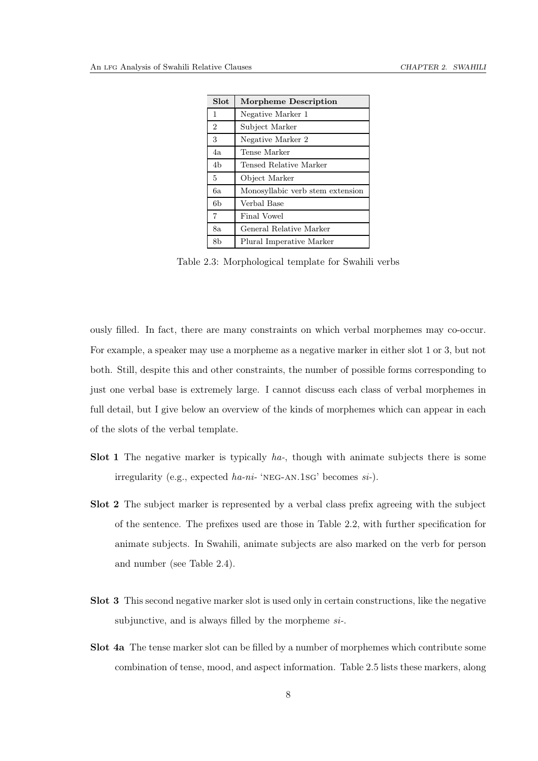| Slot           | Morpheme Description             |
|----------------|----------------------------------|
| 1              | Negative Marker 1                |
| $\overline{2}$ | Subject Marker                   |
| 3              | Negative Marker 2                |
| 4а             | Tense Marker                     |
| 4b             | Tensed Relative Marker           |
| 5              | Object Marker                    |
| 6a             | Monosyllabic verb stem extension |
| 6b             | Verbal Base                      |
| 7              | Final Vowel                      |
| 8a             | General Relative Marker          |
| 8b             | Plural Imperative Marker         |

<span id="page-12-0"></span>Table 2.3: Morphological template for Swahili verbs

ously filled. In fact, there are many constraints on which verbal morphemes may co-occur. For example, a speaker may use a morpheme as a negative marker in either slot 1 or 3, but not both. Still, despite this and other constraints, the number of possible forms corresponding to just one verbal base is extremely large. I cannot discuss each class of verbal morphemes in full detail, but I give below an overview of the kinds of morphemes which can appear in each of the slots of the verbal template.

- Slot 1 The negative marker is typically *ha-*, though with animate subjects there is some irregularity (e.g., expected *ha-ni-* 'neg-an.1sg' becomes *si-*).
- Slot 2 The subject marker is represented by a verbal class prefix agreeing with the subject of the sentence. The prefixes used are those in Table [2.2,](#page-11-2) with further specification for animate subjects. In Swahili, animate subjects are also marked on the verb for person and number (see Table [2.4\)](#page-13-0).
- Slot 3 This second negative marker slot is used only in certain constructions, like the negative subjunctive, and is always filled by the morpheme *si-*.
- Slot 4a The tense marker slot can be filled by a number of morphemes which contribute some combination of tense, mood, and aspect information. Table [2.5](#page-13-1) lists these markers, along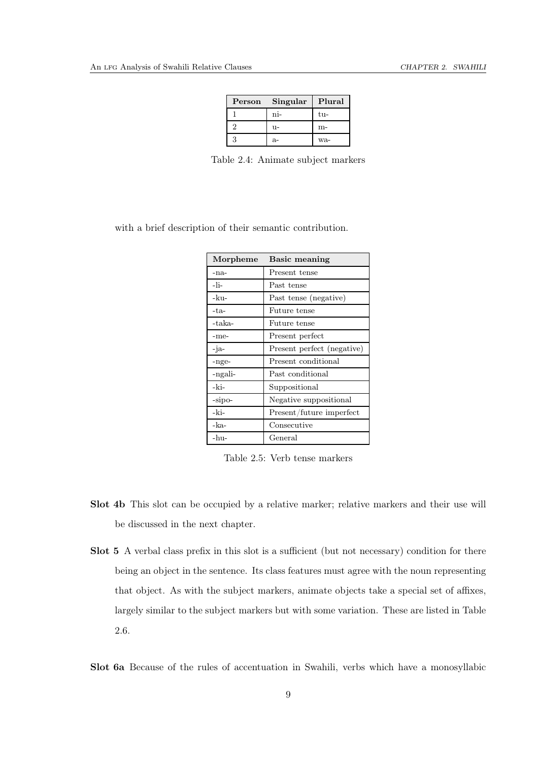| Person | Singular | Plural |
|--------|----------|--------|
|        | ni-      | tu-    |
|        | $11-$    | m-     |
|        | а-       | wa-    |

<span id="page-13-0"></span>Table 2.4: Animate subject markers

with a brief description of their semantic contribution.

| Morpheme | <b>Basic meaning</b>       |
|----------|----------------------------|
| -na-     | Present tense              |
| -li-     | Past tense                 |
| -ku-     | Past tense (negative)      |
| -ta-     | Future tense               |
| -taka-   | Future tense               |
| -me-     | Present perfect            |
| -ja-     | Present perfect (negative) |
| -nge-    | Present conditional        |
| -ngali-  | Past conditional           |
| -ki-     | Suppositional              |
| -sipo-   | Negative suppositional     |
| -ki-     | Present/future imperfect   |
| -ka-     | Consecutive                |
| $-hu-$   | General                    |

<span id="page-13-1"></span>Table 2.5: Verb tense markers

- Slot 4b This slot can be occupied by a relative marker; relative markers and their use will be discussed in the next chapter.
- Slot 5 A verbal class prefix in this slot is a sufficient (but not necessary) condition for there being an object in the sentence. Its class features must agree with the noun representing that object. As with the subject markers, animate objects take a special set of affixes, largely similar to the subject markers but with some variation. These are listed in Table [2.6.](#page-14-1)

Slot 6a Because of the rules of accentuation in Swahili, verbs which have a monosyllabic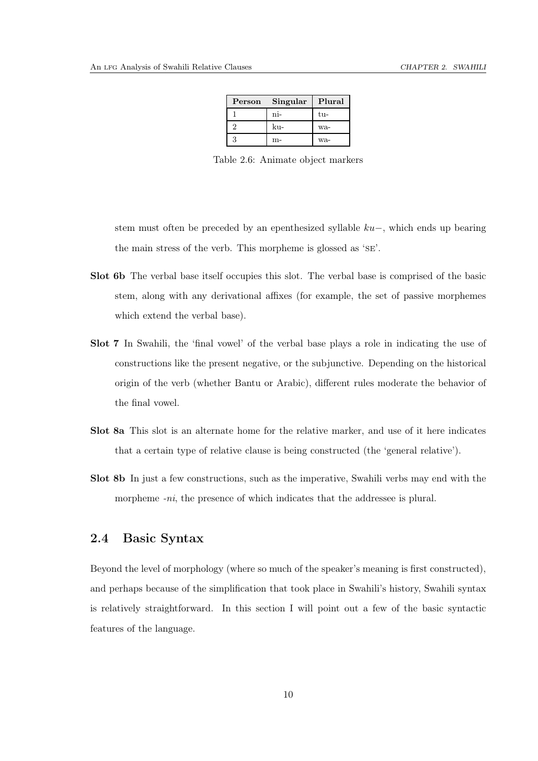| Person | Singular | Plural |
|--------|----------|--------|
|        | ni-      | tu-    |
|        | ku-      | wa-    |
|        | m-       | wa-    |

<span id="page-14-1"></span>Table 2.6: Animate object markers

stem must often be preceded by an epenthesized syllable ku−, which ends up bearing the main stress of the verb. This morpheme is glossed as 'se'.

- Slot 6b The verbal base itself occupies this slot. The verbal base is comprised of the basic stem, along with any derivational affixes (for example, the set of passive morphemes which extend the verbal base).
- Slot 7 In Swahili, the 'final vowel' of the verbal base plays a role in indicating the use of constructions like the present negative, or the subjunctive. Depending on the historical origin of the verb (whether Bantu or Arabic), different rules moderate the behavior of the final vowel.
- Slot 8a This slot is an alternate home for the relative marker, and use of it here indicates that a certain type of relative clause is being constructed (the 'general relative').
- <span id="page-14-0"></span>Slot 8b In just a few constructions, such as the imperative, Swahili verbs may end with the morpheme *-ni*, the presence of which indicates that the addressee is plural.

## 2.4 Basic Syntax

Beyond the level of morphology (where so much of the speaker's meaning is first constructed), and perhaps because of the simplification that took place in Swahili's history, Swahili syntax is relatively straightforward. In this section I will point out a few of the basic syntactic features of the language.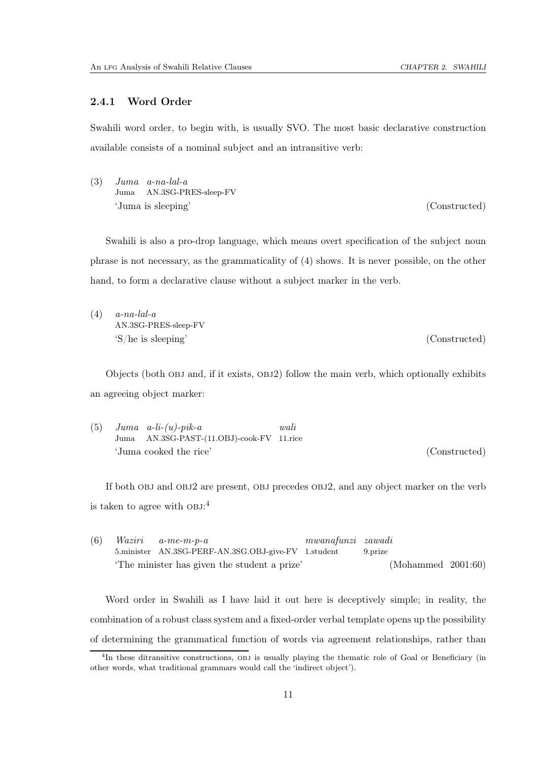### <span id="page-15-0"></span>2.4.1 Word Order

Swahili word order, to begin with, is usually SVO. The most basic declarative construction available consists of a nominal subject and an intransitive verb:

(3) *Juma a-na-lal-a* Juma AN.3SG-PRES-sleep-FV 'Juma is sleeping' (Constructed)

Swahili is also a pro-drop language, which means overt specification of the subject noun phrase is not necessary, as the grammaticality of [\(4\)](#page-15-1) shows. It is never possible, on the other hand, to form a declarative clause without a subject marker in the verb.

<span id="page-15-1"></span>(4) *a-na-lal-a* AN.3SG-PRES-sleep-FV 'S/he is sleeping' (Constructed)

Objects (both OBJ and, if it exists, OBJ2) follow the main verb, which optionally exhibits an agreeing object marker:

(5) *Juma a-li-(u)-pik-a* Juma AN.3SG-PAST-(11.OBJ)-cook-FV 11.rice *wali* 'Juma cooked the rice' (Constructed)

If both OBJ and OBJ2 are present, OBJ precedes OBJ2, and any object marker on the verb is taken to agree with  $OBJ:$ <sup>[4](#page-15-2)</sup>

| (6) |                                             | $Waziri \quad a-me-m-p-a$                           | mwanafunzi zawadi |         |                    |  |
|-----|---------------------------------------------|-----------------------------------------------------|-------------------|---------|--------------------|--|
|     |                                             | 5.minister AN.3SG-PERF-AN.3SG.OBJ-give-FV 1.student |                   | 9.prize |                    |  |
|     | The minister has given the student a prize' |                                                     |                   |         | (Mohammed 2001:60) |  |

Word order in Swahili as I have laid it out here is deceptively simple; in reality, the combination of a robust class system and a fixed-order verbal template opens up the possibility of determining the grammatical function of words via agreement relationships, rather than

<span id="page-15-2"></span><sup>&</sup>lt;sup>4</sup>In these ditransitive constructions, OBJ is usually playing the thematic role of Goal or Beneficiary (in other words, what traditional grammars would call the 'indirect object').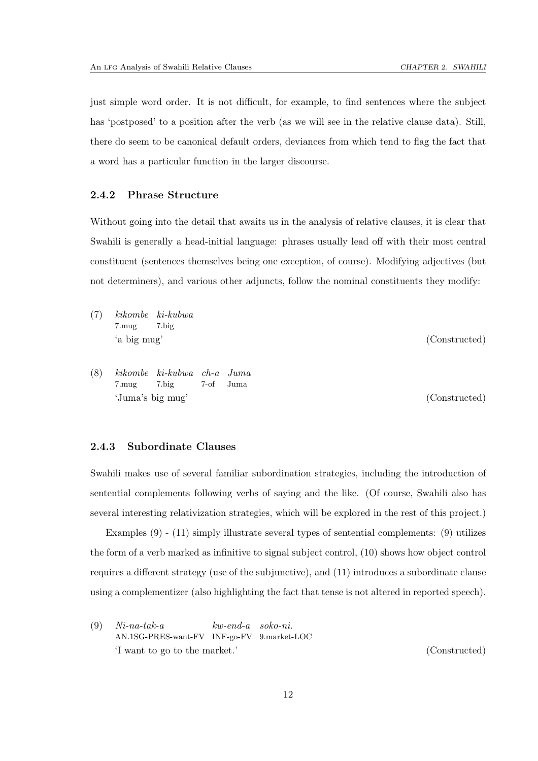just simple word order. It is not difficult, for example, to find sentences where the subject has 'postposed' to a position after the verb (as we will see in the relative clause data). Still, there do seem to be canonical default orders, deviances from which tend to flag the fact that a word has a particular function in the larger discourse.

### <span id="page-16-0"></span>2.4.2 Phrase Structure

Without going into the detail that awaits us in the analysis of relative clauses, it is clear that Swahili is generally a head-initial language: phrases usually lead off with their most central constituent (sentences themselves being one exception, of course). Modifying adjectives (but not determiners), and various other adjuncts, follow the nominal constituents they modify:

- (7) *kikombe ki-kubwa* 7.mug 7.big 'a big mug' (Constructed)
- (8) *kikombe ki-kubwa ch-a Juma* 7.mug 7.big 7-of Juma 'Juma's big mug' (Constructed)

### <span id="page-16-1"></span>2.4.3 Subordinate Clauses

Swahili makes use of several familiar subordination strategies, including the introduction of sentential complements following verbs of saying and the like. (Of course, Swahili also has several interesting relativization strategies, which will be explored in the rest of this project.)

Examples [\(9\)](#page-16-2) - [\(11\)](#page-17-0) simply illustrate several types of sentential complements: [\(9\)](#page-16-2) utilizes the form of a verb marked as infinitive to signal subject control, [\(10\)](#page-17-1) shows how object control requires a different strategy (use of the subjunctive), and [\(11\)](#page-17-0) introduces a subordinate clause using a complementizer (also highlighting the fact that tense is not altered in reported speech).

<span id="page-16-2"></span>(9) *Ni-na-tak-a* AN.1SG-PRES-want-FV INF-go-FV *kw-end-a soko-ni.* 9.market-LOC 'I want to go to the market.' (Constructed)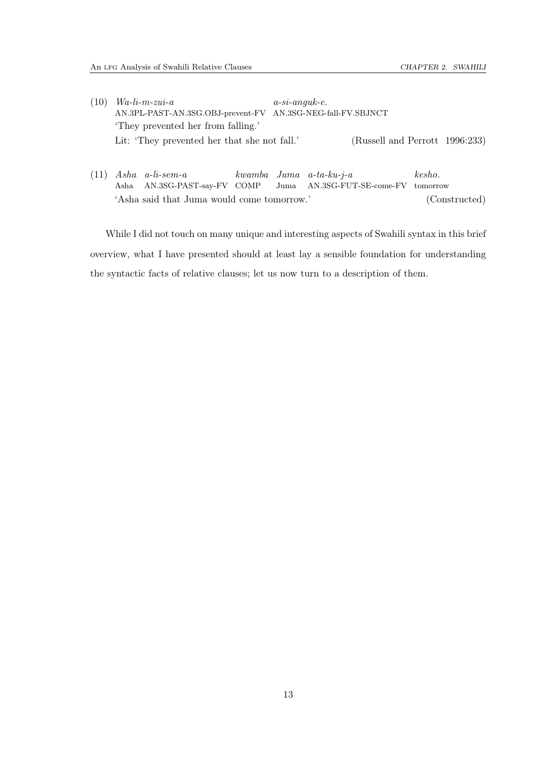- <span id="page-17-1"></span>(10) *Wa-li-m-zui-a* AN.3PL-PAST-AN.3SG.OBJ-prevent-FV AN.3SG-NEG-fall-FV.SBJNCT *a-si-anguk-e.* 'They prevented her from falling.' Lit: 'They prevented her that she not fall.' [\(Russell and Perrott 1996](#page-112-3):233)
- <span id="page-17-0"></span>(11) *Asha a-li-sem-a* Asha AN.3SG-PAST-say-FV COMP *kwamba Juma a-ta-ku-j-a* Juma AN.3SG-FUT-SE-come-FV tomorrow *kesho.* 'Asha said that Juma would come tomorrow.' (Constructed)

While I did not touch on many unique and interesting aspects of Swahili syntax in this brief overview, what I have presented should at least lay a sensible foundation for understanding the syntactic facts of relative clauses; let us now turn to a description of them.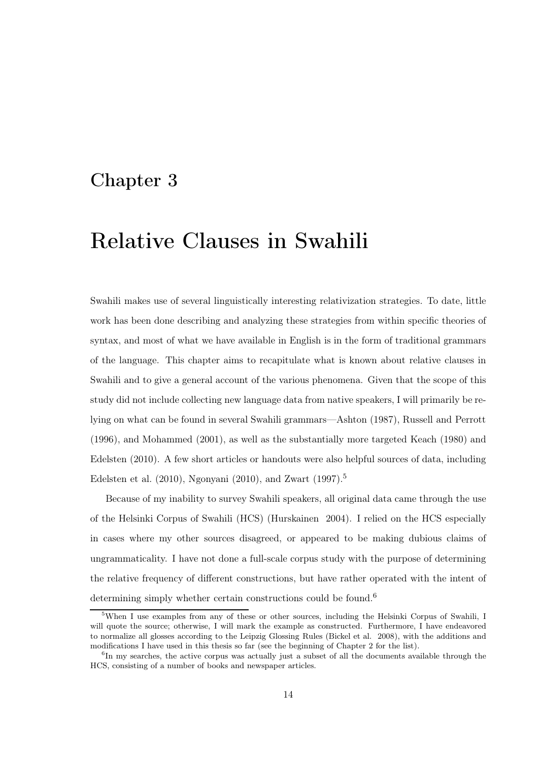# <span id="page-18-0"></span>Chapter 3

# Relative Clauses in Swahili

Swahili makes use of several linguistically interesting relativization strategies. To date, little work has been done describing and analyzing these strategies from within specific theories of syntax, and most of what we have available in English is in the form of traditional grammars of the language. This chapter aims to recapitulate what is known about relative clauses in Swahili and to give a general account of the various phenomena. Given that the scope of this study did not include collecting new language data from native speakers, I will primarily be relying on what can be found in several Swahili grammars[—Ashton \(1987\)](#page-110-2), [Russell and Perrott](#page-112-3) [\(1996\)](#page-112-3), and [Mohammed \(2001\)](#page-112-2), as well as the substantially more targeted [Keach \(1980](#page-111-3)) and [Edelsten \(2010](#page-111-4)). A few short articles or handouts were also helpful sources of data, including Edelsten et al.  $(2010)$ , Ngonyani  $(2010)$ , and Zwart  $(1997).<sup>5</sup>$  $(1997).<sup>5</sup>$  $(1997).<sup>5</sup>$ 

Because of my inability to survey Swahili speakers, all original data came through the use of the Helsinki Corpus of Swahili (HCS) [\(Hurskainen 2004](#page-111-5)). I relied on the HCS especially in cases where my other sources disagreed, or appeared to be making dubious claims of ungrammaticality. I have not done a full-scale corpus study with the purpose of determining the relative frequency of different constructions, but have rather operated with the intent of determining simply whether certain constructions could be found.<sup>[6](#page-18-2)</sup>

<span id="page-18-1"></span><sup>&</sup>lt;sup>5</sup>When I use examples from any of these or other sources, including the Helsinki Corpus of Swahili, I will quote the source; otherwise, I will mark the example as constructed. Furthermore, I have endeavored to normalize all glosses according to the Leipzig Glossing Rules [\(Bickel et al. 2008](#page-110-1)), with the additions and modifications I have used in this thesis so far (see the beginning of Chapter [2](#page-7-0) for the list).

<span id="page-18-2"></span><sup>&</sup>lt;sup>6</sup>In my searches, the active corpus was actually just a subset of all the documents available through the HCS, consisting of a number of books and newspaper articles.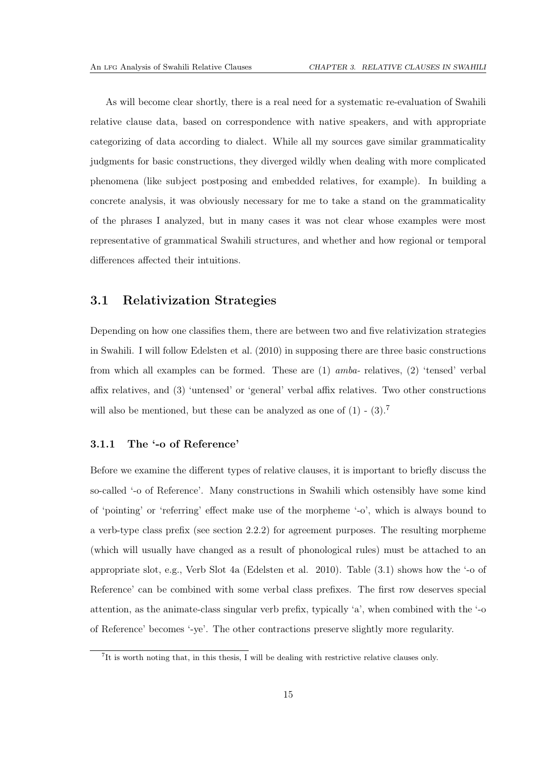As will become clear shortly, there is a real need for a systematic re-evaluation of Swahili relative clause data, based on correspondence with native speakers, and with appropriate categorizing of data according to dialect. While all my sources gave similar grammaticality judgments for basic constructions, they diverged wildly when dealing with more complicated phenomena (like subject postposing and embedded relatives, for example). In building a concrete analysis, it was obviously necessary for me to take a stand on the grammaticality of the phrases I analyzed, but in many cases it was not clear whose examples were most representative of grammatical Swahili structures, and whether and how regional or temporal differences affected their intuitions.

### <span id="page-19-0"></span>3.1 Relativization Strategies

Depending on how one classifies them, there are between two and five relativization strategies in Swahili. I will follow [Edelsten et al. \(2010\)](#page-111-2) in supposing there are three basic constructions from which all examples can be formed. These are (1) *amba-* relatives, (2) 'tensed' verbal affix relatives, and (3) 'untensed' or 'general' verbal affix relatives. Two other constructions will also be mentioned, but these can be analyzed as one of  $(1)$  -  $(3)$ .<sup>[7](#page-19-2)</sup>

### <span id="page-19-1"></span>3.1.1 The '-o of Reference'

Before we examine the different types of relative clauses, it is important to briefly discuss the so-called '-o of Reference'. Many constructions in Swahili which ostensibly have some kind of 'pointing' or 'referring' effect make use of the morpheme '-o', which is always bound to a verb-type class prefix (see section [2.2.2\)](#page-9-0) for agreement purposes. The resulting morpheme (which will usually have changed as a result of phonological rules) must be attached to an appropriate slot, e.g., Verb Slot 4a [\(Edelsten et al. 2010\)](#page-111-2). Table [\(3.1\)](#page-20-1) shows how the '-o of Reference' can be combined with some verbal class prefixes. The first row deserves special attention, as the animate-class singular verb prefix, typically 'a', when combined with the '-o of Reference' becomes '-ye'. The other contractions preserve slightly more regularity.

<span id="page-19-2"></span><sup>&</sup>lt;sup>7</sup>It is worth noting that, in this thesis, I will be dealing with restrictive relative clauses only.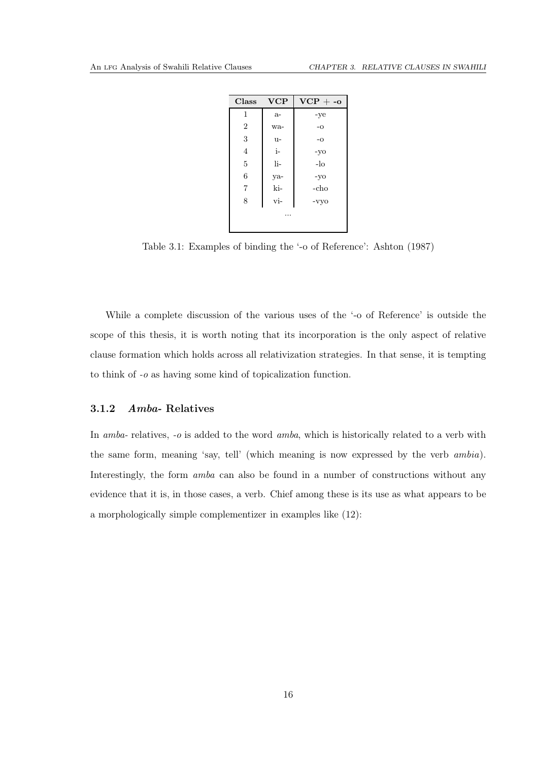| Class          | <b>VCP</b> | $VCP + -\alpha$ |  |  |
|----------------|------------|-----------------|--|--|
| 1              | $a-$       | -ye             |  |  |
| $\overline{2}$ | wa-        | $-0$            |  |  |
| 3              | u-         | $-\mathbf{O}$   |  |  |
| $\overline{4}$ | i-         | -yo             |  |  |
| 5              | li-        | $-lo$           |  |  |
| 6              | ya-        | $-yo$           |  |  |
| $\overline{7}$ | ki-        | -cho            |  |  |
| 8              | vi-        | -vyo            |  |  |
|                |            |                 |  |  |

<span id="page-20-1"></span>Table 3.1: Examples of binding the '-o of Reference': [Ashton](#page-110-2) [\(1987](#page-110-2))

While a complete discussion of the various uses of the '-o of Reference' is outside the scope of this thesis, it is worth noting that its incorporation is the only aspect of relative clause formation which holds across all relativization strategies. In that sense, it is tempting to think of *-o* as having some kind of topicalization function.

### <span id="page-20-0"></span>3.1.2 Amba- Relatives

In *amba-* relatives, *-o* is added to the word *amba*, which is historically related to a verb with the same form, meaning 'say, tell' (which meaning is now expressed by the verb *ambia*). Interestingly, the form *amba* can also be found in a number of constructions without any evidence that it is, in those cases, a verb. Chief among these is its use as what appears to be a morphologically simple complementizer in examples like [\(12\)](#page-21-0):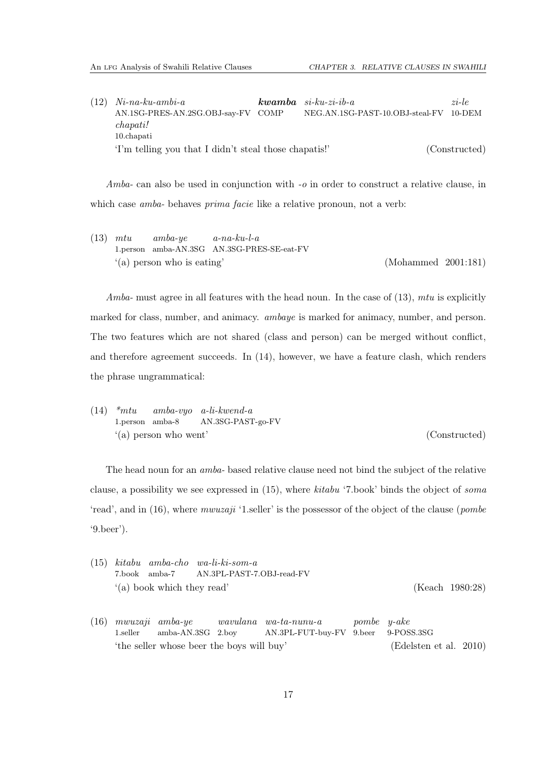<span id="page-21-0"></span>

| $(12)$ Ni-na-ku-ambi-a                                | $kwamba$ si-ku-zi-ib-a                 | $zi$ -le      |
|-------------------------------------------------------|----------------------------------------|---------------|
| AN.1SG-PRES-AN.2SG.OBJ-say-FV COMP                    | NEG.AN.1SG-PAST-10.OBJ-steal-FV 10-DEM |               |
| chapati!                                              |                                        |               |
| $10$ .chapati                                         |                                        |               |
| 'I'm telling you that I didn't steal those chapatis!' |                                        | (Constructed) |

*Amba-* can also be used in conjunction with *-o* in order to construct a relative clause, in which case *amba-* behaves *prima facie* like a relative pronoun, not a verb:

<span id="page-21-1"></span>(13) *mtu* 1.person amba-AN.3SG AN.3SG-PRES-SE-eat-FV *amba-ye a-na-ku-l-a* '(a) person who is eating' [\(Mohammed 2001](#page-112-2):181)

*Amba-* must agree in all features with the head noun. In the case of [\(13\)](#page-21-1), *mtu* is explicitly marked for class, number, and animacy. *ambaye* is marked for animacy, number, and person. The two features which are not shared (class and person) can be merged without conflict, and therefore agreement succeeds. In [\(14\)](#page-21-2), however, we have a feature clash, which renders the phrase ungrammatical:

<span id="page-21-2"></span>(14) *\*mtu* 1.person amba-8 *amba-vyo a-li-kwend-a* AN.3SG-PAST-go-FV '(a) person who went' (Constructed)

The head noun for an *amba-* based relative clause need not bind the subject of the relative clause, a possibility we see expressed in [\(15\)](#page-21-3), where *kitabu* '7.book' binds the object of *soma* 'read', and in [\(16\)](#page-21-4), where *mwuzaji* '1.seller' is the possessor of the object of the clause (*pombe* '9.beer').

<span id="page-21-3"></span>

|  |                              | $(15)$ kitabu amba-cho wa-li-ki-som-a   |                 |
|--|------------------------------|-----------------------------------------|-----------------|
|  |                              | 7.book amba-7 AN.3PL-PAST-7.0BJ-read-FV |                 |
|  | $'(a)$ book which they read' |                                         | (Keach 1980:28) |

<span id="page-21-4"></span>(16) *mwuzaji amba-ye* 1.seller amba-AN.3SG 2.boy *wavulana wa-ta-nunu-a* AN.3PL-FUT-buy-FV 9.beer *pombe y-ake* 9-POSS.3SG 'the seller whose beer the boys will buy' [\(Edelsten et al. 2010](#page-111-2))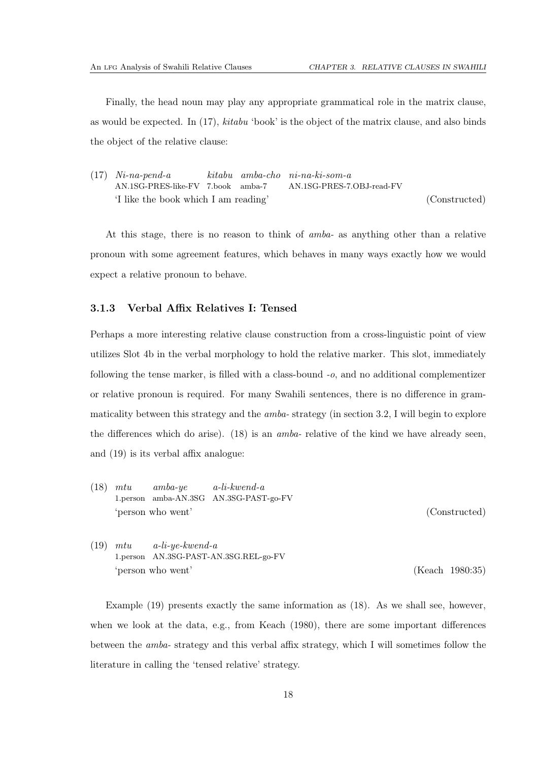Finally, the head noun may play any appropriate grammatical role in the matrix clause, as would be expected. In [\(17\)](#page-22-1), *kitabu* 'book' is the object of the matrix clause, and also binds the object of the relative clause:

<span id="page-22-1"></span>(17) *Ni-na-pend-a* AN.1SG-PRES-like-FV 7.book amba-7 *kitabu amba-cho ni-na-ki-som-a* AN.1SG-PRES-7.OBJ-read-FV 'I like the book which I am reading' (Constructed)

At this stage, there is no reason to think of *amba-* as anything other than a relative pronoun with some agreement features, which behaves in many ways exactly how we would expect a relative pronoun to behave.

### <span id="page-22-0"></span>3.1.3 Verbal Affix Relatives I: Tensed

Perhaps a more interesting relative clause construction from a cross-linguistic point of view utilizes Slot 4b in the verbal morphology to hold the relative marker. This slot, immediately following the tense marker, is filled with a class-bound *-o*, and no additional complementizer or relative pronoun is required. For many Swahili sentences, there is no difference in grammaticality between this strategy and the *amba-* strategy (in section [3.2,](#page-24-1) I will begin to explore the differences which do arise). [\(18\)](#page-22-2) is an *amba-* relative of the kind we have already seen, and [\(19\)](#page-22-3) is its verbal affix analogue:

- <span id="page-22-2"></span>(18) *mtu* 1.person amba-AN.3SG AN.3SG-PAST-go-FV *amba-ye a-li-kwend-a* 'person who went' (Constructed)
- <span id="page-22-3"></span>(19) *mtu* 1.person AN.3SG-PAST-AN.3SG.REL-go-FV *a-li-ye-kwend-a* 'person who went' [\(Keach 1980](#page-111-3):35)

Example [\(19\)](#page-22-3) presents exactly the same information as [\(18\)](#page-22-2). As we shall see, however, when we look at the data, e.g., from [Keach \(1980\)](#page-111-3), there are some important differences between the *amba-* strategy and this verbal affix strategy, which I will sometimes follow the literature in calling the 'tensed relative' strategy.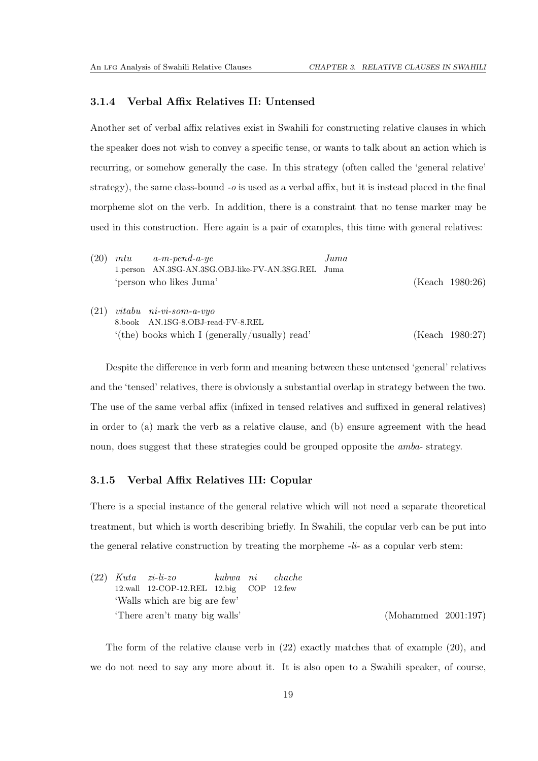#### <span id="page-23-0"></span>3.1.4 Verbal Affix Relatives II: Untensed

Another set of verbal affix relatives exist in Swahili for constructing relative clauses in which the speaker does not wish to convey a specific tense, or wants to talk about an action which is recurring, or somehow generally the case. In this strategy (often called the 'general relative' strategy), the same class-bound *-o* is used as a verbal affix, but it is instead placed in the final morpheme slot on the verb. In addition, there is a constraint that no tense marker may be used in this construction. Here again is a pair of examples, this time with general relatives:

<span id="page-23-3"></span>

| (20) | mtu | $a-m-pend-a-ye$                                    | $_{Juma}$ |                 |
|------|-----|----------------------------------------------------|-----------|-----------------|
|      |     | 1.person AN.3SG-AN.3SG.OBJ-like-FV-AN.3SG.REL Juma |           |                 |
|      |     | 'person who likes Juma'                            |           | (Keach 1980:26) |
| (21) |     | $vitabu$ $ni-vi-som-a-vyo$                         |           |                 |
|      |     | 8.book AN.1SG-8.OBJ-read-FV-8.REL                  |           |                 |
|      |     | $'(the)$ books which I (generally/usually) read'   |           | (Keach 1980:27) |

Despite the difference in verb form and meaning between these untensed 'general' relatives and the 'tensed' relatives, there is obviously a substantial overlap in strategy between the two. The use of the same verbal affix (infixed in tensed relatives and suffixed in general relatives) in order to (a) mark the verb as a relative clause, and (b) ensure agreement with the head noun, does suggest that these strategies could be grouped opposite the *amba-* strategy.

### <span id="page-23-1"></span>3.1.5 Verbal Affix Relatives III: Copular

There is a special instance of the general relative which will not need a separate theoretical treatment, but which is worth describing briefly. In Swahili, the copular verb can be put into the general relative construction by treating the morpheme *-li-* as a copular verb stem:

<span id="page-23-2"></span>

|  | $(22)$ Kuta $zi$ -li-zo                 |  | kubwa ni chache |                     |  |
|--|-----------------------------------------|--|-----------------|---------------------|--|
|  | 12.wall 12-COP-12.REL 12.big COP 12.few |  |                 |                     |  |
|  | 'Walls which are big are few'           |  |                 |                     |  |
|  | 'There aren't many big walls'           |  |                 | (Mohammed 2001:197) |  |

The form of the relative clause verb in [\(22\)](#page-23-2) exactly matches that of example [\(20\)](#page-23-3), and we do not need to say any more about it. It is also open to a Swahili speaker, of course,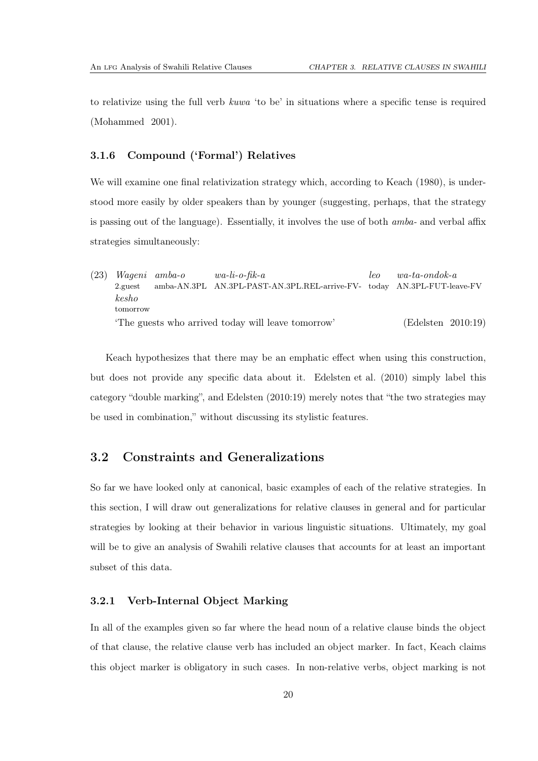<span id="page-24-0"></span>to relativize using the full verb *kuwa* 'to be' in situations where a specific tense is required [\(Mohammed 2001\)](#page-112-2).

### 3.1.6 Compound ('Formal') Relatives

We will examine one final relativization strategy which, according to [Keach \(1980\)](#page-111-3), is understood more easily by older speakers than by younger (suggesting, perhaps, that the strategy is passing out of the language). Essentially, it involves the use of both *amba-* and verbal affix strategies simultaneously:

(23) *Wageni amba-o* 2.guest amba-AN.3PL AN.3PL-PAST-AN.3PL.REL-arrive-FV-today AN.3PL-FUT-leave-FV *wa-li-o-fik-a leo wa-ta-ondok-a kesho* tomorrow 'The guests who arrived today will leave tomorrow' [\(Edelsten 2010](#page-111-4):19)

Keach hypothesizes that there may be an emphatic effect when using this construction, but does not provide any specific data about it. [Edelsten et al. \(2010\)](#page-111-2) simply label this category "double marking", and [Edelsten \(2010](#page-111-4):19) merely notes that "the two strategies may be used in combination," without discussing its stylistic features.

### <span id="page-24-1"></span>3.2 Constraints and Generalizations

So far we have looked only at canonical, basic examples of each of the relative strategies. In this section, I will draw out generalizations for relative clauses in general and for particular strategies by looking at their behavior in various linguistic situations. Ultimately, my goal will be to give an analysis of Swahili relative clauses that accounts for at least an important subset of this data.

### <span id="page-24-2"></span>3.2.1 Verb-Internal Object Marking

In all of the examples given so far where the head noun of a relative clause binds the object of that clause, the relative clause verb has included an object marker. In fact, Keach claims this object marker is obligatory in such cases. In non-relative verbs, object marking is not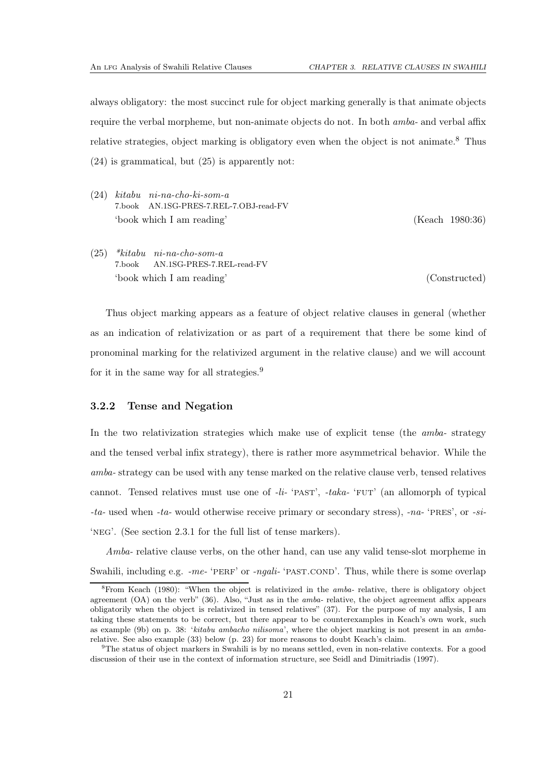always obligatory: the most succinct rule for object marking generally is that animate objects require the verbal morpheme, but non-animate objects do not. In both *amba-* and verbal affix relative strategies, object marking is obligatory even when the object is not animate.<sup>[8](#page-25-1)</sup> Thus [\(24\)](#page-25-2) is grammatical, but [\(25\)](#page-25-3) is apparently not:

<span id="page-25-2"></span>(24) *kitabu ni-na-cho-ki-som-a* 7.book AN.1SG-PRES-7.REL-7.OBJ-read-FV 'book which I am reading' [\(Keach 1980](#page-111-3):36)

<span id="page-25-3"></span>(25) *\*kitabu ni-na-cho-som-a* 7.book AN.1SG-PRES-7.REL-read-FV 'book which I am reading' (Constructed)

Thus object marking appears as a feature of object relative clauses in general (whether as an indication of relativization or as part of a requirement that there be some kind of pronominal marking for the relativized argument in the relative clause) and we will account for it in the same way for all strategies.[9](#page-25-4)

#### <span id="page-25-0"></span>3.2.2 Tense and Negation

In the two relativization strategies which make use of explicit tense (the *amba-* strategy and the tensed verbal infix strategy), there is rather more asymmetrical behavior. While the *amba-* strategy can be used with any tense marked on the relative clause verb, tensed relatives cannot. Tensed relatives must use one of *-li-* 'past', *-taka-* 'fut' (an allomorph of typical *-ta-* used when *-ta-* would otherwise receive primary or secondary stress), *-na-* 'pres', or *-si-* 'neg'. (See section [2.3.1](#page-11-1) for the full list of tense markers).

*Amba-* relative clause verbs, on the other hand, can use any valid tense-slot morpheme in Swahili, including e.g. *-me-* 'PERF' or *-ngali-* 'PAST.COND'. Thus, while there is some overlap

<span id="page-25-1"></span><sup>&</sup>lt;sup>8</sup>From [Keach \(1980\)](#page-111-3): "When the object is relativized in the *amba*- relative, there is obligatory object agreement (OA) on the verb" (36). Also, "Just as in the amba- relative, the object agreement affix appears obligatorily when the object is relativized in tensed relatives" (37). For the purpose of my analysis, I am taking these statements to be correct, but there appear to be counterexamples in Keach's own work, such as example (9b) on p. 38: 'kitabu ambacho nilisoma', where the object marking is not present in an ambarelative. See also example [\(33\)](#page-27-1) below (p. [23\)](#page-27-1) for more reasons to doubt Keach's claim.

<span id="page-25-4"></span><sup>9</sup>The status of object markers in Swahili is by no means settled, even in non-relative contexts. For a good discussion of their use in the context of information structure, see [Seidl and Dimitriadis \(1997](#page-112-6)).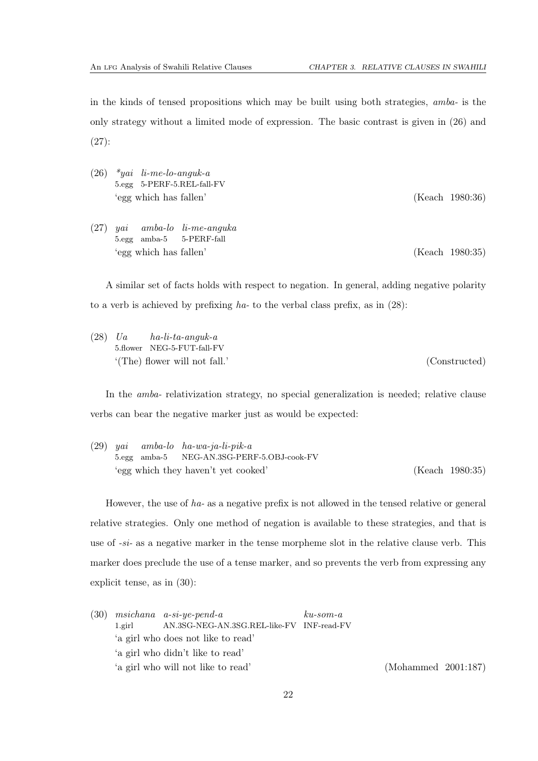in the kinds of tensed propositions which may be built using both strategies, *amba-* is the only strategy without a limited mode of expression. The basic contrast is given in [\(26\)](#page-26-0) and [\(27\)](#page-26-1):

<span id="page-26-1"></span><span id="page-26-0"></span>

| (26) | $*yai$ li-me-lo-anguk-a<br>5.egg 5-PERF-5.REL-fall-FV<br>'egg which has fallen' |  |                                                           |  |  | (Keach 1980:36) |
|------|---------------------------------------------------------------------------------|--|-----------------------------------------------------------|--|--|-----------------|
| (27) |                                                                                 |  | $yai$ amba-lo $li$ -me-anguka<br>5.egg amba-5 5-PERF-fall |  |  |                 |

'egg which has fallen' [\(Keach 1980](#page-111-3):35)

A similar set of facts holds with respect to negation. In general, adding negative polarity to a verb is achieved by prefixing *ha-* to the verbal class prefix, as in [\(28\)](#page-26-2):

<span id="page-26-2"></span>(28) *Ua* 5.flower NEG-5-FUT-fall-FV *ha-li-ta-anguk-a* '(The) flower will not fall.' (Constructed)

In the *amba-* relativization strategy, no special generalization is needed; relative clause verbs can bear the negative marker just as would be expected:

(29) *yai* 5.egg amba-5 *amba-lo ha-wa-ja-li-pik-a* NEG-AN.3SG-PERF-5.OBJ-cook-FV 'egg which they haven't yet cooked' [\(Keach 1980](#page-111-3):35)

However, the use of *ha-* as a negative prefix is not allowed in the tensed relative or general relative strategies. Only one method of negation is available to these strategies, and that is use of *-si-* as a negative marker in the tense morpheme slot in the relative clause verb. This marker does preclude the use of a tense marker, and so prevents the verb from expressing any explicit tense, as in [\(30\)](#page-26-3):

<span id="page-26-3"></span>

|        | $(30)$ msichana a-si-ye-pend-a            | $ku$ -som-a |                     |  |
|--------|-------------------------------------------|-------------|---------------------|--|
| 1.eirl | AN.3SG-NEG-AN.3SG.REL-like-FV INF-read-FV |             |                     |  |
|        | 'a girl who does not like to read'        |             |                     |  |
|        | 'a girl who didn't like to read'          |             |                     |  |
|        | 'a girl who will not like to read'        |             | (Mohammed 2001:187) |  |
|        |                                           |             |                     |  |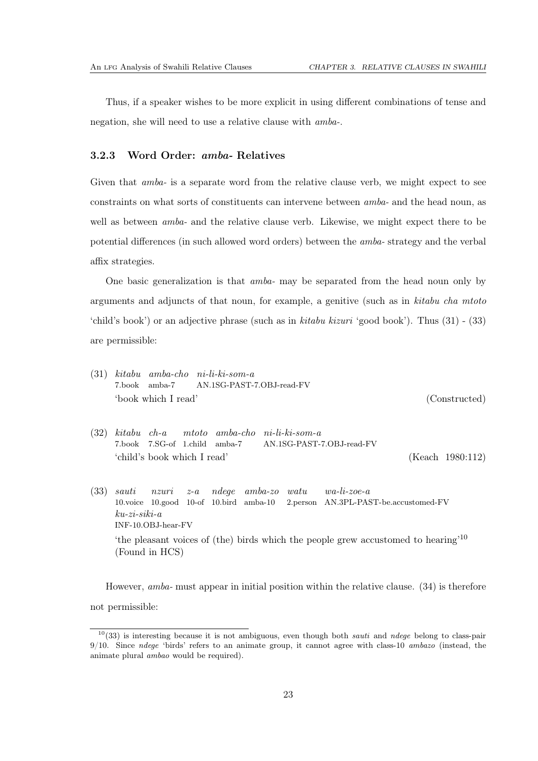<span id="page-27-0"></span>Thus, if a speaker wishes to be more explicit in using different combinations of tense and negation, she will need to use a relative clause with *amba-*.

### 3.2.3 Word Order: amba- Relatives

Given that *amba*- is a separate word from the relative clause verb, we might expect to see constraints on what sorts of constituents can intervene between *amba-* and the head noun, as well as between *amba-* and the relative clause verb. Likewise, we might expect there to be potential differences (in such allowed word orders) between the *amba-* strategy and the verbal affix strategies.

One basic generalization is that *amba-* may be separated from the head noun only by arguments and adjuncts of that noun, for example, a genitive (such as in *kitabu cha mtoto* 'child's book') or an adjective phrase (such as in *kitabu kizuri* 'good book'). Thus [\(31\)](#page-27-2) - [\(33\)](#page-27-1) are permissible:

- <span id="page-27-2"></span>(31) *kitabu amba-cho ni-li-ki-som-a* 7.book amba-7 AN.1SG-PAST-7.OBJ-read-FV 'book which I read' (Constructed)
- (32) *kitabu ch-a* 7.book 7.SG-of 1.child amba-7 *mtoto amba-cho ni-li-ki-som-a* AN.1SG-PAST-7.OBJ-read-FV 'child's book which I read' [\(Keach 1980](#page-111-3):112)
- <span id="page-27-1"></span>(33) *sauti* 10.voice 10.good 10-of 10.bird amba-10 *nzuri z-a ndege amba-zo watu* 2.person AN.3PL-PAST-be.accustomed-FV *wa-li-zoe-a ku-zi-siki-a* INF-10.OBJ-hear-FV 'the pleasant voices of (the) birds which the people grew accustomed to hearing'[10](#page-27-3) (Found in HCS)

However, *amba-* must appear in initial position within the relative clause. [\(34\)](#page-28-0) is therefore not permissible:

<span id="page-27-3"></span> $10(33)$  $10(33)$  is interesting because it is not ambiguous, even though both sauti and ndege belong to class-pair 9/10. Since ndege 'birds' refers to an animate group, it cannot agree with class-10 ambazo (instead, the animate plural ambao would be required).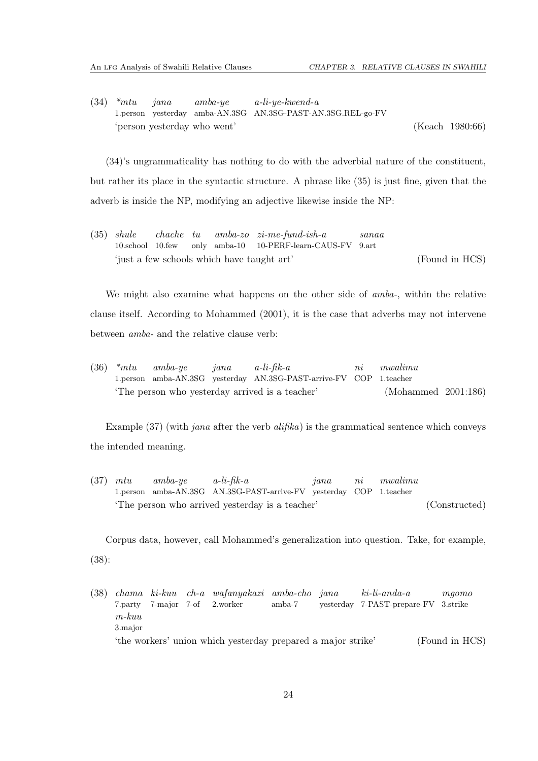<span id="page-28-0"></span>(34) *\*mtu* 1.person yesterday amba-AN.3SG AN.3SG-PAST-AN.3SG.REL-go-FV *jana amba-ye a-li-ye-kwend-a* 'person yesterday who went' [\(Keach 1980](#page-111-3):66)

[\(34\)](#page-28-0)'s ungrammaticality has nothing to do with the adverbial nature of the constituent, but rather its place in the syntactic structure. A phrase like [\(35\)](#page-28-1) is just fine, given that the adverb is inside the NP, modifying an adjective likewise inside the NP:

<span id="page-28-1"></span>(35) *shule* 10.school 10.few *chache tu* only amba-10 *amba-zo zi-me-fund-ish-a* 10-PERF-learn-CAUS-FV 9.art *sanaa* 'just a few schools which have taught art' (Found in HCS)

We might also examine what happens on the other side of *amba-*, within the relative clause itself. According to [Mohammed \(2001\)](#page-112-2), it is the case that adverbs may not intervene between *amba-* and the relative clause verb:

(36) *\*mtu* 1.person amba-AN.3SG yesterday AN.3SG-PAST-arrive-FV COP 1.teacher *amba-ye jana a-li-fik-a ni mwalimu* 'The person who yesterday arrived is a teacher' [\(Mohammed 2001](#page-112-2):186)

Example [\(37\)](#page-28-2) (with *jana* after the verb *alifika*) is the grammatical sentence which conveys the intended meaning.

<span id="page-28-2"></span>(37) *mtu* 1.person amba-AN.3SG AN.3SG-PAST-arrive-FV yesterday COP 1.teacher *amba-ye a-li-fik-a jana ni mwalimu* 'The person who arrived yesterday is a teacher' (Constructed)

Corpus data, however, call Mohammed's generalization into question. Take, for example, [\(38\)](#page-28-3):

<span id="page-28-3"></span>(38) *chama ki-kuu ch-a wafanyakazi amba-cho* 7.party 7-major 7-of 2.worker amba-7 *jana* yesterday 7-PAST-prepare-FV *ki-li-anda-a mgomo* 3.strike *m-kuu* 3.major 'the workers' union which yesterday prepared a major strike' (Found in HCS)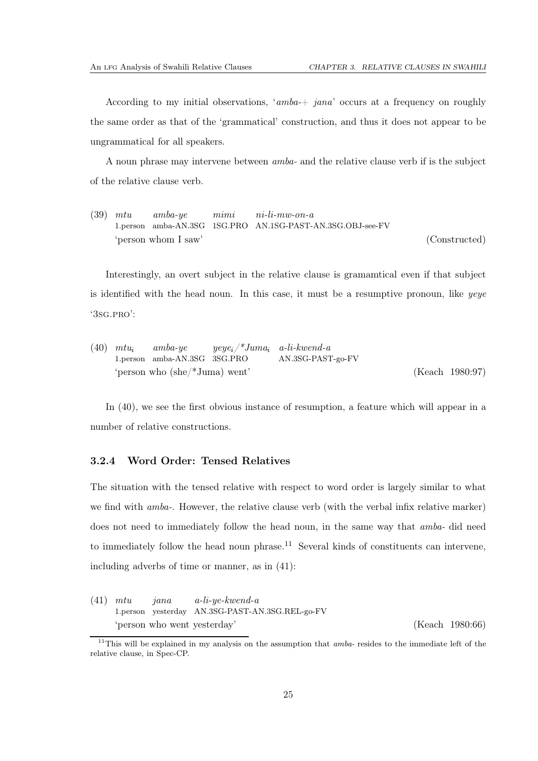According to my initial observations, '*amba-*+ *jana*' occurs at a frequency on roughly the same order as that of the 'grammatical' construction, and thus it does not appear to be ungrammatical for all speakers.

A noun phrase may intervene between *amba-* and the relative clause verb if is the subject of the relative clause verb.

(39) *mtu* 1.person amba-AN.3SG 1SG.PRO AN.1SG-PAST-AN.3SG.OBJ-see-FV *amba-ye mimi ni-li-mw-on-a* 'person whom I saw' (Constructed)

Interestingly, an overt subject in the relative clause is gramamtical even if that subject is identified with the head noun. In this case, it must be a resumptive pronoun, like *yeye* '3sg.pro':

<span id="page-29-1"></span>

| $(40)$ $mtu_i$ |                                               | $amba\text{-}ye \qquad yeye_i\not\!\!^* Juma_i \quad a\text{-}li\text{-}kwend\text{-}a$ |                   |                 |
|----------------|-----------------------------------------------|-----------------------------------------------------------------------------------------|-------------------|-----------------|
|                | 1.person amba-AN.3SG 3SG.PRO                  |                                                                                         | AN.3SG-PAST-go-FV |                 |
|                | 'person who $(\text{she}/\text{*Juma})$ went' |                                                                                         |                   | (Keach 1980:97) |

<span id="page-29-0"></span>In [\(40\)](#page-29-1), we see the first obvious instance of resumption, a feature which will appear in a number of relative constructions.

### 3.2.4 Word Order: Tensed Relatives

The situation with the tensed relative with respect to word order is largely similar to what we find with *amba-*. However, the relative clause verb (with the verbal infix relative marker) does not need to immediately follow the head noun, in the same way that *amba-* did need to immediately follow the head noun phrase.<sup>[11](#page-29-2)</sup> Several kinds of constituents can intervene, including adverbs of time or manner, as in [\(41\)](#page-29-3):

<span id="page-29-3"></span>(41) *mtu* 1.person yesterday AN.3SG-PAST-AN.3SG.REL-go-FV *jana a-li-ye-kwend-a* 'person who went yesterday' [\(Keach 1980](#page-111-3):66)

<span id="page-29-2"></span><sup>&</sup>lt;sup>11</sup>This will be explained in my analysis on the assumption that  $amba$ - resides to the immediate left of the relative clause, in Spec-CP.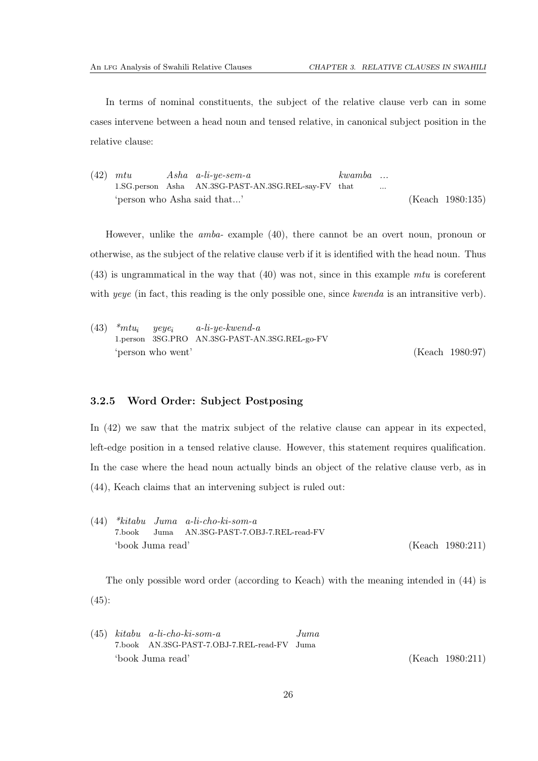In terms of nominal constituents, the subject of the relative clause verb can in some cases intervene between a head noun and tensed relative, in canonical subject position in the relative clause:

<span id="page-30-2"></span>(42) *mtu* 1.SG.person Asha AN.3SG-PAST-AN.3SG.REL-say-FV that *Asha a-li-ye-sem-a kwamba ...* ... 'person who Asha said that...' [\(Keach 1980](#page-111-3):135)

However, unlike the *amba-* example [\(40\)](#page-29-1), there cannot be an overt noun, pronoun or otherwise, as the subject of the relative clause verb if it is identified with the head noun. Thus [\(43\)](#page-30-1) is ungrammatical in the way that [\(40\)](#page-29-1) was not, since in this example *mtu* is coreferent with *yeye* (in fact, this reading is the only possible one, since *kwenda* is an intransitive verb).

<span id="page-30-1"></span>(43) *\*mtu*<sup>i</sup> 1.person 3SG.PRO AN.3SG-PAST-AN.3SG.REL-go-FV *yeye*<sup>i</sup> *a-li-ye-kwend-a* 'person who went' [\(Keach 1980](#page-111-3):97)

### <span id="page-30-0"></span>3.2.5 Word Order: Subject Postposing

In [\(42\)](#page-30-2) we saw that the matrix subject of the relative clause can appear in its expected, left-edge position in a tensed relative clause. However, this statement requires qualification. In the case where the head noun actually binds an object of the relative clause verb, as in [\(44\)](#page-30-3), Keach claims that an intervening subject is ruled out:

<span id="page-30-3"></span>(44) *\*kitabu Juma a-li-cho-ki-som-a* 7.book Juma AN.3SG-PAST-7.OBJ-7.REL-read-FV 'book Juma read' [\(Keach 1980](#page-111-3):211)

The only possible word order (according to Keach) with the meaning intended in [\(44\)](#page-30-3) is  $(45):$  $(45):$ 

<span id="page-30-4"></span>(45) *kitabu a-li-cho-ki-som-a* 7.book AN.3SG-PAST-7.OBJ-7.REL-read-FV Juma *Juma* 'book Juma read' [\(Keach 1980](#page-111-3):211)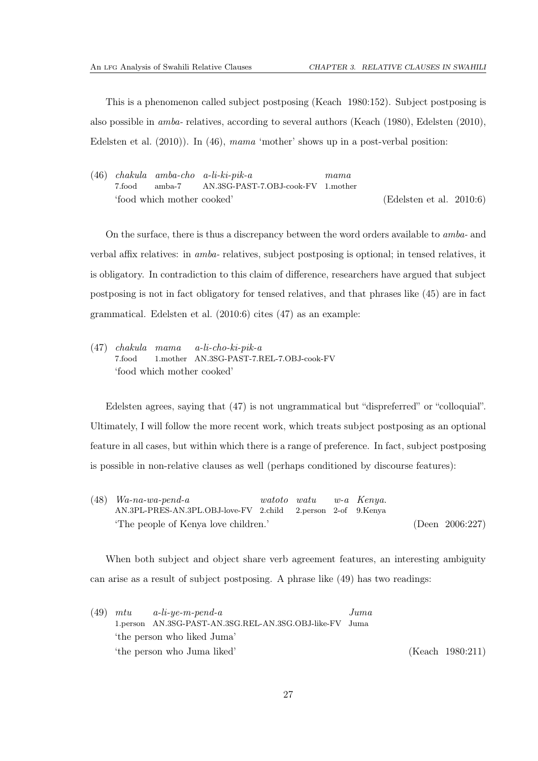This is a phenomenon called subject postposing [\(Keach 1980](#page-111-3):152). Subject postposing is also possible in *amba-* relatives, according to several authors [\(Keach \(1980\)](#page-111-3), [Edelsten \(2010](#page-111-4)), [Edelsten et al. \(2010\)](#page-111-2)). In [\(46\)](#page-31-0), *mama* 'mother' shows up in a post-verbal position:

<span id="page-31-0"></span>(46) *chakula amba-cho a-li-ki-pik-a* 7.food amba-7 AN.3SG-PAST-7.OBJ-cook-FV 1.mother *mama* 'food which mother cooked' [\(Edelsten et al. 2010:](#page-111-2)6)

On the surface, there is thus a discrepancy between the word orders available to *amba-* and verbal affix relatives: in *amba-* relatives, subject postposing is optional; in tensed relatives, it is obligatory. In contradiction to this claim of difference, researchers have argued that subject postposing is not in fact obligatory for tensed relatives, and that phrases like [\(45\)](#page-30-4) are in fact grammatical. [Edelsten et al. \(2010](#page-111-2):6) cites [\(47\)](#page-31-1) as an example:

<span id="page-31-1"></span>(47) *chakula mama* 7.food 1.mother AN.3SG-PAST-7.REL-7.OBJ-cook-FV *a-li-cho-ki-pik-a* 'food which mother cooked'

Edelsten agrees, saying that [\(47\)](#page-31-1) is not ungrammatical but "dispreferred" or "colloquial". Ultimately, I will follow the more recent work, which treats subject postposing as an optional feature in all cases, but within which there is a range of preference. In fact, subject postposing is possible in non-relative clauses as well (perhaps conditioned by discourse features):

(48) *Wa-na-wa-pend-a* AN.3PL-PRES-AN.3PL.OBJ-love-FV 2.child *watoto watu* 2.person 2-of 9.Kenya *w-a Kenya.* 'The people of Kenya love children.' [\(Deen 2006](#page-111-6):227)

When both subject and object share verb agreement features, an interesting ambiguity can arise as a result of subject postposing. A phrase like [\(49\)](#page-31-2) has two readings:

<span id="page-31-2"></span>

|  | $(49)$ mtu a-li-ye-m-pend-a                             | Juma |                  |
|--|---------------------------------------------------------|------|------------------|
|  | 1.person AN.3SG-PAST-AN.3SG.REL-AN.3SG.OBJ-like-FV Juma |      |                  |
|  | 'the person who liked Juma'                             |      |                  |
|  | 'the person who Juma liked'                             |      | (Keach 1980:211) |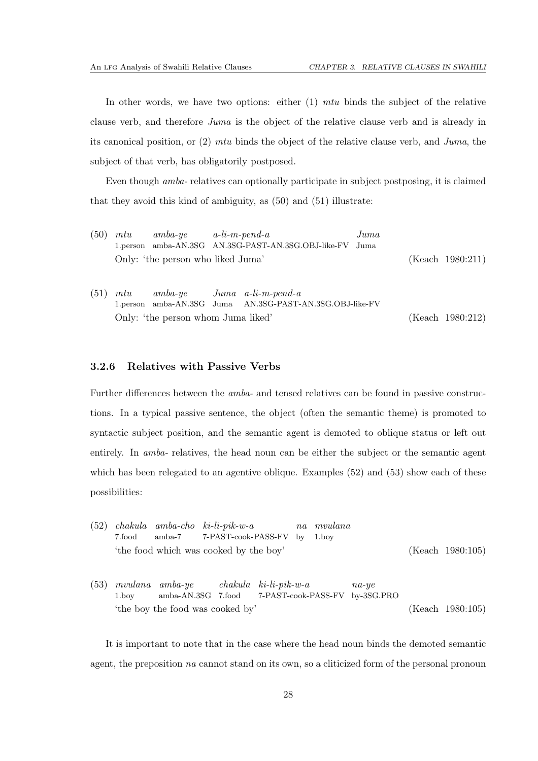In other words, we have two options: either (1) *mtu* binds the subject of the relative clause verb, and therefore *Juma* is the object of the relative clause verb and is already in its canonical position, or (2) *mtu* binds the object of the relative clause verb, and *Juma*, the subject of that verb, has obligatorily postposed.

Even though *amba-* relatives can optionally participate in subject postposing, it is claimed that they avoid this kind of ambiguity, as [\(50\)](#page-32-1) and [\(51\)](#page-32-2) illustrate:

<span id="page-32-2"></span><span id="page-32-1"></span>

| (50) | $mtu$ amba-ye $a$ -li-m-pend-a     | 1.person amba-AN.3SG AN.3SG-PAST-AN.3SG.OBJ-like-FV Juma | $_{Juma}$ |                      |
|------|------------------------------------|----------------------------------------------------------|-----------|----------------------|
|      | Only: 'the person who liked Juma'  |                                                          |           | $(Keach \ 1980:211)$ |
| (51) |                                    | $mtu$ amba-ye Juma a-li-m-pend-a                         |           |                      |
|      |                                    | 1.person amba-AN.3SG Juma AN.3SG-PAST-AN.3SG.OBJ-like-FV |           |                      |
|      | Only: 'the person whom Juma liked' |                                                          |           | (Keach 1980:212)     |

#### <span id="page-32-0"></span>3.2.6 Relatives with Passive Verbs

Further differences between the *amba-* and tensed relatives can be found in passive constructions. In a typical passive sentence, the object (often the semantic theme) is promoted to syntactic subject position, and the semantic agent is demoted to oblique status or left out entirely. In *amba-* relatives, the head noun can be either the subject or the semantic agent which has been relegated to an agentive oblique. Examples [\(52\)](#page-32-3) and [\(53\)](#page-32-4) show each of these possibilities:

- <span id="page-32-3"></span>(52) *chakula amba-cho ki-li-pik-w-a* 7.food amba-7 7-PAST-cook-PASS-FV by 1.boy *na mvulana* 'the food which was cooked by the boy' [\(Keach 1980](#page-111-3):105)
- <span id="page-32-4"></span>(53) *mvulana amba-ye* 1.boy amba-AN.3SG 7.food *chakula ki-li-pik-w-a* 7-PAST-cook-PASS-FV by-3SG.PRO *na-ye* 'the boy the food was cooked by' [\(Keach 1980](#page-111-3):105)

It is important to note that in the case where the head noun binds the demoted semantic agent, the preposition *na* cannot stand on its own, so a cliticized form of the personal pronoun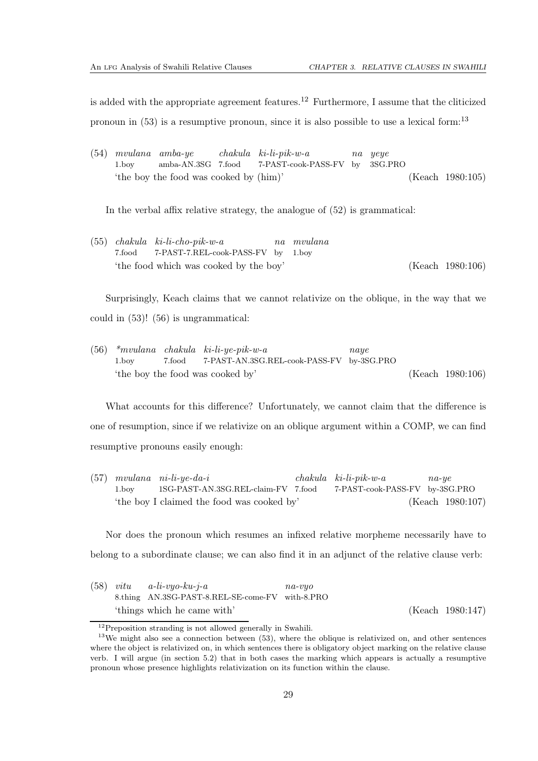is added with the appropriate agreement features.<sup>[12](#page-33-0)</sup> Furthermore, I assume that the cliticized pronoun in  $(53)$  is a resumptive pronoun, since it is also possible to use a lexical form:<sup>[13](#page-33-1)</sup>

(54) *mvulana amba-ye* 1.boy amba-AN.3SG 7.food *chakula ki-li-pik-w-a* 7-PAST-cook-PASS-FV by *na yeye* 3SG.PRO 'the boy the food was cooked by (him)' [\(Keach 1980](#page-111-3):105)

In the verbal affix relative strategy, the analogue of [\(52\)](#page-32-3) is grammatical:

(55) *chakula ki-li-cho-pik-w-a* 7.food 7-PAST-7.REL-cook-PASS-FV by *na mvulana* 1.boy 'the food which was cooked by the boy' [\(Keach 1980](#page-111-3):106)

Surprisingly, Keach claims that we cannot relativize on the oblique, in the way that we could in [\(53\)](#page-32-4)! [\(56\)](#page-33-2) is ungrammatical:

<span id="page-33-2"></span>(56) *\*mvulana chakula ki-li-ye-pik-w-a* 1.boy 7.food 7-PAST-AN.3SG.REL-cook-PASS-FV by-3SG.PRO *naye* 'the boy the food was cooked by' [\(Keach 1980](#page-111-3):106)

What accounts for this difference? Unfortunately, we cannot claim that the difference is one of resumption, since if we relativize on an oblique argument within a COMP, we can find resumptive pronouns easily enough:

(57) *mvulana ni-li-ye-da-i* 1.boy 1SG-PAST-AN.3SG.REL-claim-FV 7.food *chakula ki-li-pik-w-a* 7-PAST-cook-PASS-FV by-3SG.PRO *na-ye* 'the boy I claimed the food was cooked by' [\(Keach 1980](#page-111-3):107)

Nor does the pronoun which resumes an infixed relative morpheme necessarily have to belong to a subordinate clause; we can also find it in an adjunct of the relative clause verb:

|  | $(58)$ vitu a-li-vyo-ku-j-a                     | $na$ -v $uo$ |                  |
|--|-------------------------------------------------|--------------|------------------|
|  | 8.thing AN.3SG-PAST-8.REL-SE-come-FV with-8.PRO |              |                  |
|  | 'things which he came with'                     |              | (Keach 1980:147) |

<span id="page-33-0"></span> $12$ Preposition stranding is not allowed generally in Swahili.

<span id="page-33-1"></span> $13$ We might also see a connection between [\(53\)](#page-32-4), where the oblique is relativized on, and other sentences where the object is relativized on, in which sentences there is obligatory object marking on the relative clause verb. I will argue (in section [5.2\)](#page-61-0) that in both cases the marking which appears is actually a resumptive pronoun whose presence highlights relativization on its function within the clause.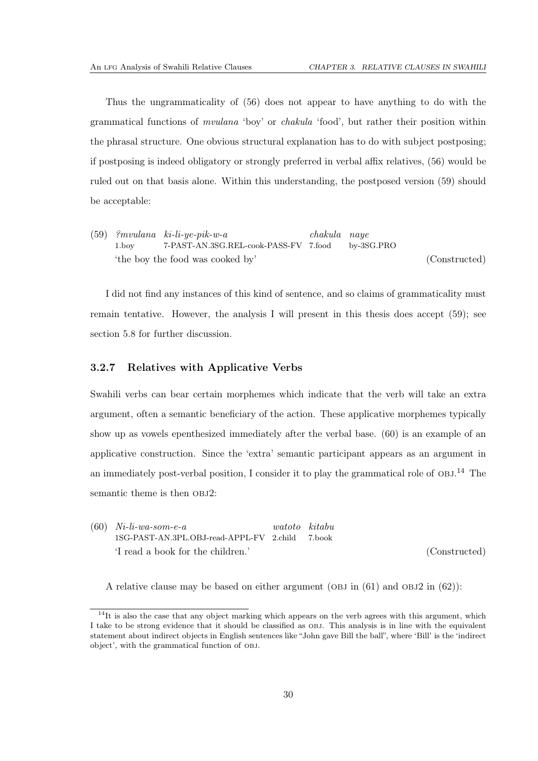Thus the ungrammaticality of [\(56\)](#page-33-2) does not appear to have anything to do with the grammatical functions of *mvulana* 'boy' or *chakula* 'food', but rather their position within the phrasal structure. One obvious structural explanation has to do with subject postposing; if postposing is indeed obligatory or strongly preferred in verbal affix relatives, [\(56\)](#page-33-2) would be ruled out on that basis alone. Within this understanding, the postposed version [\(59\)](#page-34-1) should be acceptable:

<span id="page-34-1"></span>(59) *?mvulana ki-li-ye-pik-w-a* 1.boy 7-PAST-AN.3SG.REL-cook-PASS-FV 7.food *chakula naye* by-3SG.PRO 'the boy the food was cooked by' (Constructed)

I did not find any instances of this kind of sentence, and so claims of grammaticality must remain tentative. However, the analysis I will present in this thesis does accept [\(59\)](#page-34-1); see section [5.8](#page-76-0) for further discussion.

### <span id="page-34-0"></span>3.2.7 Relatives with Applicative Verbs

Swahili verbs can bear certain morphemes which indicate that the verb will take an extra argument, often a semantic beneficiary of the action. These applicative morphemes typically show up as vowels epenthesized immediately after the verbal base. [\(60\)](#page-34-2) is an example of an applicative construction. Since the 'extra' semantic participant appears as an argument in an immediately post-verbal position, I consider it to play the grammatical role of OBJ.<sup>[14](#page-34-3)</sup> The semantic theme is then  $OBJ2$ :

<span id="page-34-2"></span>(60) *Ni-li-wa-som-e-a* 1SG-PAST-AN.3PL.OBJ-read-APPL-FV 2.child *watoto kitabu* 7.book 'I read a book for the children.' (Constructed)

A relative clause may be based on either argument (OBJ in  $(61)$  and OBJ2 in  $(62)$ ):

<span id="page-34-3"></span><sup>&</sup>lt;sup>14</sup>It is also the case that any object marking which appears on the verb agrees with this argument, which I take to be strong evidence that it should be classified as obj. This analysis is in line with the equivalent statement about indirect objects in English sentences like "John gave Bill the ball", where 'Bill' is the 'indirect object', with the grammatical function of obj.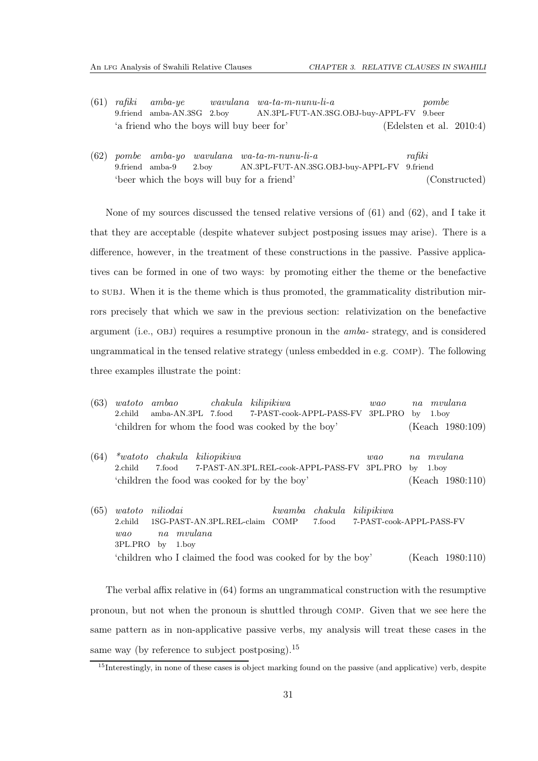- <span id="page-35-0"></span>(61) *rafiki* 9.friend *amba-ye* amba-AN.3SG 2.boy *wavulana wa-ta-m-nunu-li-a* AN.3PL-FUT-AN.3SG.OBJ-buy-APPL-FV 9.beer *pombe* 'a friend who the boys will buy beer for' [\(Edelsten et al. 2010:](#page-111-2)4)
- <span id="page-35-1"></span>(62) *pombe amba-yo wavulana wa-ta-m-nunu-li-a* 9.friend amba-9 2.boy AN.3PL-FUT-AN.3SG.OBJ-buy-APPL-FV 9.friend *rafiki* 'beer which the boys will buy for a friend' (Constructed)

None of my sources discussed the tensed relative versions of [\(61\)](#page-35-0) and [\(62\)](#page-35-1), and I take it that they are acceptable (despite whatever subject postposing issues may arise). There is a difference, however, in the treatment of these constructions in the passive. Passive applicatives can be formed in one of two ways: by promoting either the theme or the benefactive to subj. When it is the theme which is thus promoted, the grammaticality distribution mirrors precisely that which we saw in the previous section: relativization on the benefactive argument (i.e., obj) requires a resumptive pronoun in the *amba-* strategy, and is considered ungrammatical in the tensed relative strategy (unless embedded in e.g. comp). The following three examples illustrate the point:

<span id="page-35-2"></span>

| (63) | $\emph{watoto}$<br>2.child         | ambao<br>amba-AN.3PL 7.food                                           | chakula                                            | kilipikiwa<br>7-PAST-cook-APPL-PASS-FV |                   | wao<br>3PL.PRO                          | na<br>by | 1.boy | mvulana                     |
|------|------------------------------------|-----------------------------------------------------------------------|----------------------------------------------------|----------------------------------------|-------------------|-----------------------------------------|----------|-------|-----------------------------|
|      |                                    | 'children for whom the food was cooked by the boy'                    |                                                    |                                        |                   |                                         |          |       | (Keach 1980:109)            |
| (64) | <i>*watoto</i><br>2.child          | chakula<br>7.food<br>'children the food was cooked for by the boy'    | kiliopikiwa<br>7-PAST-AN.3PL.REL-cook-APPL-PASS-FV |                                        |                   | wao<br>3PL.PRO                          | na<br>bv | 1.boy | mvulana<br>(Keach 1980:110) |
| (65) | watoto<br>2.child<br>wa<br>3PL.PRO | niliodai<br>1SG-PAST-AN.3PL.REL-claim<br>mvulana<br>na<br>1.boy<br>bv |                                                    | kwamba<br>COMP                         | chakula<br>7.food | kili pikiwa<br>7-PAST-cook-APPL-PASS-FV |          |       |                             |

'children who I claimed the food was cooked for by the boy' [\(Keach 1980](#page-111-3):110)

The verbal affix relative in [\(64\)](#page-35-2) forms an ungrammatical construction with the resumptive pronoun, but not when the pronoun is shuttled through comp. Given that we see here the same pattern as in non-applicative passive verbs, my analysis will treat these cases in the same way (by reference to subject postposing).[15](#page-35-3)

<span id="page-35-3"></span><sup>&</sup>lt;sup>15</sup>Interestingly, in none of these cases is object marking found on the passive (and applicative) verb, despite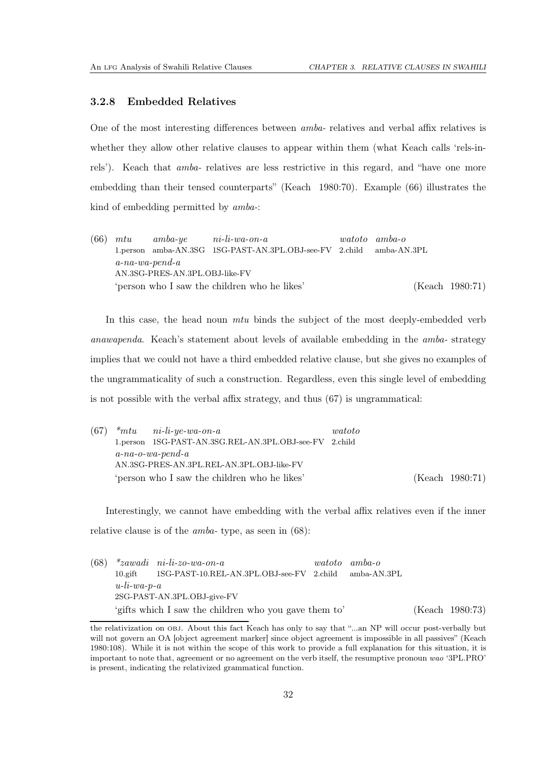#### 3.2.8 Embedded Relatives

One of the most interesting differences between *amba-* relatives and verbal affix relatives is whether they allow other relative clauses to appear within them (what Keach calls 'rels-inrels'). Keach that *amba-* relatives are less restrictive in this regard, and "have one more embedding than their tensed counterparts" [\(Keach 1980](#page-111-0):70). Example [\(66\)](#page-36-0) illustrates the kind of embedding permitted by *amba-*:

<span id="page-36-0"></span>(66) *mtu* 1.person amba-AN.3SG 1SG-PAST-AN.3PL.OBJ-see-FV 2.child *amba-ye ni-li-wa-on-a watoto amba-o* amba-AN.3PL *a-na-wa-pend-a* AN.3SG-PRES-AN.3PL.OBJ-like-FV 'person who I saw the children who he likes' [\(Keach 1980](#page-111-0):71)

In this case, the head noun *mtu* binds the subject of the most deeply-embedded verb *anawapenda*. Keach's statement about levels of available embedding in the *amba-* strategy implies that we could not have a third embedded relative clause, but she gives no examples of the ungrammaticality of such a construction. Regardless, even this single level of embedding is not possible with the verbal affix strategy, and thus [\(67\)](#page-36-1) is ungrammatical:

<span id="page-36-1"></span>

| (67) | $*mtu$ ni-li-ye-wa-on-a                                | watoto |                 |
|------|--------------------------------------------------------|--------|-----------------|
|      | 1.person 1SG-PAST-AN.3SG.REL-AN.3PL.OBJ-see-FV 2.child |        |                 |
|      | $a$ -na-o-wa-pend-a                                    |        |                 |
|      | AN.3SG-PRES-AN.3PL.REL-AN.3PL.OBJ-like-FV              |        |                 |
|      | 'person who I saw the children who he likes'           |        | (Keach 1980:71) |

Interestingly, we cannot have embedding with the verbal affix relatives even if the inner relative clause is of the *amba-* type, as seen in [\(68\)](#page-36-2):

<span id="page-36-2"></span>(68) *\*zawadi ni-li-zo-wa-on-a* 10.gift 1SG-PAST-10.REL-AN.3PL.OBJ-see-FV 2.child *watoto amba-o* amba-AN.3PL *u-li-wa-p-a* 2SG-PAST-AN.3PL.OBJ-give-FV 'gifts which I saw the children who you gave them to' [\(Keach 1980](#page-111-0):73)

the relativization on obj. About this fact Keach has only to say that "...an NP will occur post-verbally but will not govern an OA [object agreement marker] since object agreement is impossible in all passives" [\(Keach](#page-111-0) [1980](#page-111-0):108). While it is not within the scope of this work to provide a full explanation for this situation, it is important to note that, agreement or no agreement on the verb itself, the resumptive pronoun wao '3PL.PRO' is present, indicating the relativized grammatical function.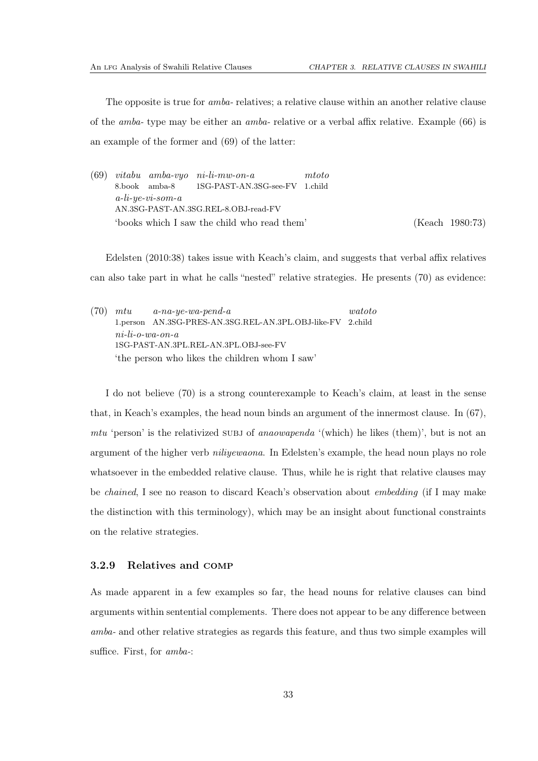The opposite is true for *amba-* relatives; a relative clause within an another relative clause of the *amba-* type may be either an *amba-* relative or a verbal affix relative. Example [\(66\)](#page-36-0) is an example of the former and [\(69\)](#page-37-0) of the latter:

<span id="page-37-0"></span>(69) *vitabu amba-vyo ni-li-mw-on-a* 8.book amba-8 1SG-PAST-AN.3SG-see-FV 1.child *mtoto a-li-ye-vi-som-a* AN.3SG-PAST-AN.3SG.REL-8.OBJ-read-FV 'books which I saw the child who read them' [\(Keach 1980](#page-111-0):73)

[Edelsten \(2010](#page-111-1):38) takes issue with Keach's claim, and suggests that verbal affix relatives can also take part in what he calls "nested" relative strategies. He presents [\(70\)](#page-37-1) as evidence:

<span id="page-37-1"></span>(70) *mtu* 1.person AN.3SG-PRES-AN.3SG.REL-AN.3PL.OBJ-like-FV 2.child *a-na-ye-wa-pend-a watoto ni-li-o-wa-on-a* 1SG-PAST-AN.3PL.REL-AN.3PL.OBJ-see-FV 'the person who likes the children whom I saw'

I do not believe [\(70\)](#page-37-1) is a strong counterexample to Keach's claim, at least in the sense that, in Keach's examples, the head noun binds an argument of the innermost clause. In [\(67\)](#page-36-1), *mtu* 'person' is the relativized subj of *anaowapenda* '(which) he likes (them)', but is not an argument of the higher verb *niliyewaona*. In Edelsten's example, the head noun plays no role whatsoever in the embedded relative clause. Thus, while he is right that relative clauses may be *chained*, I see no reason to discard Keach's observation about *embedding* (if I may make the distinction with this terminology), which may be an insight about functional constraints on the relative strategies.

#### 3.2.9 Relatives and comp

As made apparent in a few examples so far, the head nouns for relative clauses can bind arguments within sentential complements. There does not appear to be any difference between *amba-* and other relative strategies as regards this feature, and thus two simple examples will suffice. First, for *amba-*: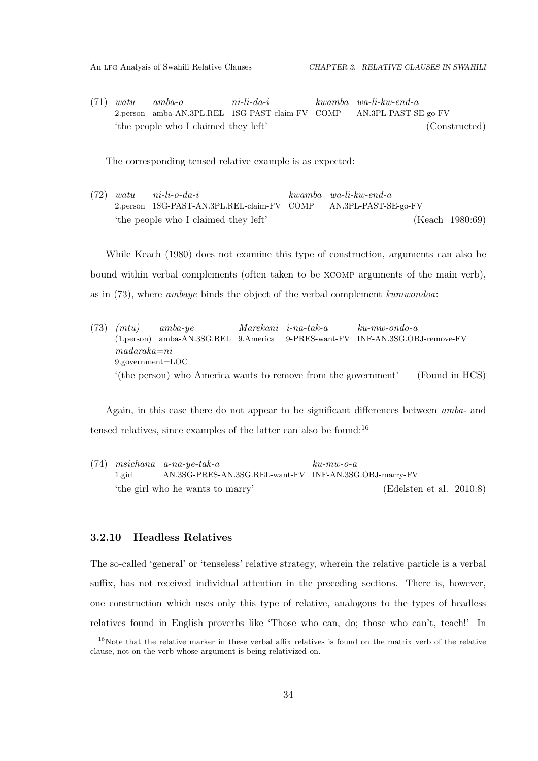(71) *watu* 2.person amba-AN.3PL.REL 1SG-PAST-claim-FV COMP *amba-o ni-li-da-i kwamba wa-li-kw-end-a* AN.3PL-PAST-SE-go-FV 'the people who I claimed they left' (Constructed)

The corresponding tensed relative example is as expected:

(72) *watu* 2.person 1SG-PAST-AN.3PL.REL-claim-FV COMP *ni-li-o-da-i kwamba wa-li-kw-end-a* AN.3PL-PAST-SE-go-FV 'the people who I claimed they left' [\(Keach 1980](#page-111-0):69)

While [Keach](#page-111-0) [\(1980](#page-111-0)) does not examine this type of construction, arguments can also be bound within verbal complements (often taken to be xcomp arguments of the main verb), as in [\(73\)](#page-38-0), where *ambaye* binds the object of the verbal complement *kumwondoa*:

<span id="page-38-0"></span>(73) *(mtu)* (1.person) amba-AN.3SG.REL 9.America *amba-ye Marekani i-na-tak-a* 9-PRES-want-FV INF-AN.3SG.OBJ-remove-FV *ku-mw-ondo-a madaraka=ni* 9.government=LOC '(the person) who America wants to remove from the government' (Found in HCS)

Again, in this case there do not appear to be significant differences between *amba-* and tensed relatives, since examples of the latter can also be found:[16](#page-38-1)

(74) *msichana a-na-ye-tak-a* 1.girl AN.3SG-PRES-AN.3SG.REL-want-FV INF-AN.3SG.OBJ-marry-FV *ku-mw-o-a* 'the girl who he wants to marry' [\(Edelsten et al. 2010:](#page-111-2)8)

#### 3.2.10 Headless Relatives

The so-called 'general' or 'tenseless' relative strategy, wherein the relative particle is a verbal suffix, has not received individual attention in the preceding sections. There is, however, one construction which uses only this type of relative, analogous to the types of headless relatives found in English proverbs like 'Those who can, do; those who can't, teach!' In

<span id="page-38-1"></span><sup>&</sup>lt;sup>16</sup>Note that the relative marker in these verbal affix relatives is found on the matrix verb of the relative clause, not on the verb whose argument is being relativized on.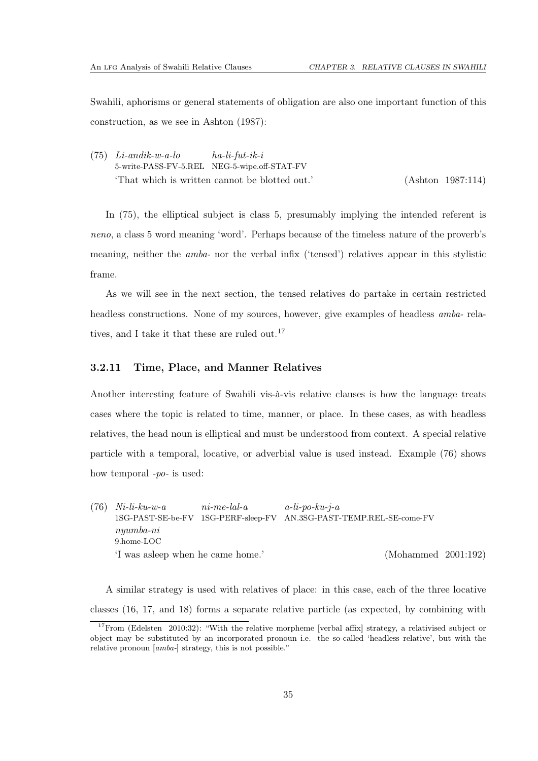Swahili, aphorisms or general statements of obligation are also one important function of this construction, as we see in [Ashton \(1987\)](#page-110-0):

<span id="page-39-0"></span>(75) *Li-andik-w-a-lo* 5-write-PASS-FV-5.REL NEG-5-wipe.off-STAT-FV *ha-li-fut-ik-i* 'That which is written cannot be blotted out.' [\(Ashton 1987](#page-110-0):114)

In [\(75\)](#page-39-0), the elliptical subject is class 5, presumably implying the intended referent is *neno*, a class 5 word meaning 'word'. Perhaps because of the timeless nature of the proverb's meaning, neither the *amba-* nor the verbal infix ('tensed') relatives appear in this stylistic frame.

As we will see in the next section, the tensed relatives do partake in certain restricted headless constructions. None of my sources, however, give examples of headless *amba-* rela-tives, and I take it that these are ruled out.<sup>[17](#page-39-1)</sup>

#### 3.2.11 Time, Place, and Manner Relatives

Another interesting feature of Swahili vis-à-vis relative clauses is how the language treats cases where the topic is related to time, manner, or place. In these cases, as with headless relatives, the head noun is elliptical and must be understood from context. A special relative particle with a temporal, locative, or adverbial value is used instead. Example [\(76\)](#page-39-2) shows how temporal *-po-* is used:

<span id="page-39-2"></span>(76) *Ni-li-ku-w-a* 1SG-PAST-SE-be-FV 1SG-PERF-sleep-FV AN.3SG-PAST-TEMP.REL-SE-come-FV *ni-me-lal-a a-li-po-ku-j-a nyumba-ni* 9.home-LOC 'I was asleep when he came home.' [\(Mohammed 2001](#page-112-0):192)

A similar strategy is used with relatives of place: in this case, each of the three locative classes (16, 17, and 18) forms a separate relative particle (as expected, by combining with

<span id="page-39-1"></span> $17$ From [\(Edelsten 2010](#page-111-1):32): "With the relative morpheme [verbal affix] strategy, a relativised subject or object may be substituted by an incorporated pronoun i.e. the so-called 'headless relative', but with the relative pronoun [amba-] strategy, this is not possible."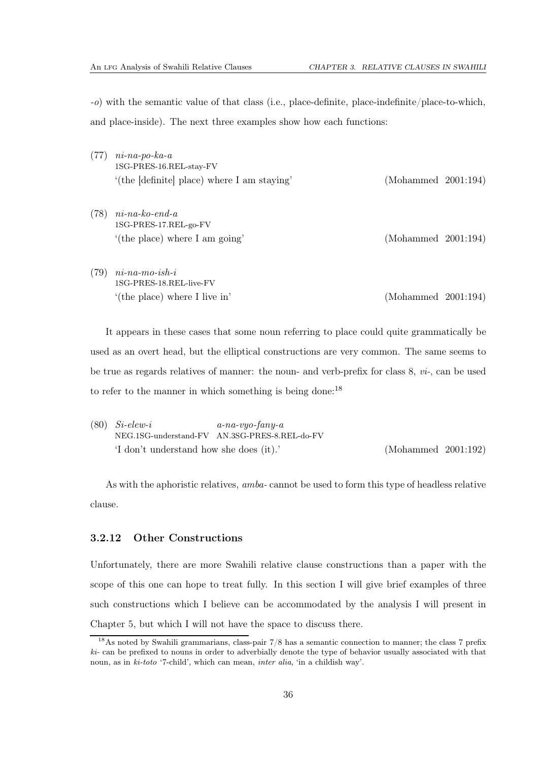*-o*) with the semantic value of that class (i.e., place-definite, place-indefinite/place-to-which, and place-inside). The next three examples show how each functions:

- (77) *ni-na-po-ka-a* 1SG-PRES-16.REL-stay-FV '(the [definite] place) where I am staying' [\(Mohammed 2001](#page-112-0):194)
- (78) *ni-na-ko-end-a* 1SG-PRES-17.REL-go-FV '(the place) where I am going' [\(Mohammed 2001](#page-112-0):194)
- (79) *ni-na-mo-ish-i* 1SG-PRES-18.REL-live-FV '(the place) where I live in' [\(Mohammed 2001](#page-112-0):194)

It appears in these cases that some noun referring to place could quite grammatically be used as an overt head, but the elliptical constructions are very common. The same seems to be true as regards relatives of manner: the noun- and verb-prefix for class 8, *vi-*, can be used to refer to the manner in which something is being done:[18](#page-40-0)

(80) *Si-elew-i* NEG.1SG-understand-FV AN.3SG-PRES-8.REL-do-FV *a-na-vyo-fany-a* 'I don't understand how she does (it).' [\(Mohammed 2001](#page-112-0):192)

As with the aphoristic relatives, *amba-* cannot be used to form this type of headless relative clause.

#### 3.2.12 Other Constructions

Unfortunately, there are more Swahili relative clause constructions than a paper with the scope of this one can hope to treat fully. In this section I will give brief examples of three such constructions which I believe can be accommodated by the analysis I will present in Chapter [5,](#page-58-0) but which I will not have the space to discuss there.

<span id="page-40-0"></span><sup>&</sup>lt;sup>18</sup>As noted by Swahili grammarians, class-pair  $7/8$  has a semantic connection to manner; the class 7 prefix  $ki$ - can be prefixed to nouns in order to adverbially denote the type of behavior usually associated with that noun, as in ki-toto '7-child', which can mean, inter alia, 'in a childish way'.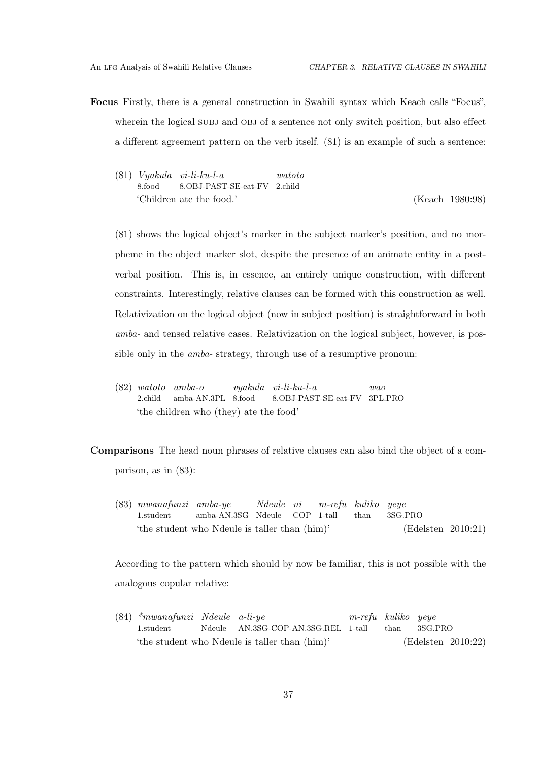- <span id="page-41-0"></span>Focus Firstly, there is a general construction in Swahili syntax which Keach calls "Focus", wherein the logical SUBJ and OBJ of a sentence not only switch position, but also effect a different agreement pattern on the verb itself. [\(81\)](#page-41-0) is an example of such a sentence:
	- (81) *Vyakula vi-li-ku-l-a* 8.food 8.OBJ-PAST-SE-eat-FV 2.child *watoto* 'Children ate the food.' [\(Keach 1980](#page-111-0):98)

[\(81\)](#page-41-0) shows the logical object's marker in the subject marker's position, and no morpheme in the object marker slot, despite the presence of an animate entity in a postverbal position. This is, in essence, an entirely unique construction, with different constraints. Interestingly, relative clauses can be formed with this construction as well. Relativization on the logical object (now in subject position) is straightforward in both *amba-* and tensed relative cases. Relativization on the logical subject, however, is possible only in the *amba-* strategy, through use of a resumptive pronoun:

(82) *watoto* 2.child *amba-o* amba-AN.3PL 8.food *vyakula vi-li-ku-l-a* 8.OBJ-PAST-SE-eat-FV 3PL.PRO *wao* 'the children who (they) ate the food'

Comparisons The head noun phrases of relative clauses can also bind the object of a comparison, as in [\(83\)](#page-41-1):

<span id="page-41-1"></span>(83) *mwanafunzi amba-ye* 1.student amba-AN.3SG Ndeule *Ndeule ni* COP 1-tall *m-refu kuliko* than *yeye* 3SG.PRO 'the student who Ndeule is taller than (him)' [\(Edelsten 2010](#page-111-1):21)

According to the pattern which should by now be familiar, this is not possible with the analogous copular relative:

(84) *\*mwanafunzi Ndeule a-li-ye* 1.student Ndeule AN.3SG-COP-AN.3SG.REL 1-tall *m-refu kuliko* than *yeye* 3SG.PRO 'the student who Ndeule is taller than (him)' [\(Edelsten 2010](#page-111-1):22)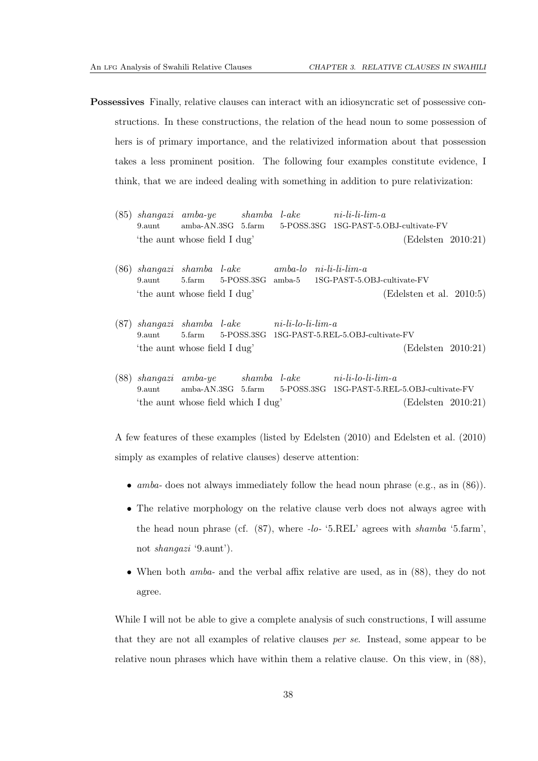- <span id="page-42-0"></span>Possessives Finally, relative clauses can interact with an idiosyncratic set of possessive constructions. In these constructions, the relation of the head noun to some possession of hers is of primary importance, and the relativized information about that possession takes a less prominent position. The following four examples constitute evidence, I think, that we are indeed dealing with something in addition to pure relativization:
	- (85) *shangazi amba-ye* 9.aunt amba-AN.3SG 5.farm *shamba l-ake* 5-POSS.3SG 1SG-PAST-5.OBJ-cultivate-FV *ni-li-li-lim-a* 'the aunt whose field I dug' [\(Edelsten 2010](#page-111-1):21)
	- (86) *shangazi shamba l-ake* 9.aunt 5.farm 5-POSS.3SG *amba-lo* amba-5 *ni-li-li-lim-a* 1SG-PAST-5.OBJ-cultivate-FV 'the aunt whose field I dug' [\(Edelsten et al. 2010:](#page-111-2)5)
	- (87) *shangazi shamba l-ake* 9.aunt 5.farm 5-POSS.3SG 1SG-PAST-5.REL-5.OBJ-cultivate-FV *ni-li-lo-li-lim-a* 'the aunt whose field I dug' [\(Edelsten 2010](#page-111-1):21)
	- (88) *shangazi amba-ye* 9.aunt amba-AN.3SG 5.farm *shamba l-ake* 5-POSS.3SG 1SG-PAST-5.REL-5.OBJ-cultivate-FV *ni-li-lo-li-lim-a* 'the aunt whose field which I dug' [\(Edelsten 2010](#page-111-1):21)

<span id="page-42-2"></span><span id="page-42-1"></span>A few features of these examples (listed by [Edelsten \(2010](#page-111-1)) and [Edelsten et al. \(2010](#page-111-2)) simply as examples of relative clauses) deserve attention:

- *amba-* does not always immediately follow the head noun phrase (e.g., as in [\(86\)](#page-42-0)).
- The relative morphology on the relative clause verb does not always agree with the head noun phrase (cf. [\(87\)](#page-42-1), where *-lo-* '5.REL' agrees with *shamba* '5.farm', not *shangazi* '9.aunt').
- When both *amba-* and the verbal affix relative are used, as in [\(88\)](#page-42-2), they do not agree.

While I will not be able to give a complete analysis of such constructions, I will assume that they are not all examples of relative clauses *per se*. Instead, some appear to be relative noun phrases which have within them a relative clause. On this view, in [\(88\)](#page-42-2),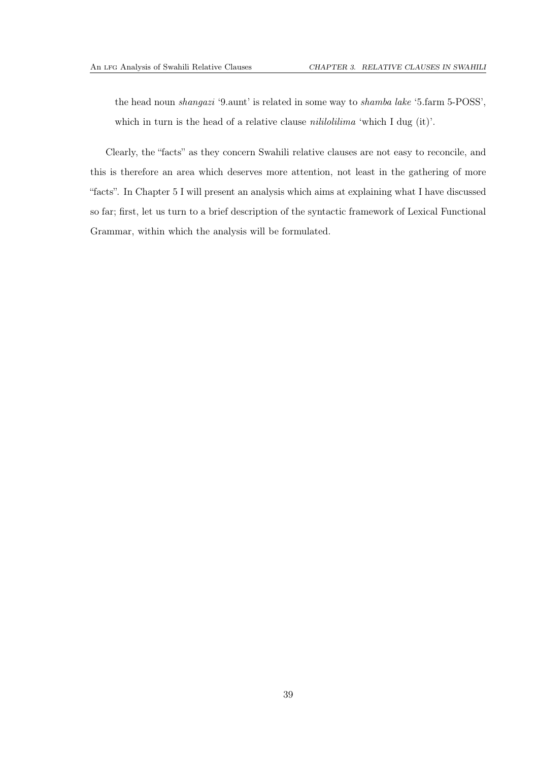the head noun *shangazi* '9.aunt' is related in some way to *shamba lake* '5.farm 5-POSS', which in turn is the head of a relative clause *nililolilima* 'which I dug (it)'.

Clearly, the "facts" as they concern Swahili relative clauses are not easy to reconcile, and this is therefore an area which deserves more attention, not least in the gathering of more "facts". In Chapter [5](#page-58-0) I will present an analysis which aims at explaining what I have discussed so far; first, let us turn to a brief description of the syntactic framework of Lexical Functional Grammar, within which the analysis will be formulated.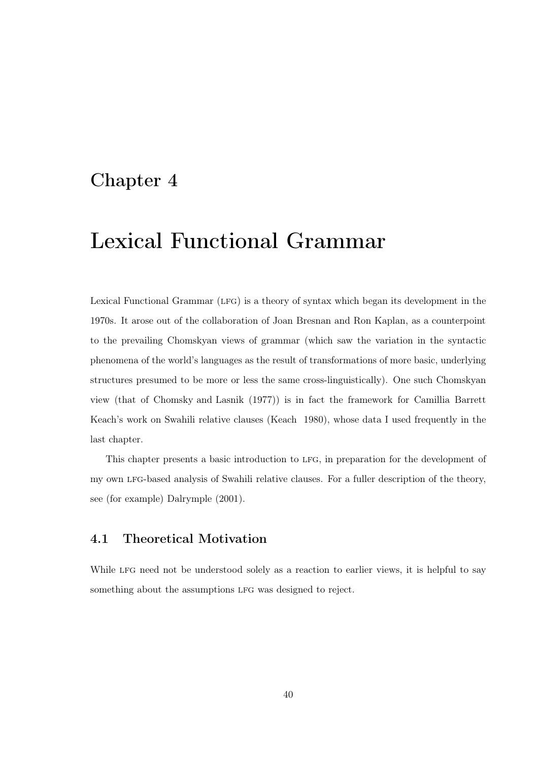# Chapter 4

# Lexical Functional Grammar

Lexical Functional Grammar (lfg) is a theory of syntax which began its development in the 1970s. It arose out of the collaboration of Joan Bresnan and Ron Kaplan, as a counterpoint to the prevailing Chomskyan views of grammar (which saw the variation in the syntactic phenomena of the world's languages as the result of transformations of more basic, underlying structures presumed to be more or less the same cross-linguistically). One such Chomskyan view (that of [Chomsky and Lasnik \(1977\)](#page-110-1)) is in fact the framework for Camillia Barrett Keach's work on Swahili relative clauses [\(Keach 1980\)](#page-111-0), whose data I used frequently in the last chapter.

This chapter presents a basic introduction to lfg, in preparation for the development of my own lfg-based analysis of Swahili relative clauses. For a fuller description of the theory, see (for example) [Dalrymple \(2001\)](#page-111-3).

# 4.1 Theoretical Motivation

While LFG need not be understood solely as a reaction to earlier views, it is helpful to say something about the assumptions LFG was designed to reject.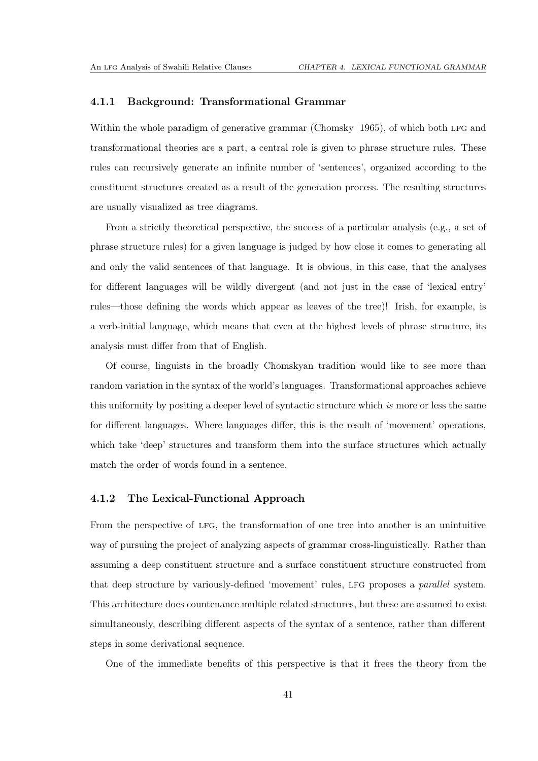#### 4.1.1 Background: Transformational Grammar

Within the whole paradigm of generative grammar [\(Chomsky 1965\)](#page-110-2), of which both LFG and transformational theories are a part, a central role is given to phrase structure rules. These rules can recursively generate an infinite number of 'sentences', organized according to the constituent structures created as a result of the generation process. The resulting structures are usually visualized as tree diagrams.

From a strictly theoretical perspective, the success of a particular analysis (e.g., a set of phrase structure rules) for a given language is judged by how close it comes to generating all and only the valid sentences of that language. It is obvious, in this case, that the analyses for different languages will be wildly divergent (and not just in the case of 'lexical entry' rules—those defining the words which appear as leaves of the tree)! Irish, for example, is a verb-initial language, which means that even at the highest levels of phrase structure, its analysis must differ from that of English.

Of course, linguists in the broadly Chomskyan tradition would like to see more than random variation in the syntax of the world's languages. Transformational approaches achieve this uniformity by positing a deeper level of syntactic structure which *is* more or less the same for different languages. Where languages differ, this is the result of 'movement' operations, which take 'deep' structures and transform them into the surface structures which actually match the order of words found in a sentence.

#### 4.1.2 The Lexical-Functional Approach

From the perspective of lfg, the transformation of one tree into another is an unintuitive way of pursuing the project of analyzing aspects of grammar cross-linguistically. Rather than assuming a deep constituent structure and a surface constituent structure constructed from that deep structure by variously-defined 'movement' rules, lfg proposes a *parallel* system. This architecture does countenance multiple related structures, but these are assumed to exist simultaneously, describing different aspects of the syntax of a sentence, rather than different steps in some derivational sequence.

One of the immediate benefits of this perspective is that it frees the theory from the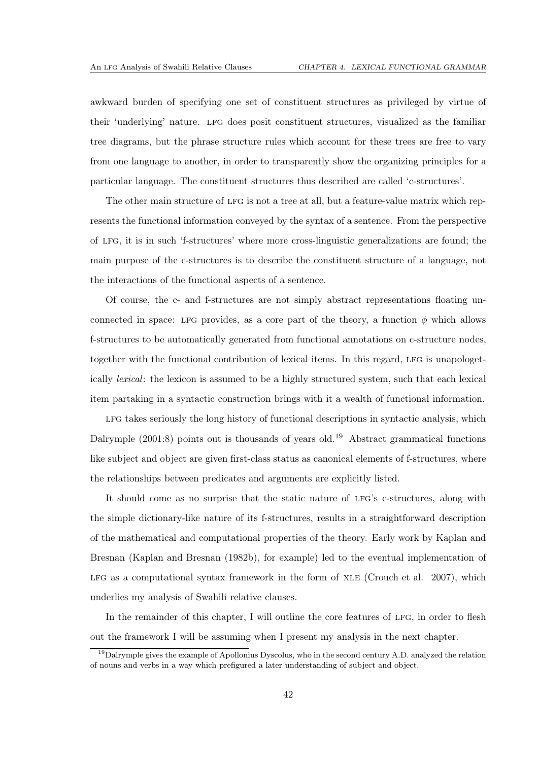awkward burden of specifying one set of constituent structures as privileged by virtue of their 'underlying' nature. lfg does posit constituent structures, visualized as the familiar tree diagrams, but the phrase structure rules which account for these trees are free to vary from one language to another, in order to transparently show the organizing principles for a particular language. The constituent structures thus described are called 'c-structures'.

The other main structure of LFG is not a tree at all, but a feature-value matrix which represents the functional information conveyed by the syntax of a sentence. From the perspective of lfg, it is in such 'f-structures' where more cross-linguistic generalizations are found; the main purpose of the c-structures is to describe the constituent structure of a language, not the interactions of the functional aspects of a sentence.

Of course, the c- and f-structures are not simply abstract representations floating unconnected in space: LFG provides, as a core part of the theory, a function  $\phi$  which allows f-structures to be automatically generated from functional annotations on c-structure nodes, together with the functional contribution of lexical items. In this regard, LFG is unapologetically *lexical*: the lexicon is assumed to be a highly structured system, such that each lexical item partaking in a syntactic construction brings with it a wealth of functional information.

LFG takes seriously the long history of functional descriptions in syntactic analysis, which Dalrymple  $(2001:8)$  points out is thousands of years old.<sup>[19](#page-46-0)</sup> Abstract grammatical functions like subject and object are given first-class status as canonical elements of f-structures, where the relationships between predicates and arguments are explicitly listed.

It should come as no surprise that the static nature of LFG's c-structures, along with the simple dictionary-like nature of its f-structures, results in a straightforward description of the mathematical and computational properties of the theory. Early work by Kaplan and Bresnan [\(Kaplan and Bresnan](#page-111-4) [\(1982b](#page-111-4)), for example) led to the eventual implementation of LFG as a computational syntax framework in the form of  $XLE$  [\(Crouch et al. 2007\)](#page-111-5), which underlies my analysis of Swahili relative clauses.

In the remainder of this chapter, I will outline the core features of LFG, in order to flesh out the framework I will be assuming when I present my analysis in the next chapter.

<span id="page-46-0"></span> $19$ Dalrymple gives the example of Apollonius Dyscolus, who in the second century A.D. analyzed the relation of nouns and verbs in a way which prefigured a later understanding of subject and object.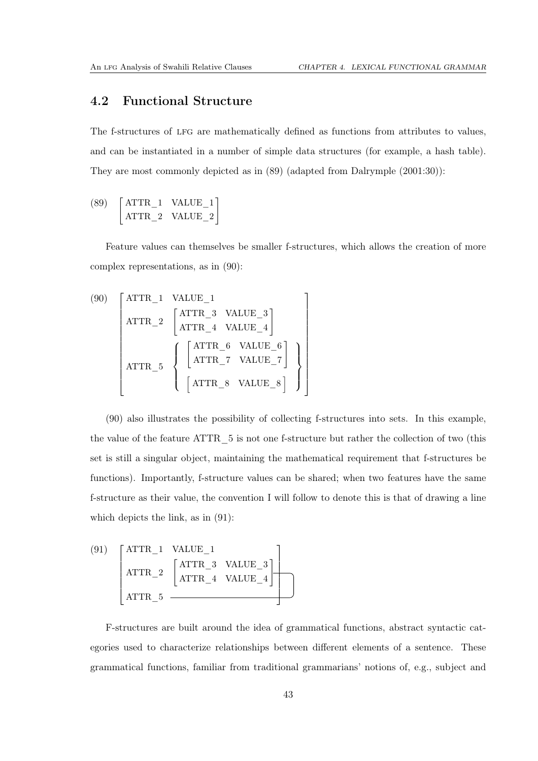## 4.2 Functional Structure

The f-structures of LFG are mathematically defined as functions from attributes to values, and can be instantiated in a number of simple data structures (for example, a hash table). They are most commonly depicted as in [\(89\)](#page-47-0) (adapted from [Dalrymple \(2001](#page-111-3):30)):

<span id="page-47-0"></span>
$$
\begin{bmatrix} \text{ATTR}_1 & \text{VALUE}_1\\ \text{ATTR}_2 & \text{VALUE}_2 \end{bmatrix}
$$

Feature values can themselves be smaller f-structures, which allows the creation of more complex representations, as in [\(90\)](#page-47-1):

> 1  $\mathbf{I}$  $\overline{1}$  $\mathbf{I}$  $\mathbf{I}$  $\mathbf{I}$  $\overline{1}$  $\mathbf{I}$  $\mathbf{I}$  $\mathbf{I}$  $\mathbf{I}$  $\mathbf{I}$  $\mathbf{I}$  $\mathbf{I}$  $\mathbf{I}$

<span id="page-47-1"></span>
$$
(90) \begin{bmatrix} \text{ATTR}_1 & \text{VALUE}_1 \\ \text{ATTR}_2 & \begin{bmatrix} \text{ATTR}_3 & \text{VALUE}_3 \\ \text{ATTR}_4 & \text{VALUE}_4 \end{bmatrix} \\ & \\ \text{ATTR}_5 & \begin{bmatrix} \begin{bmatrix} \text{ATTR}_6 & \text{VALUE}_6 \\ \text{ATTR}_7 & \text{VALUE}_7 \end{bmatrix} \\ & \\ \begin{bmatrix} \text{ATTR}_7 & \text{VALUE}_7 \end{bmatrix} \\ & \\ \begin{bmatrix} \text{ATTR}_8 & \text{VALUE}_8 \end{bmatrix} \end{bmatrix}
$$

[\(90\)](#page-47-1) also illustrates the possibility of collecting f-structures into sets. In this example, the value of the feature ATTR\_5 is not one f-structure but rather the collection of two (this set is still a singular object, maintaining the mathematical requirement that f-structures be functions). Importantly, f-structure values can be shared; when two features have the same f-structure as their value, the convention I will follow to denote this is that of drawing a line which depicts the link, as in [\(91\)](#page-47-2):

<span id="page-47-2"></span>
$$
\begin{array}{c}\n\text{(91)} \quad\n \left[\begin{array}{cc}\n \text{ATTR}_1 & \text{VALUE}_1 \\
 \text{ATTR}_2 & \left[\begin{array}{cc}\n \text{ATTR}_3 & \text{VALUE}_3 \\
 \text{ATTR}_4 & \text{VALUE}_4\n \end{array}\right]\n \end{array}\right] \\
 \text{ATTR}_5 \quad\n \end{array}\n\end{array}
$$

F-structures are built around the idea of grammatical functions, abstract syntactic categories used to characterize relationships between different elements of a sentence. These grammatical functions, familiar from traditional grammarians' notions of, e.g., subject and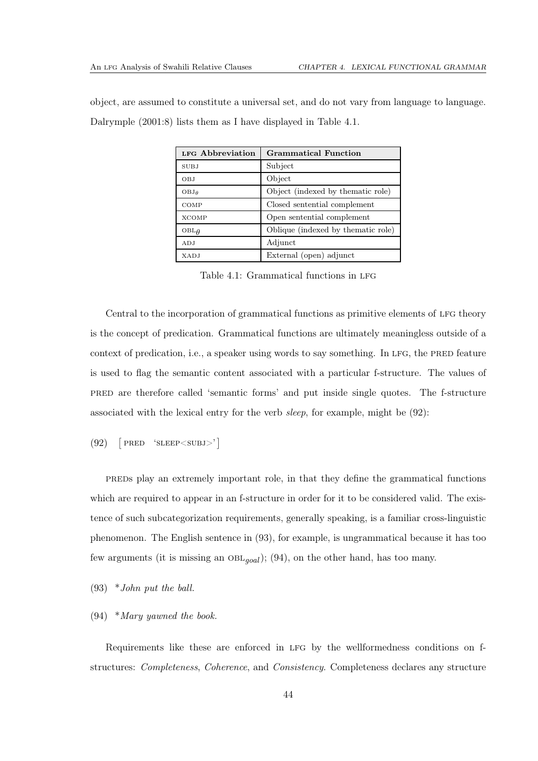|  |  | object, are assumed to constitute a universal set, and do not vary from language to language. |  |  |  |  |  |  |  |
|--|--|-----------------------------------------------------------------------------------------------|--|--|--|--|--|--|--|
|  |  | Dalrymple $(2001.8)$ lists them as I have displayed in Table 4.1.                             |  |  |  |  |  |  |  |

| LFG Abbreviation | <b>Grammatical Function</b>         |
|------------------|-------------------------------------|
| <b>SUBJ</b>      | Subject                             |
| OBJ              | Object                              |
| OBJA             | Object (indexed by thematic role)   |
| COMP             | Closed sentential complement        |
| <b>XCOMP</b>     | Open sentential complement          |
| $OBL\theta$      | Oblique (indexed by the matic role) |
| ADJ              | Adjunct                             |
| XADJ             | External (open) adjunct             |

<span id="page-48-0"></span>Table 4.1: Grammatical functions in LFG

Central to the incorporation of grammatical functions as primitive elements of LFG theory is the concept of predication. Grammatical functions are ultimately meaningless outside of a context of predication, i.e., a speaker using words to say something. In LFG, the PRED feature is used to flag the semantic content associated with a particular f-structure. The values of pred are therefore called 'semantic forms' and put inside single quotes. The f-structure associated with the lexical entry for the verb *sleep*, for example, might be [\(92\)](#page-48-1):

<span id="page-48-1"></span> $(92)$ PRED 'SLEEP<SUBJ>']

preds play an extremely important role, in that they define the grammatical functions which are required to appear in an f-structure in order for it to be considered valid. The existence of such subcategorization requirements, generally speaking, is a familiar cross-linguistic phenomenon. The English sentence in [\(93\)](#page-48-2), for example, is ungrammatical because it has too few arguments (it is missing an  $OBL_{goal}$ ); [\(94\)](#page-48-3), on the other hand, has too many.

<span id="page-48-3"></span><span id="page-48-2"></span>(93) \**John put the ball.*

#### (94) \**Mary yawned the book.*

Requirements like these are enforced in LFG by the wellformedness conditions on fstructures: *Completeness*, *Coherence*, and *Consistency*. Completeness declares any structure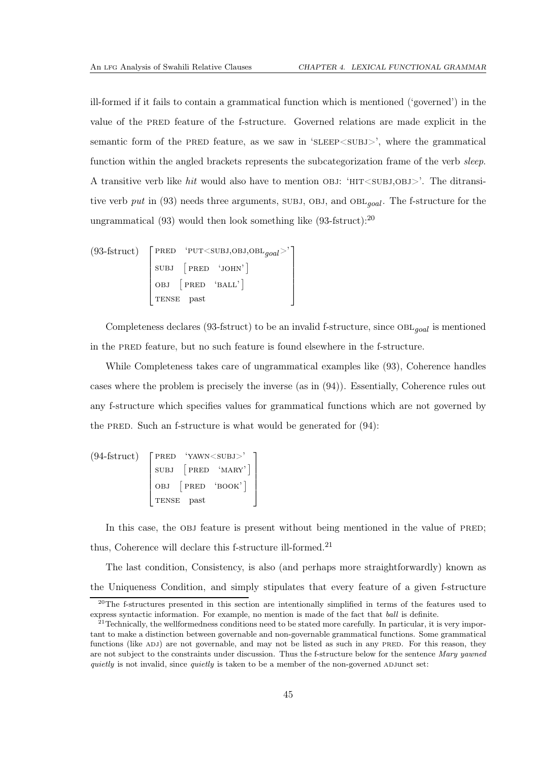ill-formed if it fails to contain a grammatical function which is mentioned ('governed') in the value of the PRED feature of the f-structure. Governed relations are made explicit in the semantic form of the PRED feature, as we saw in 'SLEEP<SUBJ>', where the grammatical function within the angled brackets represents the subcategorization frame of the verb *sleep*. A transitive verb like *hit* would also have to mention OBJ: 'HIT<SUBJ,OBJ>'. The ditransitive verb put in  $(93)$  needs three arguments, SUBJ, OBJ, and OBL<sub>qoal</sub>. The f-structure for the ungrammatical  $(93)$  would then look something like  $(93\text{-}fstruct)$ :<sup>[20](#page-49-0)</sup>

$$
(93\text{-fstruct})\left[\begin{array}{cc}\text{PRED} & \text{'PUT'\\\text{SUBJ} & \text{PRED} & \text{'JOHN'}\\\text{OBJ} & \text{PRED} & \text{'BAL'}\\\text{TENSE past}\end{array}\right]
$$

Completeness declares [\(93-](#page-48-2)fstruct) to be an invalid f-structure, since  $OBL_{goal}$  is mentioned in the pred feature, but no such feature is found elsewhere in the f-structure.

While Completeness takes care of ungrammatical examples like [\(93\)](#page-48-2), Coherence handles cases where the problem is precisely the inverse (as in [\(94\)](#page-48-3)). Essentially, Coherence rules out any f-structure which specifies values for grammatical functions which are not governed by the PRED. Such an f-structure is what would be generated for  $(94)$ :

$$
(94\text{-fstruct})\left[\begin{array}{cc}\text{PRED} & \text{'YAWN'}\\ \text{SUBJ} & \text{[PRED} & \text{'MAX'}\\ \text{OBJ} & \text{[PRED} & \text{'BOOK'}]\\\text{TENSE past}\end{array}\right]
$$

In this case, the OBJ feature is present without being mentioned in the value of PRED; thus, Coherence will declare this f-structure ill-formed.<sup>[21](#page-49-1)</sup>

The last condition, Consistency, is also (and perhaps more straightforwardly) known as the Uniqueness Condition, and simply stipulates that every feature of a given f-structure

<span id="page-49-0"></span> $20$ The f-structures presented in this section are intentionally simplified in terms of the features used to express syntactic information. For example, no mention is made of the fact that ball is definite.

<span id="page-49-1"></span> $^{21}$ Technically, the wellformedness conditions need to be stated more carefully. In particular, it is very important to make a distinction between governable and non-governable grammatical functions. Some grammatical functions (like ADJ) are not governable, and may not be listed as such in any PRED. For this reason, they are not subject to the constraints under discussion. Thus the f-structure below for the sentence Mary yawned quietly is not invalid, since quietly is taken to be a member of the non-governed ADJunct set: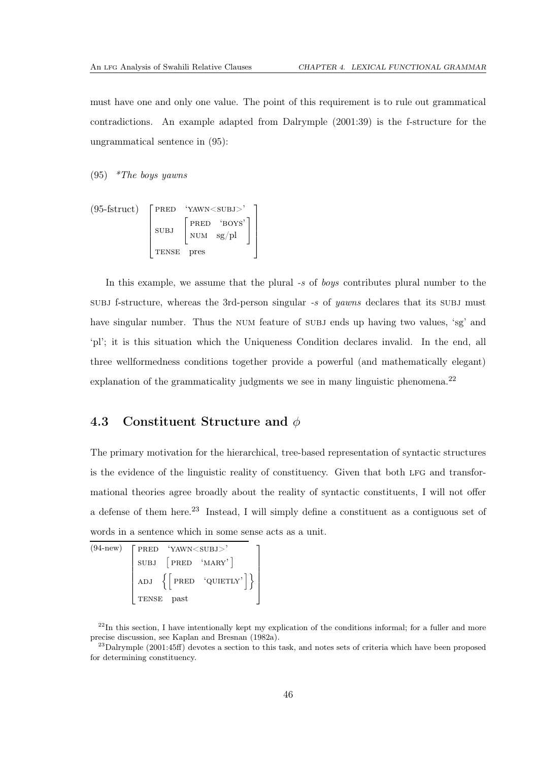must have one and only one value. The point of this requirement is to rule out grammatical contradictions. An example adapted from [Dalrymple \(2001](#page-111-3):39) is the f-structure for the ungrammatical sentence in [\(95\)](#page-50-0):

<span id="page-50-0"></span>(95) *\*The boys yawns*

$$
(95\text{-fstruct})\left[\begin{array}{cc}\text{PRED} & \text{'YAWN'}\\ \text{SUBJ} & \text{PRED} & \text{'BOYS'}\\ \text{SUBJ} & \text{NUM} & \text{sg/pl}\\ \text{TENSE} & \text{pres}\end{array}\right]
$$

In this example, we assume that the plural *-s* of *boys* contributes plural number to the subj f-structure, whereas the 3rd-person singular *-s* of *yawns* declares that its subj must have singular number. Thus the NUM feature of SUBJ ends up having two values, 'sg' and 'pl'; it is this situation which the Uniqueness Condition declares invalid. In the end, all three wellformedness conditions together provide a powerful (and mathematically elegant) explanation of the grammaticality judgments we see in many linguistic phenomena.<sup>[22](#page-50-1)</sup>

# 4.3 Constituent Structure and  $\phi$

The primary motivation for the hierarchical, tree-based representation of syntactic structures is the evidence of the linguistic reality of constituency. Given that both lfg and transformational theories agree broadly about the reality of syntactic constituents, I will not offer a defense of them here.[23](#page-50-2) Instead, I will simply define a constituent as a contiguous set of words in a sentence which in some sense acts as a unit.

| $(94-new)$ $\big[$ PRED 'YAWN $\lt$ SUBJ >' |  |
|---------------------------------------------|--|
| SUBJ [PRED 'MARY']                          |  |
| ADJ $\{$ PRED 'QUIETLY' $\}$                |  |
| TENSE past                                  |  |

<span id="page-50-1"></span> $^{22}$ In this section, I have intentionally kept my explication of the conditions informal; for a fuller and more precise discussion, see [Kaplan and Bresnan \(1982a](#page-111-6)).

<span id="page-50-2"></span> $^{23}$ [Dalrymple \(2001](#page-111-3):45ff) devotes a section to this task, and notes sets of criteria which have been proposed for determining constituency.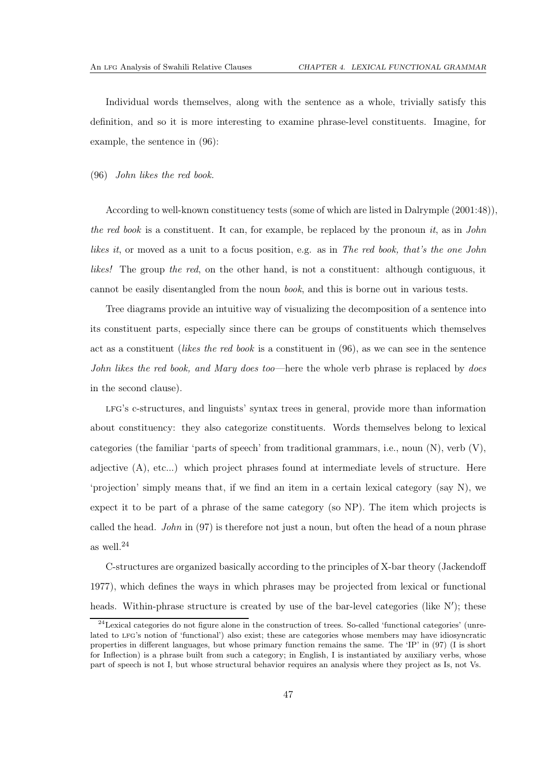Individual words themselves, along with the sentence as a whole, trivially satisfy this definition, and so it is more interesting to examine phrase-level constituents. Imagine, for example, the sentence in [\(96\)](#page-51-0):

<span id="page-51-0"></span>(96) *John likes the red book.*

According to well-known constituency tests (some of which are listed in [Dalrymple](#page-111-3) [\(2001](#page-111-3):48)), *the red book* is a constituent. It can, for example, be replaced by the pronoun *it*, as in *John likes it*, or moved as a unit to a focus position, e.g. as in *The red book, that's the one John likes!* The group *the red*, on the other hand, is not a constituent: although contiguous, it cannot be easily disentangled from the noun *book*, and this is borne out in various tests.

Tree diagrams provide an intuitive way of visualizing the decomposition of a sentence into its constituent parts, especially since there can be groups of constituents which themselves act as a constituent (*likes the red book* is a constituent in [\(96\)](#page-51-0), as we can see in the sentence *John likes the red book, and Mary does too*—here the whole verb phrase is replaced by *does* in the second clause).

lfg's c-structures, and linguists' syntax trees in general, provide more than information about constituency: they also categorize constituents. Words themselves belong to lexical categories (the familiar 'parts of speech' from traditional grammars, i.e., noun  $(N)$ , verb  $(V)$ , adjective (A), etc...) which project phrases found at intermediate levels of structure. Here 'projection' simply means that, if we find an item in a certain lexical category (say N), we expect it to be part of a phrase of the same category (so NP). The item which projects is called the head. *John* in [\(97\)](#page-52-0) is therefore not just a noun, but often the head of a noun phrase as well.[24](#page-51-1)

C-structures are organized basically according to the principles of X-bar theory [\(Jackendoff](#page-111-7) [1977](#page-111-7)), which defines the ways in which phrases may be projected from lexical or functional heads. Within-phrase structure is created by use of the bar-level categories (like N'); these

<span id="page-51-1"></span> $^{24}$ Lexical categories do not figure alone in the construction of trees. So-called 'functional categories' (unrelated to LFG's notion of 'functional') also exist; these are categories whose members may have idiosyncratic properties in different languages, but whose primary function remains the same. The 'IP' in [\(97\)](#page-52-0) (I is short for Inflection) is a phrase built from such a category; in English, I is instantiated by auxiliary verbs, whose part of speech is not I, but whose structural behavior requires an analysis where they project as Is, not Vs.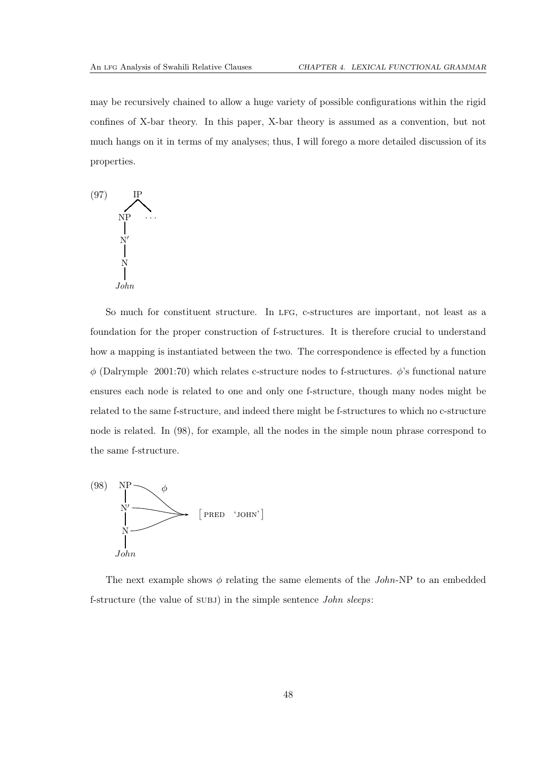may be recursively chained to allow a huge variety of possible configurations within the rigid confines of X-bar theory. In this paper, X-bar theory is assumed as a convention, but not much hangs on it in terms of my analyses; thus, I will forego a more detailed discussion of its properties.

<span id="page-52-0"></span>

So much for constituent structure. In LFG, c-structures are important, not least as a foundation for the proper construction of f-structures. It is therefore crucial to understand how a mapping is instantiated between the two. The correspondence is effected by a function  $\phi$  [\(Dalrymple 2001](#page-111-3):70) which relates c-structure nodes to f-structures.  $\phi$ 's functional nature ensures each node is related to one and only one f-structure, though many nodes might be related to the same f-structure, and indeed there might be f-structures to which no c-structure node is related. In [\(98\)](#page-52-1), for example, all the nodes in the simple noun phrase correspond to the same f-structure.

<span id="page-52-1"></span>

The next example shows  $\phi$  relating the same elements of the *John*-NP to an embedded f-structure (the value of subj) in the simple sentence *John sleeps*: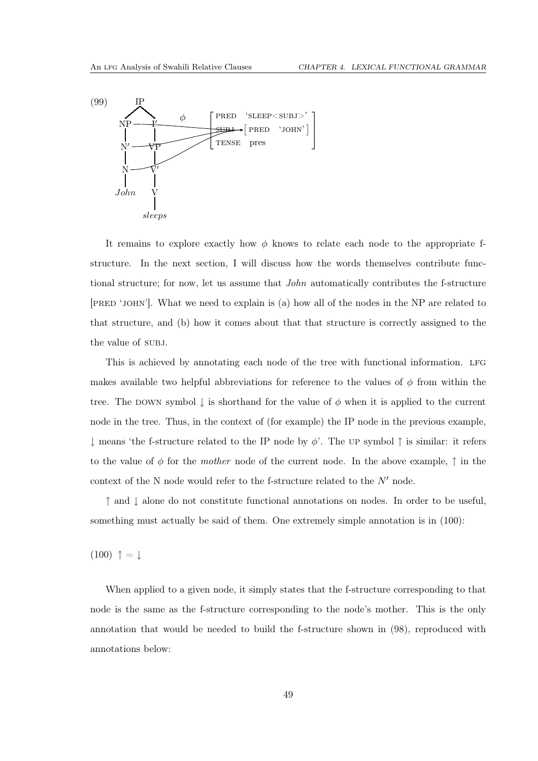<span id="page-53-1"></span>

It remains to explore exactly how  $\phi$  knows to relate each node to the appropriate fstructure. In the next section, I will discuss how the words themselves contribute functional structure; for now, let us assume that *John* automatically contributes the f-structure [pred 'john']. What we need to explain is (a) how all of the nodes in the NP are related to that structure, and (b) how it comes about that that structure is correctly assigned to the the value of SUBJ.

This is achieved by annotating each node of the tree with functional information. lfg makes available two helpful abbreviations for reference to the values of  $\phi$  from within the tree. The DOWN symbol  $\downarrow$  is shorthand for the value of  $\phi$  when it is applied to the current node in the tree. Thus, in the context of (for example) the IP node in the previous example,  $\downarrow$  means 'the f-structure related to the IP node by  $\phi'$ . The UP symbol  $\uparrow$  is similar: it refers to the value of  $\phi$  for the *mother* node of the current node. In the above example,  $\uparrow$  in the context of the N node would refer to the f-structure related to the  $N'$  node.

↑ and ↓ alone do not constitute functional annotations on nodes. In order to be useful, something must actually be said of them. One extremely simple annotation is in [\(100\)](#page-53-0):

<span id="page-53-0"></span> $(100)$   $\uparrow$  =  $\downarrow$ 

When applied to a given node, it simply states that the f-structure corresponding to that node is the same as the f-structure corresponding to the node's mother. This is the only annotation that would be needed to build the f-structure shown in [\(98\)](#page-52-1), reproduced with annotations below: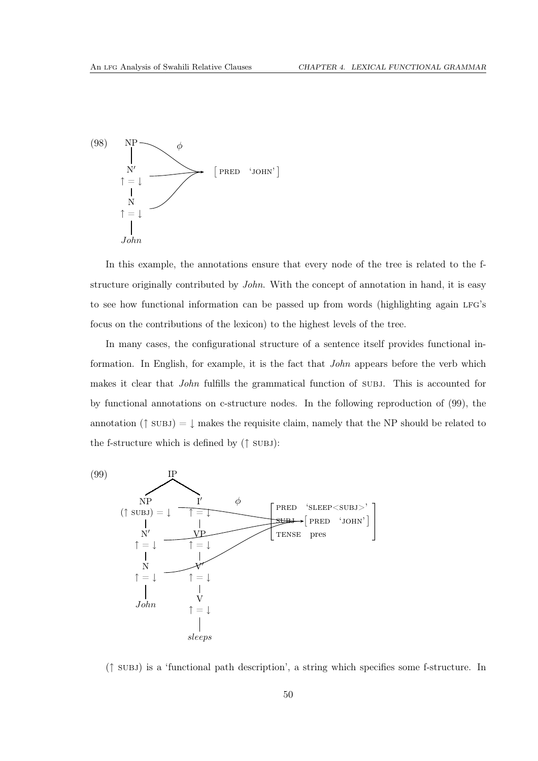

In this example, the annotations ensure that every node of the tree is related to the fstructure originally contributed by *John*. With the concept of annotation in hand, it is easy to see how functional information can be passed up from words (highlighting again lfg's focus on the contributions of the lexicon) to the highest levels of the tree.

In many cases, the configurational structure of a sentence itself provides functional information. In English, for example, it is the fact that *John* appears before the verb which makes it clear that *John* fulfills the grammatical function of subj. This is accounted for by functional annotations on c-structure nodes. In the following reproduction of [\(99\)](#page-53-1), the annotation ( $\uparrow$  subjection subsetsubstanding requisite claim, namely that the NP should be related to the f-structure which is defined by  $(†$  SUBJ):



(↑ subj) is a 'functional path description', a string which specifies some f-structure. In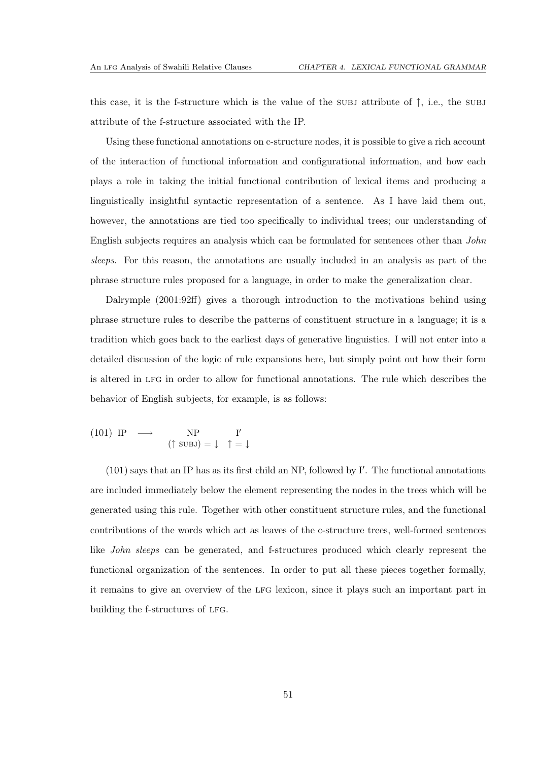this case, it is the f-structure which is the value of the subjecture of  $\uparrow$ , i.e., the subjecture attribute of the f-structure associated with the IP.

Using these functional annotations on c-structure nodes, it is possible to give a rich account of the interaction of functional information and configurational information, and how each plays a role in taking the initial functional contribution of lexical items and producing a linguistically insightful syntactic representation of a sentence. As I have laid them out, however, the annotations are tied too specifically to individual trees; our understanding of English subjects requires an analysis which can be formulated for sentences other than *John sleeps*. For this reason, the annotations are usually included in an analysis as part of the phrase structure rules proposed for a language, in order to make the generalization clear.

[Dalrymple \(2001:](#page-111-3)92ff) gives a thorough introduction to the motivations behind using phrase structure rules to describe the patterns of constituent structure in a language; it is a tradition which goes back to the earliest days of generative linguistics. I will not enter into a detailed discussion of the logic of rule expansions here, but simply point out how their form is altered in lfg in order to allow for functional annotations. The rule which describes the behavior of English subjects, for example, is as follows:

<span id="page-55-0"></span>(101) IP 
$$
\longrightarrow
$$
 NP  $I'$   
( $\uparrow$  SUBJ) =  $\downarrow \uparrow$  =  $\downarrow$ 

[\(101\)](#page-55-0) says that an IP has as its first child an NP, followed by I′ . The functional annotations are included immediately below the element representing the nodes in the trees which will be generated using this rule. Together with other constituent structure rules, and the functional contributions of the words which act as leaves of the c-structure trees, well-formed sentences like *John sleeps* can be generated, and f-structures produced which clearly represent the functional organization of the sentences. In order to put all these pieces together formally, it remains to give an overview of the lfg lexicon, since it plays such an important part in building the f-structures of LFG.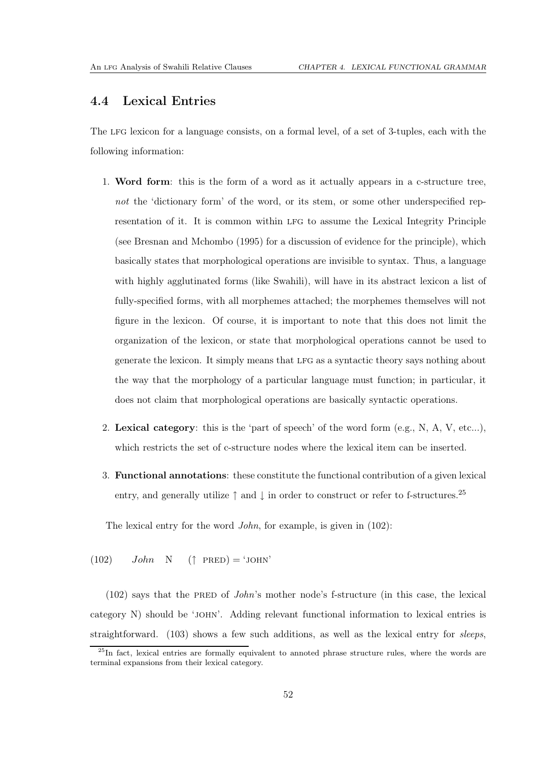## 4.4 Lexical Entries

The LFG lexicon for a language consists, on a formal level, of a set of 3-tuples, each with the following information:

- 1. Word form: this is the form of a word as it actually appears in a c-structure tree, *not* the 'dictionary form' of the word, or its stem, or some other underspecified representation of it. It is common within LFG to assume the Lexical Integrity Principle (see [Bresnan and Mchombo \(1995](#page-110-3)) for a discussion of evidence for the principle), which basically states that morphological operations are invisible to syntax. Thus, a language with highly agglutinated forms (like Swahili), will have in its abstract lexicon a list of fully-specified forms, with all morphemes attached; the morphemes themselves will not figure in the lexicon. Of course, it is important to note that this does not limit the organization of the lexicon, or state that morphological operations cannot be used to generate the lexicon. It simply means that lfg as a syntactic theory says nothing about the way that the morphology of a particular language must function; in particular, it does not claim that morphological operations are basically syntactic operations.
- 2. Lexical category: this is the 'part of speech' of the word form  $(e.g., N, A, V, etc...),$ which restricts the set of c-structure nodes where the lexical item can be inserted.
- 3. Functional annotations: these constitute the functional contribution of a given lexical entry, and generally utilize  $\uparrow$  and  $\downarrow$  in order to construct or refer to f-structures.<sup>[25](#page-56-0)</sup>

The lexical entry for the word *John*, for example, is given in [\(102\)](#page-56-1):

<span id="page-56-1"></span> $(102)$   $John \ N$  (↑ PRED) = 'JOHN'

[\(102\)](#page-56-1) says that the PRED of *John*'s mother node's f-structure (in this case, the lexical category N) should be 'john'. Adding relevant functional information to lexical entries is straightforward. [\(103\)](#page-57-0) shows a few such additions, as well as the lexical entry for *sleeps*,

<span id="page-56-0"></span><sup>&</sup>lt;sup>25</sup>In fact, lexical entries are formally equivalent to annoted phrase structure rules, where the words are terminal expansions from their lexical category.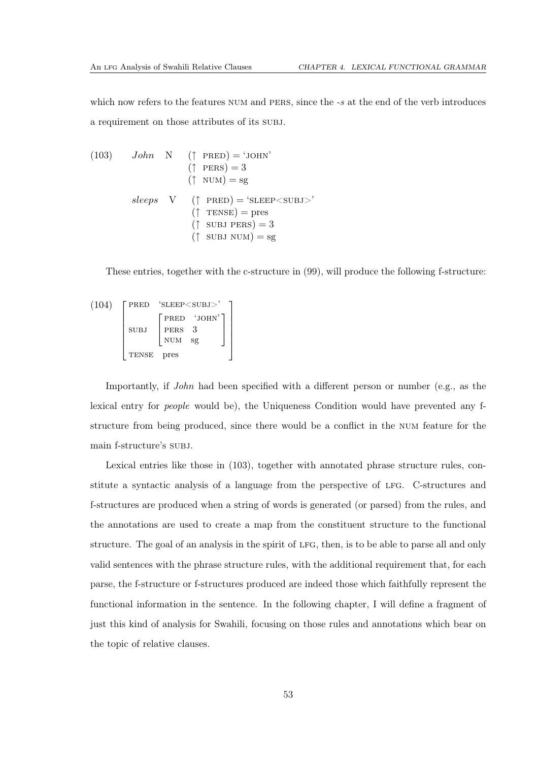which now refers to the features NUM and PERS, since the *-s* at the end of the verb introduces a requirement on those attributes of its subj.

<span id="page-57-0"></span>(103) *John* N († 
$$
PRED
$$
) = 'JOHN'  
\n(†  $PERS$ ) = 3  
\n(†  $NUM$ ) = sg  
\n*sleeps* V (†  $PRED$ ) = 'SLEEP $<$ SUBJ $>$ '  
\n(†  $TENSE$ ) = pres  
\n(†  $SUBJ PERS$ ) = 3  
\n(†  $SUBJ NUM$ ) = sg

These entries, together with the c-structure in [\(99\)](#page-53-1), will produce the following f-structure:

$$
(104) \begin{bmatrix} \text{PRED} & \text{'SLEEP } \\[.5em] \text{SUBJ} & \begin{bmatrix} \text{PRED} & \text{'JOHN'} \\ \text{PERS} & 3 \\[.5em] \text{NUM} & \text{sg} \end{bmatrix} \end{bmatrix}
$$
 \n
$$
\begin{bmatrix} \text{PRED} & \text{'JOHN'} \\ \text{PERS} & 3 \\[.5em] \text{NUM} & \text{sg} \end{bmatrix}
$$

Importantly, if *John* had been specified with a different person or number (e.g., as the lexical entry for *people* would be), the Uniqueness Condition would have prevented any fstructure from being produced, since there would be a conflict in the num feature for the main f-structure's subj.

Lexical entries like those in [\(103\)](#page-57-0), together with annotated phrase structure rules, constitute a syntactic analysis of a language from the perspective of lfg. C-structures and f-structures are produced when a string of words is generated (or parsed) from the rules, and the annotations are used to create a map from the constituent structure to the functional structure. The goal of an analysis in the spirit of lfg, then, is to be able to parse all and only valid sentences with the phrase structure rules, with the additional requirement that, for each parse, the f-structure or f-structures produced are indeed those which faithfully represent the functional information in the sentence. In the following chapter, I will define a fragment of just this kind of analysis for Swahili, focusing on those rules and annotations which bear on the topic of relative clauses.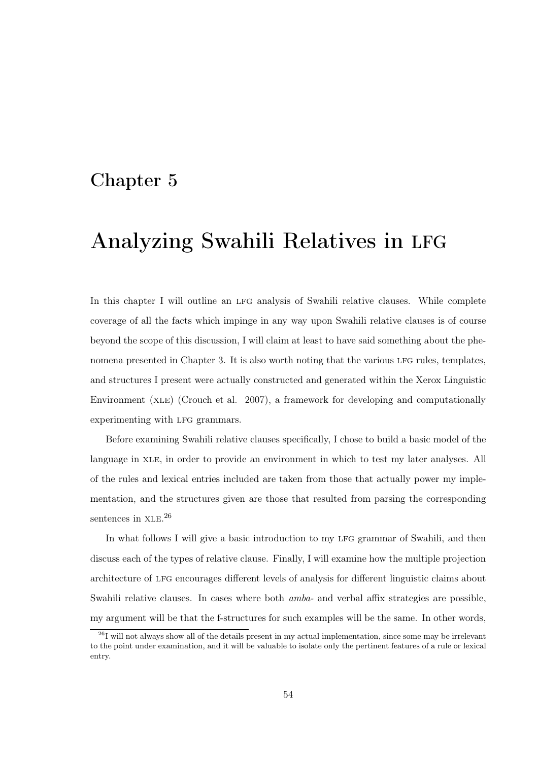# <span id="page-58-0"></span>Chapter 5

# Analyzing Swahili Relatives in LFG

In this chapter I will outline an LFG analysis of Swahili relative clauses. While complete coverage of all the facts which impinge in any way upon Swahili relative clauses is of course beyond the scope of this discussion, I will claim at least to have said something about the phe-nomena presented in Chapter [3.](#page-18-0) It is also worth noting that the various LFG rules, templates, and structures I present were actually constructed and generated within the Xerox Linguistic Environment (xle) [\(Crouch et al. 2007\)](#page-111-5), a framework for developing and computationally experimenting with LFG grammars.

Before examining Swahili relative clauses specifically, I chose to build a basic model of the language in XLE, in order to provide an environment in which to test my later analyses. All of the rules and lexical entries included are taken from those that actually power my implementation, and the structures given are those that resulted from parsing the corresponding sentences in  $XLE.<sup>26</sup>$  $XLE.<sup>26</sup>$  $XLE.<sup>26</sup>$ 

In what follows I will give a basic introduction to my LFG grammar of Swahili, and then discuss each of the types of relative clause. Finally, I will examine how the multiple projection architecture of lfg encourages different levels of analysis for different linguistic claims about Swahili relative clauses. In cases where both *amba-* and verbal affix strategies are possible, my argument will be that the f-structures for such examples will be the same. In other words,

<span id="page-58-1"></span><sup>&</sup>lt;sup>26</sup>I will not always show all of the details present in my actual implementation, since some may be irrelevant to the point under examination, and it will be valuable to isolate only the pertinent features of a rule or lexical entry.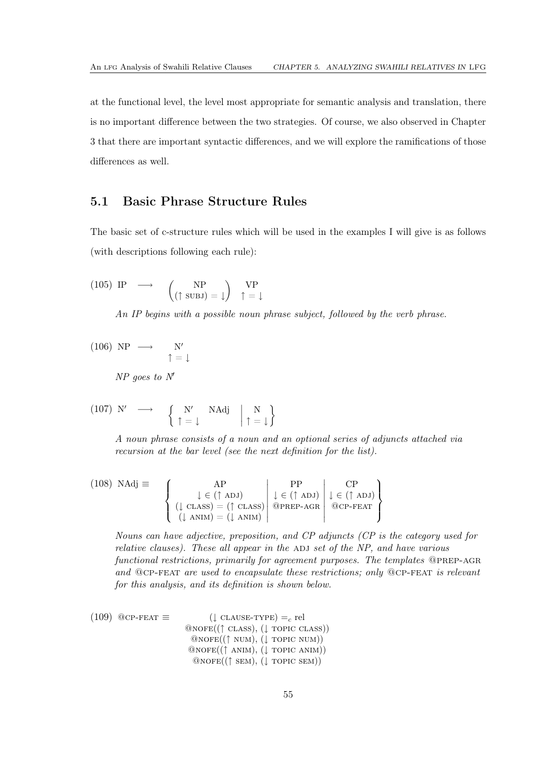at the functional level, the level most appropriate for semantic analysis and translation, there is no important difference between the two strategies. Of course, we also observed in Chapter [3](#page-18-0) that there are important syntactic differences, and we will explore the ramifications of those differences as well.

## 5.1 Basic Phrase Structure Rules

The basic set of c-structure rules which will be used in the examples I will give is as follows (with descriptions following each rule):

<span id="page-59-0"></span>(105) IP 
$$
\longrightarrow
$$
  $\begin{pmatrix} NP \\ (\uparrow \text{SUBJ}) = \downarrow \end{pmatrix}$   $\uparrow P$  =  $\downarrow$ 

*An IP begins with a possible noun phrase subject, followed by the verb phrase.*

 $(106) NP \rightarrow N'$ ↑ = ↓ *NP goes to N*′

$$
\begin{array}{cccc}\n(107) & \text{N'} & \longrightarrow & \left\{ \begin{array}{ccc} \text{N'} & \text{NAdj} & \text{N} \\ \uparrow = \downarrow & & \end{array} \right. & \left. \begin{array}{ccc} \text{N} & \text{N} \\ \uparrow = \downarrow \end{array} \right\}\n\end{array}
$$

*A noun phrase consists of a noun and an optional series of adjuncts attached via recursion at the bar level (see the next definition for the list).*

(108) NAdj 
$$
\equiv
$$
  
\n
$$
\begin{cases}\n\downarrow \in (\uparrow \text{ ADJ}) \\
(\downarrow \text{ CLASS}) = (\uparrow \text{ CLASS}) \\
(\downarrow \text{ ANIM}) = (\downarrow \text{ ANIM})\n\end{cases}\n\begin{cases}\nPP \\
\downarrow \in (\uparrow \text{ ADJ}) \\
\text{@pref-nGR} \\
\text{@pref-nGR}\n\end{cases}\n\begin{cases}\nCP \\
\downarrow \in (\uparrow \text{ ADJ}) \\
\text{@cpf-FeAT}\n\end{cases}
$$

*Nouns can have adjective, preposition, and CP adjuncts (CP is the category used for relative clauses). These all appear in the ADJ set of the NP, and have various functional restrictions, primarily for agreement purposes. The templates* @prep-agr *and* @cp-feat *are used to encapsulate these restrictions; only* @cp-feat *is relevant for this analysis, and its definition is shown below.*

(109) 
$$
\begin{array}{ll}\n\text{(109)} & \text{QCP-FEAT} \equiv & \text{(} \downarrow \text{CAUSE-TYPE)} =_c \text{ rel} \\
& \text{(109)} & \text{(109)} & \text{(109)} & \text{(109)} \\
& \text{(109)} & \text{(109)} & \text{(109)} \\
& \text{(109)} & \text{(109)} & \text{(109)} \\
& \text{(109)} & \text{(109)} & \text{(109)} \\
& \text{(109)} & \text{(109)} & \text{(109)} \\
& \text{(109)} & \text{(109)} & \text{(109)} \\
& \text{(109)} & \text{(109)} & \text{(109)} \\
& \text{(109)} & \text{(109)} & \text{(109)} \\
& \text{(109)} & \text{(109)} & \text{(109)} \\
& \text{(109)} & \text{(109)} & \text{(109)} \\
& \text{(109)} & \text{(109)} & \text{(109)} \\
& \text{(109)} & \text{(109)} & \text{(109)} \\
& \text{(109)} & \text{(109)} & \text{(109)} \\
& \text{(109)} & \text{(109)} & \text{(109)} \\
& \text{(109)} & \text{(109)} & \text{(109)} \\
& \text{(109)} & \text{(109)} & \text{(109)} \\
& \text{(109)} & \text{(109)} & \text{(109)} \\
& \text{(109)} & \text{(109)} & \text{(109)} \\
& \text{(109)} & \text{(109)} & \text{(109)} \\
& \text{(109)} & \text{(109)} & \text{(109)} \\
& \text{(109)} & \text{(109)} & \text{(109)} \\
& \text{(109)} & \text{(109)} & \text{(109)} \\
& \text{(109)} & \text{(109)} & \text{(109
$$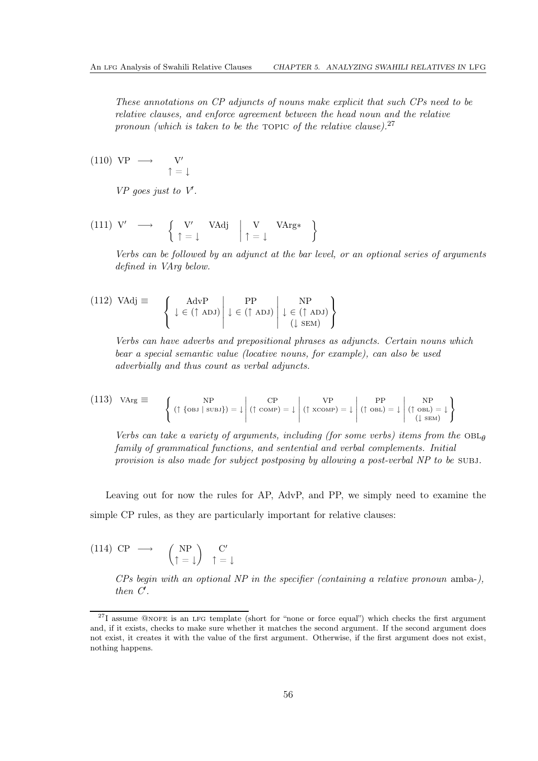*These annotations on CP adjuncts of nouns make explicit that such CPs need to be relative clauses, and enforce agreement between the head noun and the relative pronoun (which is taken to be the TOPIC of the relative clause).*<sup>[27](#page-60-0)</sup>

 $(110) \text{ VP } \longrightarrow \text{ V}'$  $\uparrow$  =  $\uparrow$ 

*VP goes just to V*′ *.*

$$
\begin{array}{cccc}\n(111) & V' & \longrightarrow & \left\{ \begin{array}{c} V' & \text{VAdj} \\ \uparrow = \downarrow & \end{array} \right. & \left. \begin{array}{c} V & \text{VArg} * \\ \uparrow = \downarrow & \end{array} \right\}\n\end{array}
$$

*Verbs can be followed by an adjunct at the bar level, or an optional series of arguments defined in VArg below.*

$$
(112) \text{ VAdj} \equiv \left\{ \left. \begin{array}{c} \text{AdvP} \\ \downarrow \in (\uparrow \text{ ADJ}) \end{array} \right| \downarrow \in (\uparrow \text{ ADJ}) \left. \begin{array}{c} \text{NP} \\ \downarrow \in (\uparrow \text{ ADJ}) \end{array} \right\}
$$

*Verbs can have adverbs and prepositional phrases as adjuncts. Certain nouns which bear a special semantic value (locative nouns, for example), can also be used adverbially and thus count as verbal adjuncts.*

$$
(113) \text{ VArg} \equiv \left\{ (\uparrow \{\text{obj} \mid \text{subJ}\}) = \downarrow \middle| (\uparrow \text{comp}) = \downarrow \middle| (\uparrow \text{xcomp}) = \downarrow \middle| (\uparrow \text{obj}) = \downarrow \middle| (\uparrow \text{obj}) = \downarrow \downarrow \downarrow \downarrow \text{min} \right\}
$$

*Verbs can take a variety of arguments, including (for some verbs) items from the*  $OBL<sub>\theta</sub>$ *family of grammatical functions, and sentential and verbal complements. Initial provision is also made for subject postposing by allowing a post-verbal NP to be* SUBJ.

Leaving out for now the rules for AP, AdvP, and PP, we simply need to examine the simple CP rules, as they are particularly important for relative clauses:

(114) CP 
$$
\longrightarrow
$$
  $\begin{pmatrix} NP \\ \uparrow = \downarrow \end{pmatrix}$   $\begin{pmatrix} C' \\ \uparrow = \downarrow \end{pmatrix}$ 

*CPs begin with an optional NP in the specifier (containing a relative pronoun* amba-*), then C*′ *.*

<span id="page-60-0"></span> $27I$  assume @NOFE is an LFG template (short for "none or force equal") which checks the first argument and, if it exists, checks to make sure whether it matches the second argument. If the second argument does not exist, it creates it with the value of the first argument. Otherwise, if the first argument does not exist, nothing happens.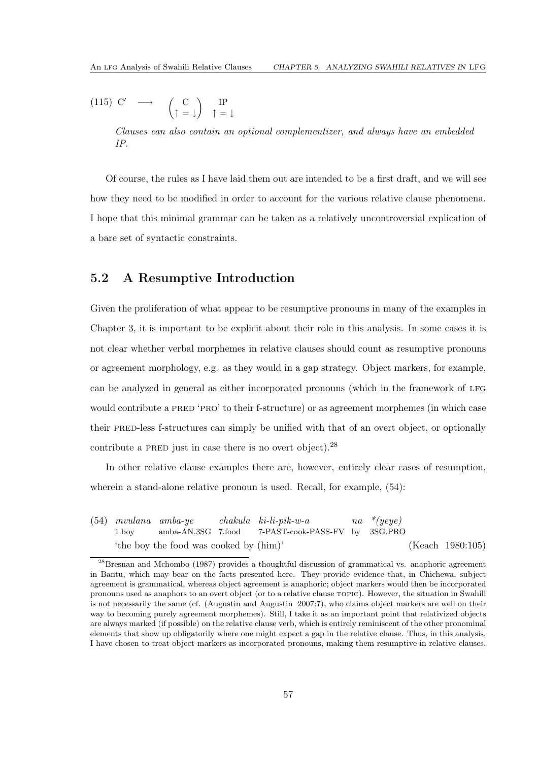<span id="page-61-1"></span>(115) C' 
$$
\longrightarrow
$$
  $\begin{pmatrix} C \\ \uparrow = \downarrow \end{pmatrix}$   $\begin{pmatrix} P \\ \uparrow = \downarrow \end{pmatrix}$ 

*Clauses can also contain an optional complementizer, and always have an embedded IP.*

Of course, the rules as I have laid them out are intended to be a first draft, and we will see how they need to be modified in order to account for the various relative clause phenomena. I hope that this minimal grammar can be taken as a relatively uncontroversial explication of a bare set of syntactic constraints.

# <span id="page-61-2"></span>5.2 A Resumptive Introduction

Given the proliferation of what appear to be resumptive pronouns in many of the examples in Chapter [3,](#page-18-0) it is important to be explicit about their role in this analysis. In some cases it is not clear whether verbal morphemes in relative clauses should count as resumptive pronouns or agreement morphology, e.g. as they would in a gap strategy. Object markers, for example, can be analyzed in general as either incorporated pronouns (which in the framework of LFG would contribute a PRED 'PRO' to their f-structure) or as agreement morphemes (in which case their pred-less f-structures can simply be unified with that of an overt object, or optionally contribute a PRED just in case there is no overt object). $^{28}$  $^{28}$  $^{28}$ 

In other relative clause examples there are, however, entirely clear cases of resumption, wherein a stand-alone relative pronoun is used. Recall, for example,  $(54)$ :

[\(54\)](#page-33-0) *mvulana amba-ye* 1.boy amba-AN.3SG 7.food *chakula ki-li-pik-w-a* 7-PAST-cook-PASS-FV by *na \*(yeye)* 3SG.PRO 'the boy the food was cooked by (him)' [\(Keach 1980](#page-111-0):105)

<span id="page-61-0"></span><sup>&</sup>lt;sup>28</sup>[Bresnan and Mchombo \(1987\)](#page-110-4) provides a thoughtful discussion of grammatical vs. anaphoric agreement in Bantu, which may bear on the facts presented here. They provide evidence that, in Chichewa, subject agreement is grammatical, whereas object agreement is anaphoric; object markers would then be incorporated pronouns used as anaphors to an overt object (or to a relative clause topic). However, the situation in Swahili is not necessarily the same (cf. [\(Augustin and Augustin 2007](#page-110-5):7), who claims object markers are well on their way to becoming purely agreement morphemes). Still, I take it as an important point that relativized objects are always marked (if possible) on the relative clause verb, which is entirely reminiscent of the other pronominal elements that show up obligatorily where one might expect a gap in the relative clause. Thus, in this analysis, I have chosen to treat object markers as incorporated pronouns, making them resumptive in relative clauses.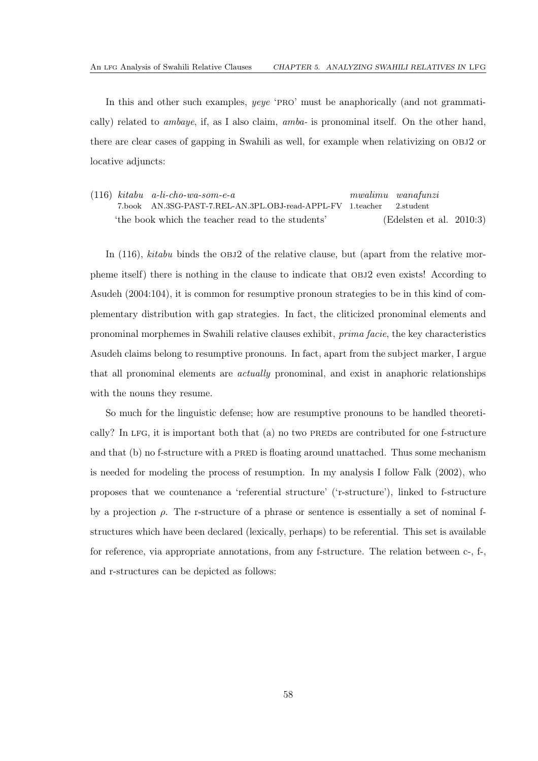In this and other such examples, *yeye* 'pro' must be anaphorically (and not grammatically) related to *ambaye*, if, as I also claim, *amba-* is pronominal itself. On the other hand, there are clear cases of gapping in Swahili as well, for example when relativizing on obj2 or locative adjuncts:

<span id="page-62-0"></span>(116) *kitabu a-li-cho-wa-som-e-a* 7.book AN.3SG-PAST-7.REL-AN.3PL.OBJ-read-APPL-FV 1.teacher *mwalimu wanafunzi* 2.student 'the book which the teacher read to the students' [\(Edelsten et al. 2010:](#page-111-2)3)

In [\(116\)](#page-62-0), *kitabu* binds the OBJ2 of the relative clause, but (apart from the relative morpheme itself) there is nothing in the clause to indicate that obj2 even exists! According to [Asudeh \(2004](#page-110-6):104), it is common for resumptive pronoun strategies to be in this kind of complementary distribution with gap strategies. In fact, the cliticized pronominal elements and pronominal morphemes in Swahili relative clauses exhibit, *prima facie*, the key characteristics Asudeh claims belong to resumptive pronouns. In fact, apart from the subject marker, I argue that all pronominal elements are *actually* pronominal, and exist in anaphoric relationships with the nouns they resume.

So much for the linguistic defense; how are resumptive pronouns to be handled theoretically? In LFG, it is important both that  $(a)$  no two PREDs are contributed for one f-structure and that (b) no f-structure with a PRED is floating around unattached. Thus some mechanism is needed for modeling the process of resumption. In my analysis I follow [Falk \(2002](#page-111-8)), who proposes that we countenance a 'referential structure' ('r-structure'), linked to f-structure by a projection  $\rho$ . The r-structure of a phrase or sentence is essentially a set of nominal fstructures which have been declared (lexically, perhaps) to be referential. This set is available for reference, via appropriate annotations, from any f-structure. The relation between c-, f-, and r-structures can be depicted as follows: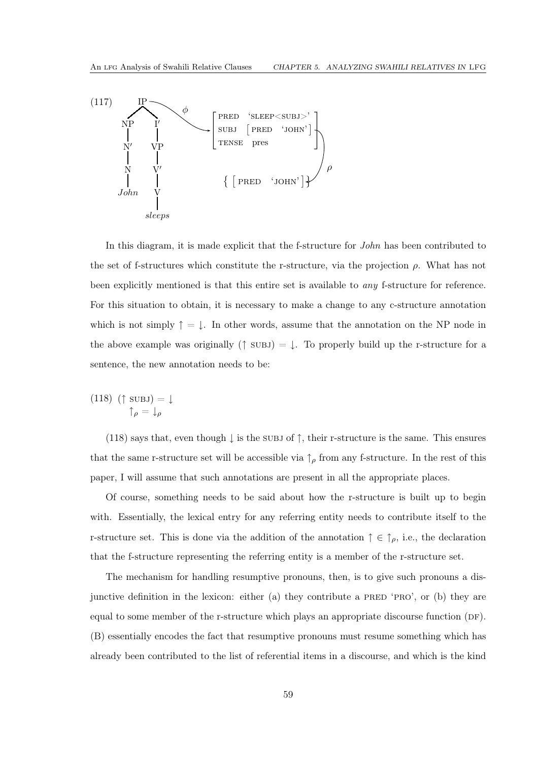

In this diagram, it is made explicit that the f-structure for *John* has been contributed to the set of f-structures which constitute the r-structure, via the projection  $\rho$ . What has not been explicitly mentioned is that this entire set is available to *any* f-structure for reference. For this situation to obtain, it is necessary to make a change to any c-structure annotation which is not simply  $\uparrow = \downarrow$ . In other words, assume that the annotation on the NP node in the above example was originally ( $\uparrow$  subjection  $\downarrow$ . To properly build up the r-structure for a sentence, the new annotation needs to be:

<span id="page-63-0"></span> $(118)$  (†  $\text{SUBJ}$ ) =  $\downarrow$  $\uparrow$   $\uparrow$  =  $\downarrow$   $\downarrow$ 

[\(118\)](#page-63-0) says that, even though  $\downarrow$  is the subj of  $\uparrow$ , their r-structure is the same. This ensures that the same r-structure set will be accessible via  $\uparrow_{\rho}$  from any f-structure. In the rest of this paper, I will assume that such annotations are present in all the appropriate places.

Of course, something needs to be said about how the r-structure is built up to begin with. Essentially, the lexical entry for any referring entity needs to contribute itself to the r-structure set. This is done via the addition of the annotation  $\uparrow \in \uparrow_{\rho}$ , i.e., the declaration that the f-structure representing the referring entity is a member of the r-structure set.

The mechanism for handling resumptive pronouns, then, is to give such pronouns a disjunctive definition in the lexicon: either (a) they contribute a PRED 'PRO', or (b) they are equal to some member of the r-structure which plays an appropriate discourse function (DF). (B) essentially encodes the fact that resumptive pronouns must resume something which has already been contributed to the list of referential items in a discourse, and which is the kind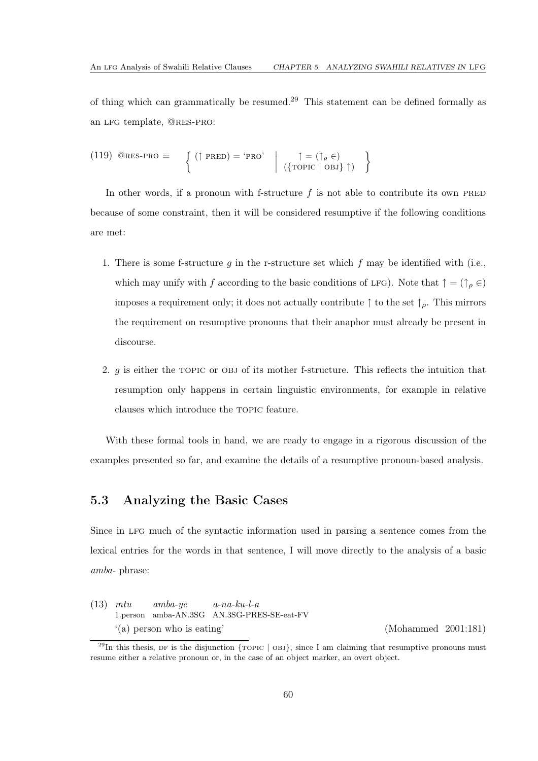of thing which can grammatically be resumed.[29](#page-64-0) This statement can be defined formally as an lfg template, @res-pro:

(119) 
$$
\text{QRES-PRO} \equiv \left\{ (\uparrow \text{PRED}) = \text{`PRO'} \middle| \uparrow = (\uparrow_{\rho} \in)
$$
  
 $(\{\text{TOPIC} \mid \text{OBJ}\} \uparrow)$ 

In other words, if a pronoun with f-structure  $f$  is not able to contribute its own PRED because of some constraint, then it will be considered resumptive if the following conditions are met:

- 1. There is some f-structure q in the r-structure set which f may be identified with (i.e., which may unify with f according to the basic conditions of LFG). Note that  $\uparrow = (\uparrow_{\rho} \in)$ imposes a requirement only; it does not actually contribute  $\uparrow$  to the set  $\uparrow$ <sub>o</sub>. This mirrors the requirement on resumptive pronouns that their anaphor must already be present in discourse.
- 2.  $g$  is either the TOPIC or OBJ of its mother f-structure. This reflects the intuition that resumption only happens in certain linguistic environments, for example in relative clauses which introduce the topic feature.

With these formal tools in hand, we are ready to engage in a rigorous discussion of the examples presented so far, and examine the details of a resumptive pronoun-based analysis.

# 5.3 Analyzing the Basic Cases

Since in lfg much of the syntactic information used in parsing a sentence comes from the lexical entries for the words in that sentence, I will move directly to the analysis of a basic *amba-* phrase:

[\(13\)](#page-21-0) *mtu* 1.person amba-AN.3SG AN.3SG-PRES-SE-eat-FV *amba-ye a-na-ku-l-a* '(a) person who is eating' [\(Mohammed 2001](#page-112-0):181)

<span id="page-64-0"></span> $^{29}$ In this thesis, DF is the disjunction {TOPIC | OBJ}, since I am claiming that resumptive pronouns must resume either a relative pronoun or, in the case of an object marker, an overt object.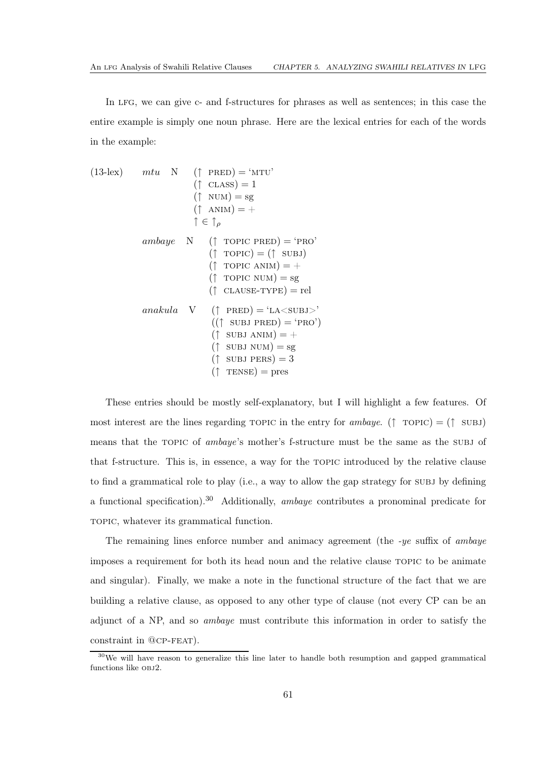In LFG, we can give c- and f-structures for phrases as well as sentences; in this case the entire example is simply one noun phrase. Here are the lexical entries for each of the words in the example:

(13-lex) *mtu* N († 
$$
PRED
$$
) = 'MTU'  
\t( $\uparrow$  CLASS) = 1  
\t( $\uparrow$  NUM) = sg  
\t( $\uparrow$  ANIM) = +  
\t $\uparrow \in \uparrow_{\rho}$   
\tambaye N († TOPIC PRED) = 'PRO'  
\t( $\uparrow$  TOPIC) = ( $\uparrow$  SUBJ)  
\t( $\uparrow$  TOPIC ANIM) = +  
\t( $\uparrow$  TOPIC NUM) = sg  
\t( $\uparrow$  CLAUSE-TYPE) = rel  
\tanalual V († PRED) = 'LA'  
\t( $\uparrow$  SUBJ PRED) = 'PRO')  
\t( $\uparrow$  SUBJ ANIM) = +  
\t( $\uparrow$  SUBJ NUM) = sg  
\t( $\uparrow$  SUBJ NUM) = sg  
\t( $\uparrow$  SUBJ PERS) = 3  
\t( $\uparrow$  TENSE) = pres

These entries should be mostly self-explanatory, but I will highlight a few features. Of most interest are the lines regarding TOPIC in the entry for  $ambaye$ . (↑ TOPIC) = (↑ SUBJ) means that the topic of *ambaye*'s mother's f-structure must be the same as the subj of that f-structure. This is, in essence, a way for the topic introduced by the relative clause to find a grammatical role to play (i.e., a way to allow the gap strategy for subj by defining a functional specification).[30](#page-65-0) Additionally, *ambaye* contributes a pronominal predicate for topic, whatever its grammatical function.

The remaining lines enforce number and animacy agreement (the *-ye* suffix of *ambaye* imposes a requirement for both its head noun and the relative clause topic to be animate and singular). Finally, we make a note in the functional structure of the fact that we are building a relative clause, as opposed to any other type of clause (not every CP can be an adjunct of a NP, and so *ambaye* must contribute this information in order to satisfy the constraint in @cp-feat).

<span id="page-65-0"></span><sup>&</sup>lt;sup>30</sup>We will have reason to generalize this line later to handle both resumption and gapped grammatical functions like obj2.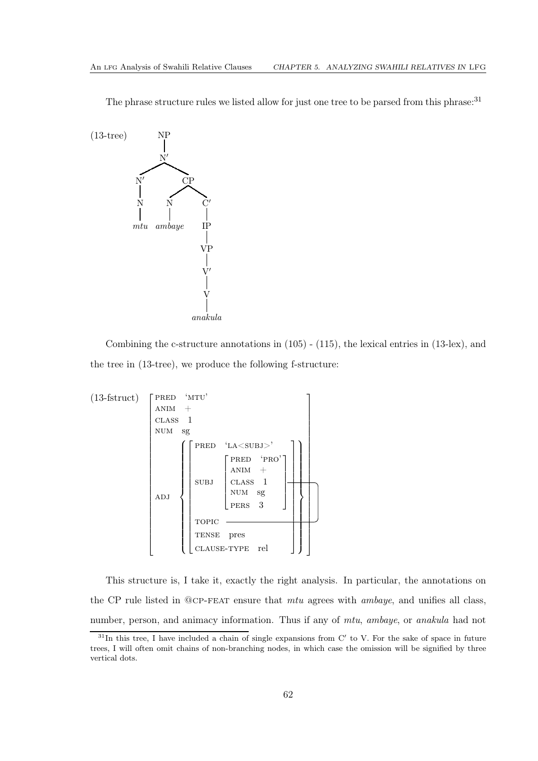The phrase structure rules we listed allow for just one tree to be parsed from this phrase.<sup>[31](#page-66-0)</sup>



Combining the c-structure annotations in [\(105\)](#page-59-0) - [\(115\)](#page-61-1), the lexical entries in [\(13-](#page-21-0)lex), and the tree in [\(13-](#page-21-0)tree), we produce the following f-structure:



This structure is, I take it, exactly the right analysis. In particular, the annotations on the CP rule listed in @cp-feat ensure that *mtu* agrees with *ambaye*, and unifies all class, number, person, and animacy information. Thus if any of *mtu*, *ambaye*, or *anakula* had not

<span id="page-66-0"></span> $31$ In this tree, I have included a chain of single expansions from C' to V. For the sake of space in future trees, I will often omit chains of non-branching nodes, in which case the omission will be signified by three vertical dots.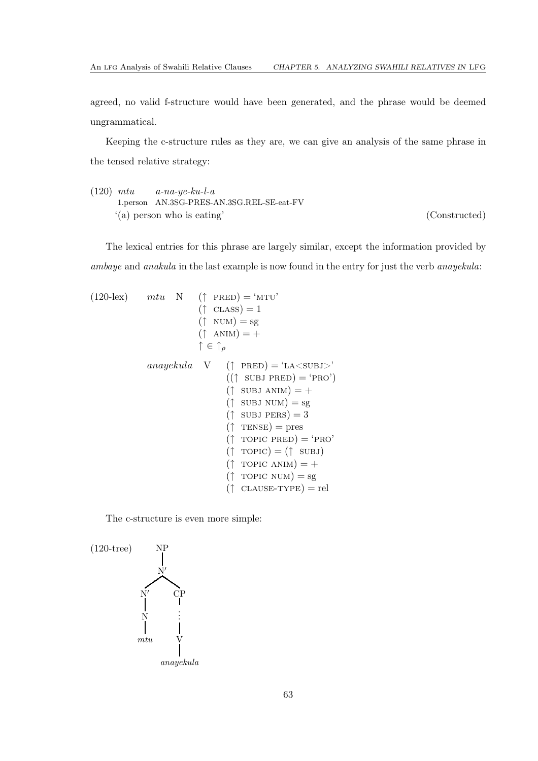agreed, no valid f-structure would have been generated, and the phrase would be deemed ungrammatical.

Keeping the c-structure rules as they are, we can give an analysis of the same phrase in the tensed relative strategy:

<span id="page-67-0"></span>(120) *mtu* 1.person AN.3SG-PRES-AN.3SG.REL-SE-eat-FV *a-na-ye-ku-l-a* '(a) person who is eating' (Constructed)

The lexical entries for this phrase are largely similar, except the information provided by *ambaye* and *anakula* in the last example is now found in the entry for just the verb *anayekula*:

(120-lex) *mtu* N († *PRED*) = 'MTU'  
\n(† *CLASS*) = 1  
\n(† *NUM*) = sg  
\n(† *ANIM*) = +  
\n
$$
\uparrow \in \uparrow_{\rho}
$$
  
\n*anayekula* V († *PRED*) = 'LA *SUBJ*>  
\n((† *SUBJ PRED*) = 'PRO')  
\n(† *SUBJ NUM*) = +  
\n(† *SUBJ NUM*) = sg  
\n(† *SUBJ PERS*) = 3  
\n(† *TENSE*) = pres  
\n(† *TOPIC PRED*) = 'PRO'  
\n(† *TOPIC ANIM*) = +  
\n(† *TOPIC ANIM*) = sg  
\n(† *CLAUSE-TYPE*) = rel

The c-structure is even more simple:

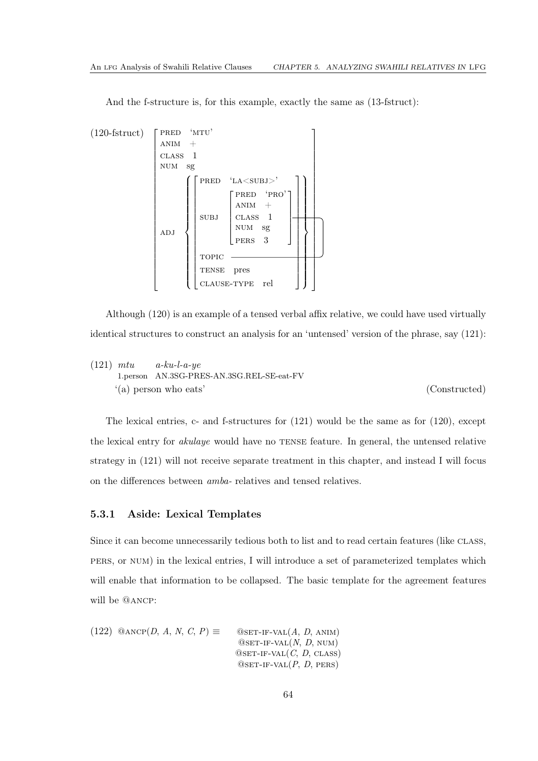And the f-structure is, for this example, exactly the same as [\(13-](#page-21-0)fstruct):



Although [\(120\)](#page-67-0) is an example of a tensed verbal affix relative, we could have used virtually identical structures to construct an analysis for an 'untensed' version of the phrase, say [\(121\)](#page-68-0):

<span id="page-68-0"></span>(121) *mtu* 1.person AN.3SG-PRES-AN.3SG.REL-SE-eat-FV *a-ku-l-a-ye* '(a) person who eats' (Constructed)

The lexical entries, c- and f-structures for [\(121\)](#page-68-0) would be the same as for [\(120\)](#page-67-0), except the lexical entry for *akulaye* would have no TENSE feature. In general, the untensed relative strategy in [\(121\)](#page-68-0) will not receive separate treatment in this chapter, and instead I will focus on the differences between *amba-* relatives and tensed relatives.

#### 5.3.1 Aside: Lexical Templates

Since it can become unnecessarily tedious both to list and to read certain features (like CLASS, pers, or num) in the lexical entries, I will introduce a set of parameterized templates which will enable that information to be collapsed. The basic template for the agreement features will be @ancp:

<span id="page-68-1"></span>(122) 
$$
\text{QANCP}(D, A, N, C, P) \equiv \text{QSET-IF-VAL}(A, D, ANIM)
$$
  
\n
$$
\text{QSET-IF-VAL}(N, D, NUM)
$$
  
\n
$$
\text{QSET-IF-VAL}(C, D, CLASS)
$$
  
\n
$$
\text{QSET-IF-VAL}(C, D, CLASS)
$$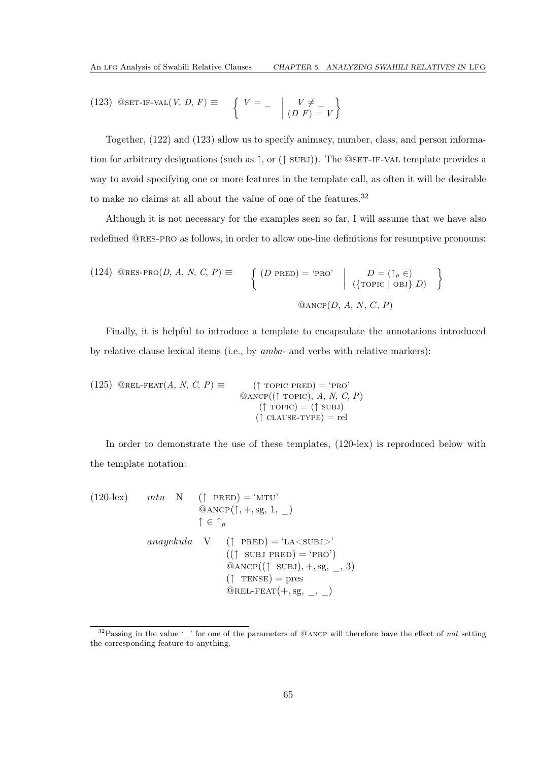<span id="page-69-0"></span>(123) 
$$
\text{QSET-IF-VAL}(V, D, F) \equiv \left\{ V = - \mid \begin{matrix} V \neq \\ (D \ F) = V \end{matrix} \right\}
$$

Together, [\(122\)](#page-68-1) and [\(123\)](#page-69-0) allow us to specify animacy, number, class, and person information for arbitrary designations (such as  $\uparrow$ , or ( $\uparrow$  SUBJ)). The @SET-IF-VAL template provides a way to avoid specifying one or more features in the template call, as often it will be desirable to make no claims at all about the value of one of the features.<sup>[32](#page-69-1)</sup>

Although it is not necessary for the examples seen so far, I will assume that we have also redefined @res-pro as follows, in order to allow one-line definitions for resumptive pronouns:

(124) @RES-PRO(*D*, *A*, *N*, *C*, *P*) 
$$
\equiv
$$
 
$$
\left\{ \begin{array}{c} (D \text{ PRED}) = \text{ 'PRO'} \\ \text{ (ToPC } | \text{ OBJ} \} \ D) \end{array} \right\}
$$

$$
\text{QANCE}(D, A, N, C, P)
$$

Finally, it is helpful to introduce a template to encapsulate the annotations introduced by relative clause lexical items (i.e., by *amba-* and verbs with relative markers):

<span id="page-69-2"></span>(125) 
$$
\text{QREL-FEAT}(A, N, C, P) \equiv \begin{align*}\n(\uparrow \text{TOPIC PRED}) &= \text{`PRO'} \\
\text{QANCP}((\uparrow \text{TOPIC}), A, N, C, P) \\
(\uparrow \text{TOPIC}) &= (\uparrow \text{SUBJ}) \\
(\uparrow \text{CLASS-TYPE}) &= \text{rel}\n\end{align*}
$$

In order to demonstrate the use of these templates, [\(120-](#page-67-0)lex) is reproduced below with the template notation:

(120-lex) 
$$
mtu \quad N \quad (\uparrow \text{ PRED}) = 'MTU'
$$
  
\n@ANCP( $\uparrow$ , +, sg, 1, \_ )  
\n $\uparrow \in \uparrow \rho$   
\n*anayekula* V ( $\uparrow$  PRED) = 'LA'  
\n(( $\uparrow$  SUBJ PRED) = 'PRO')  
\n@ANCP(( $\uparrow$  SUBJ), +, sg, \_ , 3)  
\n( $\uparrow$  TENSE) = pres  
\n@REL-FEAT(+, sg, \_ , \_ )

<span id="page-69-1"></span> $32$ Passing in the value '' for one of the parameters of @ANCP will therefore have the effect of not setting the corresponding feature to anything.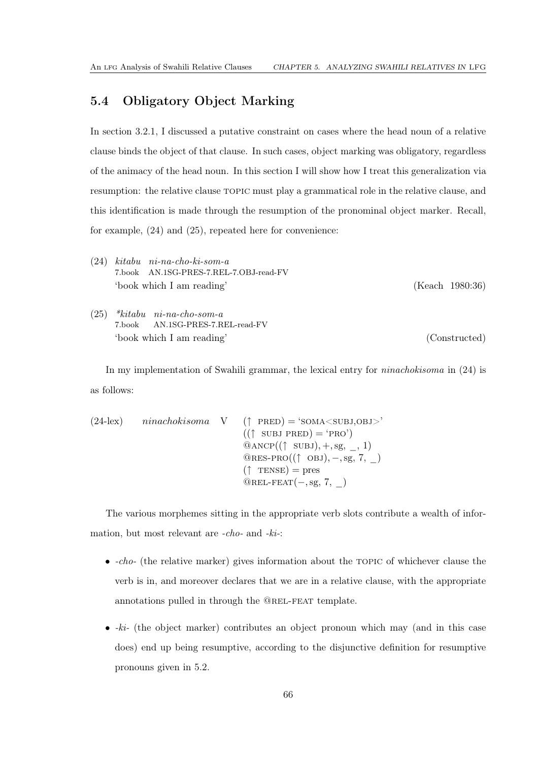# 5.4 Obligatory Object Marking

In section [3.2.1,](#page-24-0) I discussed a putative constraint on cases where the head noun of a relative clause binds the object of that clause. In such cases, object marking was obligatory, regardless of the animacy of the head noun. In this section I will show how I treat this generalization via resumption: the relative clause TOPIC must play a grammatical role in the relative clause, and this identification is made through the resumption of the pronominal object marker. Recall, for example, [\(24\)](#page-25-0) and [\(25\)](#page-25-1), repeated here for convenience:

| (24) | $kitabu$ ni-na-cho-ki-som-a<br>7.book AN.1SG-PRES-7.REL-7.OBJ-read-FV |                 |
|------|-----------------------------------------------------------------------|-----------------|
|      | 'book which I am reading'                                             | (Keach 1980:36) |
| (25) | $*kitabu$ ni-na-cho-som-a                                             |                 |
|      | 7.book AN.1SG-PRES-7.REL-read-FV                                      |                 |
|      | 'book which I am reading'                                             | (Constructed)   |

In my implementation of Swahili grammar, the lexical entry for *ninachokisoma* in [\(24\)](#page-25-0) is as follows:

```
(24-lex) ninachokisoma V (↑ PRED) = 'SOMA < SUBJ,OBJ>'
                                           ((\uparrow \text{SUBJ PRED}) = 'PRO')@ANCP((\uparrow \text{SUBJ}), +, \text{sg}, \_, 1)@RES-PRO((\uparrow \text{OBJ}), -, sg, 7, )(\uparrow \text{TENSE}) = \text{pres}@REL-FEAT(-,sg, 7, )
```
The various morphemes sitting in the appropriate verb slots contribute a wealth of information, but most relevant are *-cho-* and *-ki-*:

- *-cho-* (the relative marker) gives information about the topic of whichever clause the verb is in, and moreover declares that we are in a relative clause, with the appropriate annotations pulled in through the @rel-feat template.
- *-ki-* (the object marker) contributes an object pronoun which may (and in this case does) end up being resumptive, according to the disjunctive definition for resumptive pronouns given in [5.2.](#page-61-2)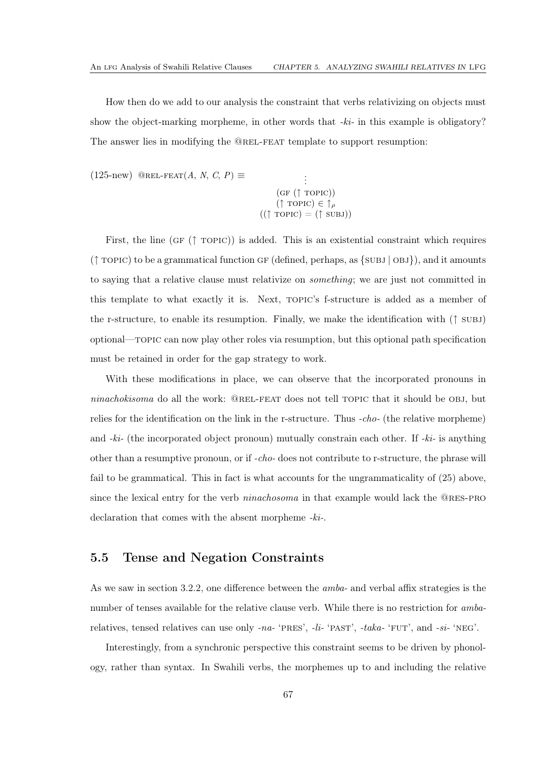How then do we add to our analysis the constraint that verbs relativizing on objects must show the object-marking morpheme, in other words that *-ki-* in this example is obligatory? The answer lies in modifying the @rel-feat template to support resumption:

 $(125-new)$  $(125-new)$  @REL-FEAT $(A, N, C, P) \equiv$ 

. .  $(GF († TOPIC))$  $(\uparrow \text{ropic}) \in \uparrow_{\rho}$  $((\uparrow \text{TOPIC}) = (\uparrow \text{SUBJ}))$ 

First, the line (GF  $(\uparrow \text{TOPIC})$ ) is added. This is an existential constraint which requires  $(\uparrow$  TOPIC) to be a grammatical function GF (defined, perhaps, as  $\{SUBJ | OBJ\}$ ), and it amounts to saying that a relative clause must relativize on *something*; we are just not committed in this template to what exactly it is. Next, topic's f-structure is added as a member of the r-structure, to enable its resumption. Finally, we make the identification with  $(† \text{SUBJ})$ optional—topic can now play other roles via resumption, but this optional path specification must be retained in order for the gap strategy to work.

With these modifications in place, we can observe that the incorporated pronouns in *ninachokisoma* do all the work: @REL-FEAT does not tell TOPIC that it should be OBJ, but relies for the identification on the link in the r-structure. Thus *-cho-* (the relative morpheme) and *-ki-* (the incorporated object pronoun) mutually constrain each other. If *-ki-* is anything other than a resumptive pronoun, or if *-cho-* does not contribute to r-structure, the phrase will fail to be grammatical. This in fact is what accounts for the ungrammaticality of [\(25\)](#page-25-1) above, since the lexical entry for the verb *ninachosoma* in that example would lack the @res-pro declaration that comes with the absent morpheme *-ki-*.

### 5.5 Tense and Negation Constraints

As we saw in section [3.2.2,](#page-25-2) one difference between the *amba-* and verbal affix strategies is the number of tenses available for the relative clause verb. While there is no restriction for *amba*relatives, tensed relatives can use only *-na-* 'pres', *-li-* 'past', *-taka-* 'fut', and *-si-* 'neg'.

Interestingly, from a synchronic perspective this constraint seems to be driven by phonology, rather than syntax. In Swahili verbs, the morphemes up to and including the relative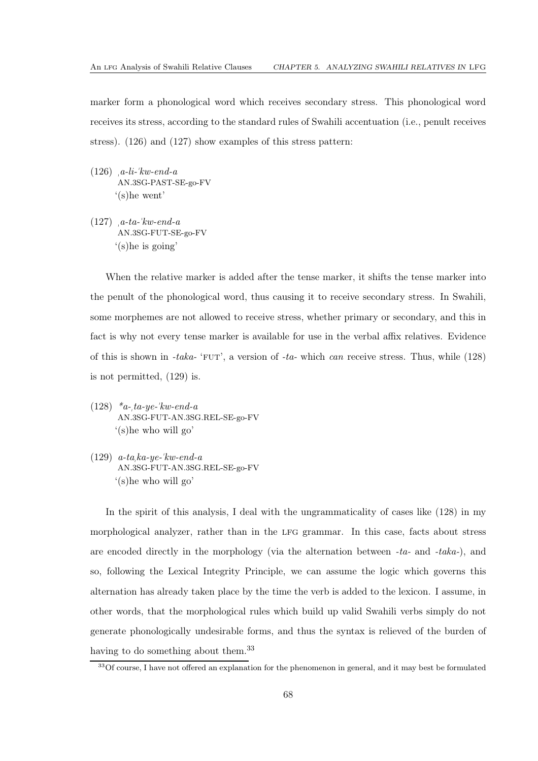marker form a phonological word which receives secondary stress. This phonological word receives its stress, according to the standard rules of Swahili accentuation (i.e., penult receives stress). [\(126\)](#page-72-0) and [\(127\)](#page-72-1) show examples of this stress pattern:

- <span id="page-72-0"></span>(126) *a-li-*"*kw-end-a* AN.3SG-PAST-SE-go-FV '(s)he went'
- <span id="page-72-1"></span>(127) *a-ta-*"*kw-end-a* AN.3SG-FUT-SE-go-FV '(s)he is going'

When the relative marker is added after the tense marker, it shifts the tense marker into the penult of the phonological word, thus causing it to receive secondary stress. In Swahili, some morphemes are not allowed to receive stress, whether primary or secondary, and this in fact is why not every tense marker is available for use in the verbal affix relatives. Evidence of this is shown in *-taka-* 'fut', a version of *-ta-* which *can* receive stress. Thus, while [\(128\)](#page-72-2) is not permitted, [\(129\)](#page-72-3) is.

- <span id="page-72-2"></span>(128) *\*a-ta-ye-*"*kw-end-a* AN.3SG-FUT-AN.3SG.REL-SE-go-FV '(s)he who will go'
- <span id="page-72-3"></span>(129) *a-taka-ye-*"*kw-end-a* AN.3SG-FUT-AN.3SG.REL-SE-go-FV '(s)he who will go'

In the spirit of this analysis, I deal with the ungrammaticality of cases like [\(128\)](#page-72-2) in my morphological analyzer, rather than in the lfg grammar. In this case, facts about stress are encoded directly in the morphology (via the alternation between *-ta-* and *-taka-*), and so, following the Lexical Integrity Principle, we can assume the logic which governs this alternation has already taken place by the time the verb is added to the lexicon. I assume, in other words, that the morphological rules which build up valid Swahili verbs simply do not generate phonologically undesirable forms, and thus the syntax is relieved of the burden of having to do something about them.<sup>[33](#page-72-4)</sup>

<span id="page-72-4"></span><sup>&</sup>lt;sup>33</sup>Of course, I have not offered an explanation for the phenomenon in general, and it may best be formulated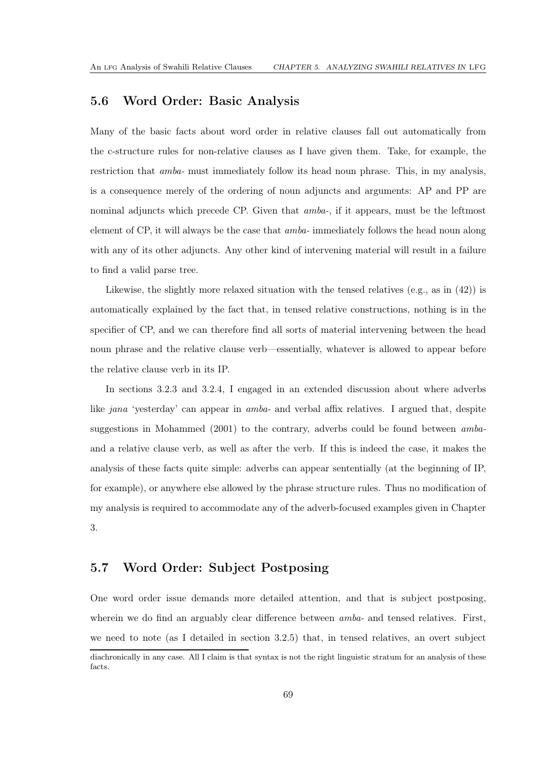## 5.6 Word Order: Basic Analysis

Many of the basic facts about word order in relative clauses fall out automatically from the c-structure rules for non-relative clauses as I have given them. Take, for example, the restriction that *amba-* must immediately follow its head noun phrase. This, in my analysis, is a consequence merely of the ordering of noun adjuncts and arguments: AP and PP are nominal adjuncts which precede CP. Given that *amba-*, if it appears, must be the leftmost element of CP, it will always be the case that *amba-* immediately follows the head noun along with any of its other adjuncts. Any other kind of intervening material will result in a failure to find a valid parse tree.

Likewise, the slightly more relaxed situation with the tensed relatives  $(e.g., as in (42))$  $(e.g., as in (42))$  $(e.g., as in (42))$  is automatically explained by the fact that, in tensed relative constructions, nothing is in the specifier of CP, and we can therefore find all sorts of material intervening between the head noun phrase and the relative clause verb—essentially, whatever is allowed to appear before the relative clause verb in its IP.

In sections [3.2.3](#page-27-0) and [3.2.4,](#page-29-0) I engaged in an extended discussion about where adverbs like *jana* 'yesterday' can appear in *amba-* and verbal affix relatives. I argued that, despite suggestions in [Mohammed \(2001\)](#page-112-0) to the contrary, adverbs could be found between *amba*and a relative clause verb, as well as after the verb. If this is indeed the case, it makes the analysis of these facts quite simple: adverbs can appear sententially (at the beginning of IP, for example), or anywhere else allowed by the phrase structure rules. Thus no modification of my analysis is required to accommodate any of the adverb-focused examples given in Chapter [3.](#page-18-0)

## 5.7 Word Order: Subject Postposing

One word order issue demands more detailed attention, and that is subject postposing, wherein we do find an arguably clear difference between *amba-* and tensed relatives. First, we need to note (as I detailed in section [3.2.5\)](#page-30-1) that, in tensed relatives, an overt subject

diachronically in any case. All I claim is that syntax is not the right linguistic stratum for an analysis of these facts.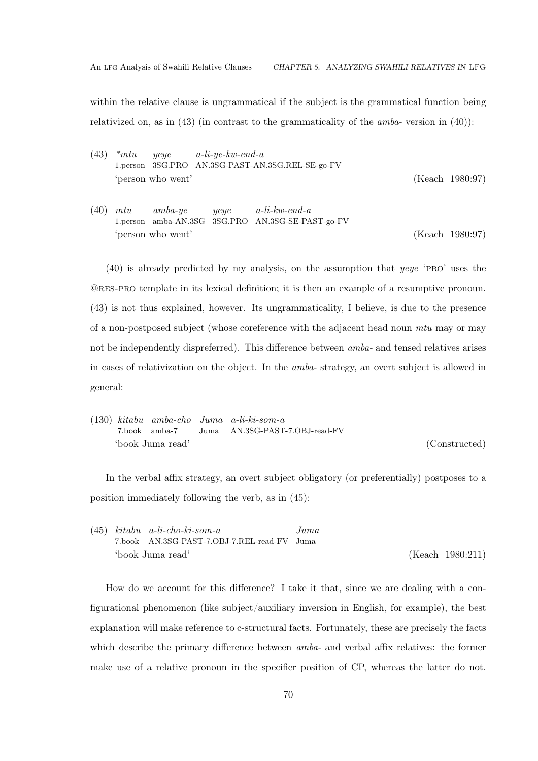within the relative clause is ungrammatical if the subject is the grammatical function being relativized on, as in [\(43\)](#page-30-2) (in contrast to the grammaticality of the *amba-* version in [\(40\)](#page-29-1)):

- [\(43\)](#page-30-2) *\*mtu* 1.person 3SG.PRO AN.3SG-PAST-AN.3SG.REL-SE-go-FV *yeye a-li-ye-kw-end-a* 'person who went' [\(Keach 1980](#page-111-0):97)
- [\(40\)](#page-29-1) *mtu* 1.person amba-AN.3SG 3SG.PRO AN.3SG-SE-PAST-go-FV *amba-ye yeye a-li-kw-end-a* 'person who went' [\(Keach 1980](#page-111-0):97)

[\(40\)](#page-29-1) is already predicted by my analysis, on the assumption that *yeye* 'pro' uses the @res-pro template in its lexical definition; it is then an example of a resumptive pronoun. [\(43\)](#page-30-2) is not thus explained, however. Its ungrammaticality, I believe, is due to the presence of a non-postposed subject (whose coreference with the adjacent head noun *mtu* may or may not be independently dispreferred). This difference between *amba-* and tensed relatives arises in cases of relativization on the object. In the *amba-* strategy, an overt subject is allowed in general:

|  |                  | $(130)$ kitabu amba-cho Juma a-li-ki-som-a |               |
|--|------------------|--------------------------------------------|---------------|
|  | 7.book amba-7    | Juma AN.3SG-PAST-7.0BJ-read-FV             |               |
|  | 'book Juma read' |                                            | (Constructed) |

In the verbal affix strategy, an overt subject obligatory (or preferentially) postposes to a position immediately following the verb, as in [\(45\)](#page-30-3):

|  | $(45)$ kitabu a-li-cho-ki-som-a             | Juma |                  |
|--|---------------------------------------------|------|------------------|
|  | 7.book AN.3SG-PAST-7.OBJ-7.REL-read-FV Juma |      |                  |
|  | 'book Juma read'                            |      | (Keach 1980:211) |

How do we account for this difference? I take it that, since we are dealing with a configurational phenomenon (like subject/auxiliary inversion in English, for example), the best explanation will make reference to c-structural facts. Fortunately, these are precisely the facts which describe the primary difference between *amba-* and verbal affix relatives: the former make use of a relative pronoun in the specifier position of CP, whereas the latter do not.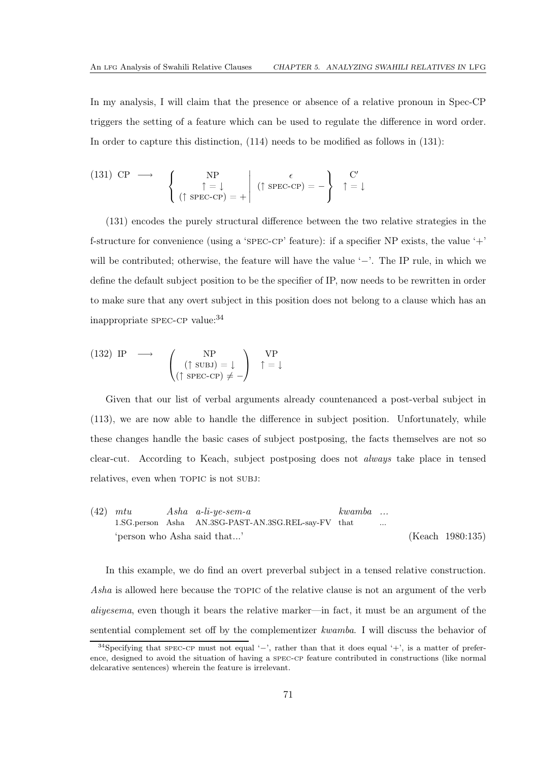In my analysis, I will claim that the presence or absence of a relative pronoun in Spec-CP triggers the setting of a feature which can be used to regulate the difference in word order. In order to capture this distinction, [\(114\)](#page-60-0) needs to be modified as follows in [\(131\)](#page-75-0):

<span id="page-75-0"></span>(131) CP 
$$
\longrightarrow
$$
  $\begin{cases} NP \\ \uparrow = \downarrow \\ (\uparrow \text{ SPEC-CP}) = + \end{cases}$   $(\uparrow \text{ SPEC-CP}) = - \begin{cases} C' \\ \uparrow = \downarrow \end{cases}$ 

[\(131\)](#page-75-0) encodes the purely structural difference between the two relative strategies in the f-structure for convenience (using a 'spec-cp' feature): if a specifier NP exists, the value '+' will be contributed; otherwise, the feature will have the value '−'. The IP rule, in which we define the default subject position to be the specifier of IP, now needs to be rewritten in order to make sure that any overt subject in this position does not belong to a clause which has an inappropriate spec-cp value:[34](#page-75-1)

(132) IP 
$$
\longrightarrow
$$
  $\begin{pmatrix} NP \\ (\uparrow \text{SUBJ}) = \downarrow \\ (\uparrow \text{SPEC-CP}) \neq - \end{pmatrix}$   $\uparrow = \downarrow$ 

Given that our list of verbal arguments already countenanced a post-verbal subject in [\(113\)](#page-60-1), we are now able to handle the difference in subject position. Unfortunately, while these changes handle the basic cases of subject postposing, the facts themselves are not so clear-cut. According to Keach, subject postposing does not *always* take place in tensed relatives, even when TOPIC is not SUBJ:

[\(42\)](#page-30-0) *mtu* 1.SG.person Asha AN.3SG-PAST-AN.3SG.REL-say-FV that *Asha a-li-ye-sem-a kwamba ...* 'person who Asha said that...' [\(Keach 1980](#page-111-0):135)

In this example, we do find an overt preverbal subject in a tensed relative construction. Asha is allowed here because the TOPIC of the relative clause is not an argument of the verb *aliyesema*, even though it bears the relative marker—in fact, it must be an argument of the sentential complement set off by the complementizer *kwamba*. I will discuss the behavior of

<span id="page-75-1"></span><sup>&</sup>lt;sup>34</sup>Specifying that spec-cp must not equal '-', rather than that it does equal '+', is a matter of preference, designed to avoid the situation of having a spec-cp feature contributed in constructions (like normal delcarative sentences) wherein the feature is irrelevant.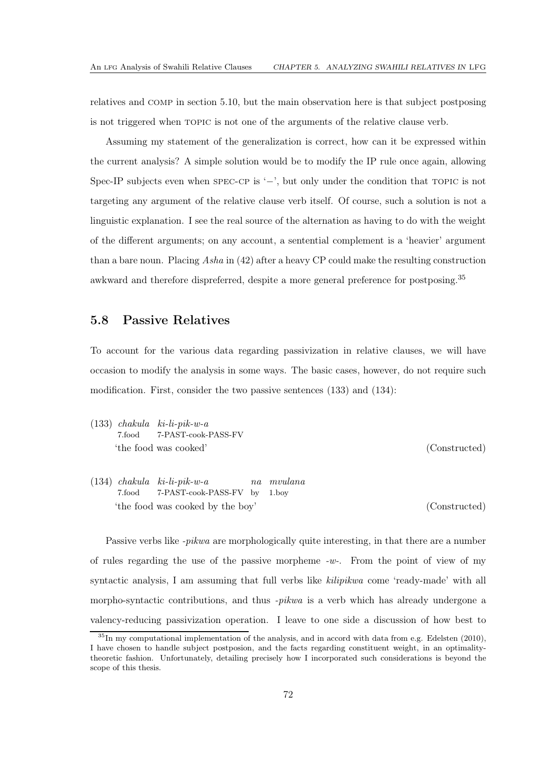relatives and comp in section [5.10,](#page-87-0) but the main observation here is that subject postposing is not triggered when topic is not one of the arguments of the relative clause verb.

Assuming my statement of the generalization is correct, how can it be expressed within the current analysis? A simple solution would be to modify the IP rule once again, allowing Spec-IP subjects even when spec-cp is '−', but only under the condition that TOPIC is not targeting any argument of the relative clause verb itself. Of course, such a solution is not a linguistic explanation. I see the real source of the alternation as having to do with the weight of the different arguments; on any account, a sentential complement is a 'heavier' argument than a bare noun. Placing *Asha* in [\(42\)](#page-30-0) after a heavy CP could make the resulting construction awkward and therefore dispreferred, despite a more general preference for postposing.[35](#page-76-0)

### 5.8 Passive Relatives

To account for the various data regarding passivization in relative clauses, we will have occasion to modify the analysis in some ways. The basic cases, however, do not require such modification. First, consider the two passive sentences [\(133\)](#page-76-1) and [\(134\)](#page-76-2):

- <span id="page-76-1"></span>(133) *chakula ki-li-pik-w-a* 7.food 7-PAST-cook-PASS-FV 'the food was cooked' (Constructed)
- <span id="page-76-2"></span>(134) *chakula ki-li-pik-w-a* 7.food 7-PAST-cook-PASS-FV by *na mvulana* 1.boy 'the food was cooked by the boy' (Constructed)

Passive verbs like *-pikwa* are morphologically quite interesting, in that there are a number of rules regarding the use of the passive morpheme *-w-*. From the point of view of my syntactic analysis, I am assuming that full verbs like *kilipikwa* come 'ready-made' with all morpho-syntactic contributions, and thus *-pikwa* is a verb which has already undergone a valency-reducing passivization operation. I leave to one side a discussion of how best to

<span id="page-76-0"></span> $35\,\text{In}$  my computational implementation of the analysis, and in accord with data from e.g. [Edelsten \(2010](#page-111-1)), I have chosen to handle subject postposion, and the facts regarding constituent weight, in an optimalitytheoretic fashion. Unfortunately, detailing precisely how I incorporated such considerations is beyond the scope of this thesis.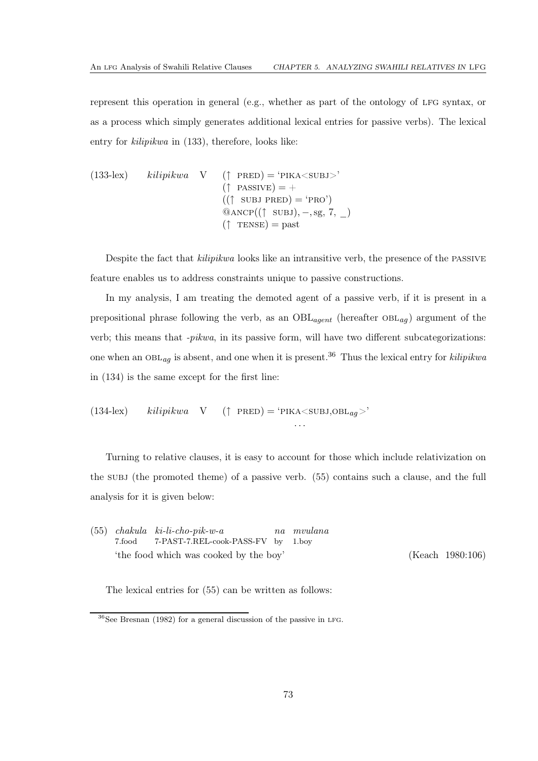represent this operation in general (e.g., whether as part of the ontology of LFG syntax, or as a process which simply generates additional lexical entries for passive verbs). The lexical entry for *kilipikwa* in [\(133\)](#page-76-1), therefore, looks like:

(133-lex) 
$$
kilipikwa
$$
 V (†  $PRED$ ) = 'PIKA $\langle$ SUBJ> $\rangle$   
\n( $\uparrow$  PASSIVE) = +  
\n(( $\uparrow$  SUBJ PRED) = 'PRO')  
\n@ANCP(( $\uparrow$  SUBJ), -, sg, 7, \_)  
\n( $\uparrow$  TENSE) = past

Despite the fact that *kilipikwa* looks like an intransitive verb, the presence of the passive feature enables us to address constraints unique to passive constructions.

In my analysis, I am treating the demoted agent of a passive verb, if it is present in a prepositional phrase following the verb, as an  $OBL_{agent}$  (hereafter  $OBL_{aq}$ ) argument of the verb; this means that *-pikwa*, in its passive form, will have two different subcategorizations: one when an  $OBL_{aa}$  is absent, and one when it is present.<sup>[36](#page-77-0)</sup> Thus the lexical entry for *kilipikwa* in [\(134\)](#page-76-2) is the same except for the first line:

(134-lex) 
$$
kilipikwa
$$
 V († PRED) = 'PIKA<sup>></sup>SUBJ,OBL<sub>ag</sub>>)'

Turning to relative clauses, it is easy to account for those which include relativization on the subj (the promoted theme) of a passive verb. [\(55\)](#page-33-0) contains such a clause, and the full analysis for it is given below:

. . .

|        | $(55)$ chakula ki-li-cho-pik-w-a       | na mvulana |                      |
|--------|----------------------------------------|------------|----------------------|
| 7.food | 7-PAST-7.REL-cook-PASS-FV by 1.boy     |            |                      |
|        | 'the food which was cooked by the boy' |            | $(Keach \ 1980:106)$ |

The lexical entries for [\(55\)](#page-33-0) can be written as follows:

<span id="page-77-0"></span> $36$ See [Bresnan \(1982](#page-110-0)) for a general discussion of the passive in LFG.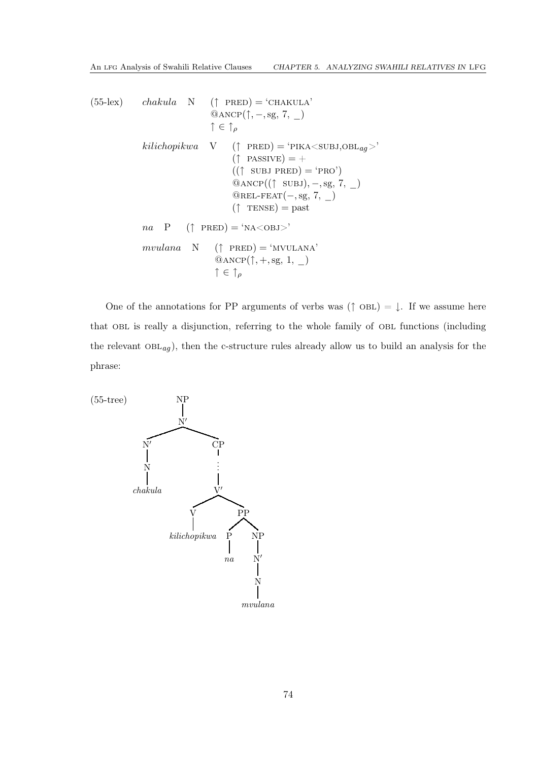```
(55-lex) chakula N († PRED) = 'CHAKULA'
                              @ANCP(\uparrow, -, sg, 7, \Box)
                              \uparrow \in \uparrow_{\rho}kilichopikwa \ V \ (\uparrow \text{PRED}) = \text{YIKA} \langle \text{SUBJ,OBL}_{ag} \rangle(\uparrow PASSIVE) = +
                                      ((\uparrow \text{SUBJ PRED}) = 'PRO')@ANCP((\uparrow \text{SUBJ}), -, \text{sg}, 7, )@REL-FEAT(-, sg, 7, _)(\uparrow \text{TENSE}) = \text{past}na \quad P \quad (\uparrow \text{ PRED}) = \text{'NA} < \text{OBJ>}mvulana \quad N \quad (\uparrow \text{ PRED}) = \text{`MVULANA'}@ANDP(\uparrow, +, sg, 1, _)\uparrow \in \uparrow_{\rho}
```
One of the annotations for PP arguments of verbs was  $(\uparrow$  OBL) =  $\downarrow$ . If we assume here that obl is really a disjunction, referring to the whole family of obl functions (including the relevant  $OBL_{ag}$ ), then the c-structure rules already allow us to build an analysis for the phrase:

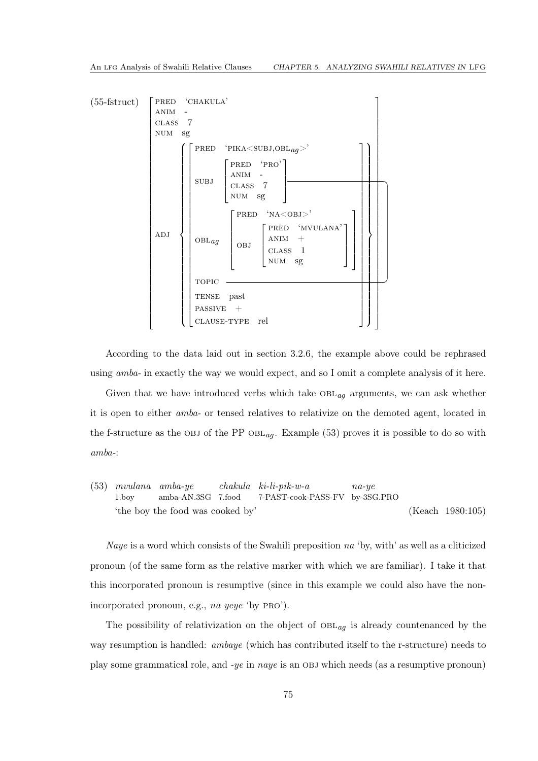

According to the data laid out in section [3.2.6,](#page-32-0) the example above could be rephrased using *amba-* in exactly the way we would expect, and so I omit a complete analysis of it here.

Given that we have introduced verbs which take  $OBL_{aq}$  arguments, we can ask whether it is open to either *amba-* or tensed relatives to relativize on the demoted agent, located in the f-structure as the OBJ of the PP  $OBL_{aa}$ . Example [\(53\)](#page-32-1) proves it is possible to do so with *amba-*:

[\(53\)](#page-32-1) *mvulana* 1.boy *amba-ye* amba-AN.3SG 7.food *chakula ki-li-pik-w-a* 7-PAST-cook-PASS-FV by-3SG.PRO *na-ye* 'the boy the food was cooked by' [\(Keach 1980](#page-111-0):105)

*Naye* is a word which consists of the Swahili preposition *na* 'by, with' as well as a cliticized pronoun (of the same form as the relative marker with which we are familiar). I take it that this incorporated pronoun is resumptive (since in this example we could also have the nonincorporated pronoun, e.g., *na yeye* 'by pro').

The possibility of relativization on the object of  $OBL_{ag}$  is already countenanced by the way resumption is handled: *ambaye* (which has contributed itself to the r-structure) needs to play some grammatical role, and *-ye* in *naye* is an obj which needs (as a resumptive pronoun)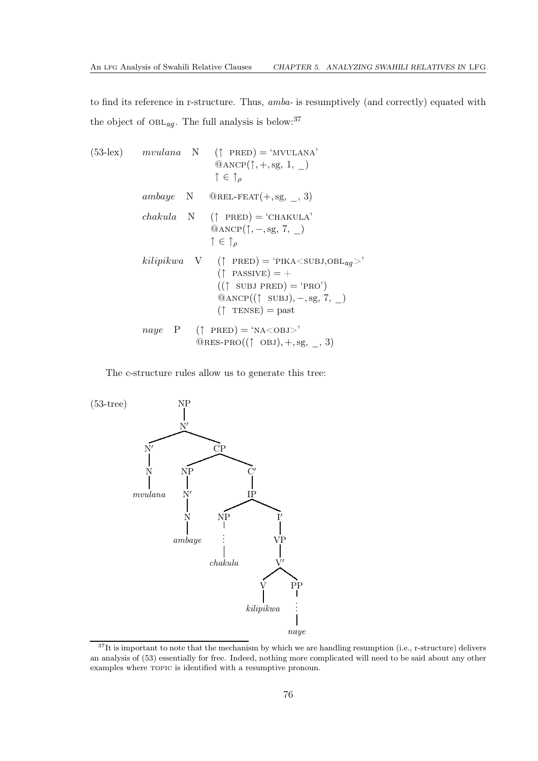to find its reference in r-structure. Thus, *amba-* is resumptively (and correctly) equated with the object of  $\mathrm{OBL}_{ag}.$  The full analysis is below:  $^{37}$  $^{37}$  $^{37}$ 

(53-lex) *mvulana* N (
$$
\uparrow
$$
 PRED) = 'MVULANA'  
\n@ANCP( $\uparrow$ , +, sg, 1, \_)  
\n $\uparrow \in \uparrow_{\rho}$   
\n*ambaye* N @REL-FEAT(+, sg, \_, 3)  
\n*chakula* N ( $\uparrow$  PRED) = 'CHAKULA'  
\n@ANCP( $\uparrow$ , -, sg, 7, \_)  
\n $\uparrow \in \uparrow_{\rho}$   
\n*kilipikwa* V ( $\uparrow$  PRED) = 'PIKA <sup>2</sup><sub>IV</sub> <sup>2</sup><sub>0.08L<sub>ag</sub> <sup>></sup>  
\n( $\uparrow$  PASSIVE) = +  
\n(( $\uparrow$  SUBJ PRED) = 'PRO')  
\n@ANCP(( $\uparrow$  SUBJ), -, sg, 7, \_)  
\n( $\uparrow$  TENSE) = past  
\n*naye* P ( $\uparrow$  PRED) = 'NA<0BJ>'  
\n@RES-PRO(( $\uparrow$  OBJ), +, sg, \_, 3)</sub>

The c-structure rules allow us to generate this tree:



<span id="page-80-0"></span> $37$ It is important to note that the mechanism by which we are handling resumption (i.e., r-structure) delivers an analysis of [\(53\)](#page-32-1) essentially for free. Indeed, nothing more complicated will need to be said about any other examples where topic is identified with a resumptive pronoun.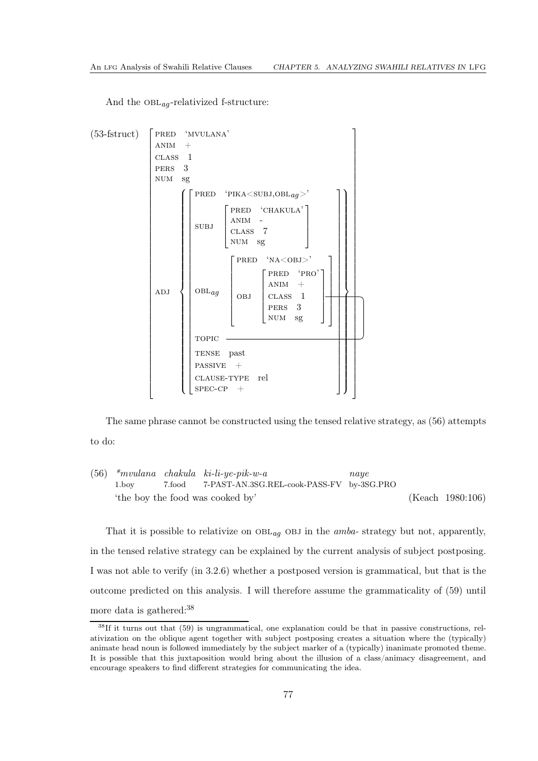And the  $OBL_{aq}$ -relativized f-structure:



The same phrase cannot be constructed using the tensed relative strategy, as [\(56\)](#page-33-1) attempts to do:

[\(56\)](#page-33-1) *\*mvulana chakula ki-li-ye-pik-w-a* 1.boy 7.food 7-PAST-AN.3SG.REL-cook-PASS-FV by-3SG.PRO *naye* 'the boy the food was cooked by' [\(Keach 1980](#page-111-0):106)

That it is possible to relativize on  $OBL_{aq}$  OBJ in the *amba*- strategy but not, apparently, in the tensed relative strategy can be explained by the current analysis of subject postposing. I was not able to verify (in [3.2.6\)](#page-32-0) whether a postposed version is grammatical, but that is the outcome predicted on this analysis. I will therefore assume the grammaticality of [\(59\)](#page-34-0) until more data is gathered:<sup>[38](#page-81-0)</sup>

<span id="page-81-0"></span> $38$ If it turns out that [\(59\)](#page-34-0) is ungrammatical, one explanation could be that in passive constructions, relativization on the oblique agent together with subject postposing creates a situation where the (typically) animate head noun is followed immediately by the subject marker of a (typically) inanimate promoted theme. It is possible that this juxtaposition would bring about the illusion of a class/animacy disagreement, and encourage speakers to find different strategies for communicating the idea.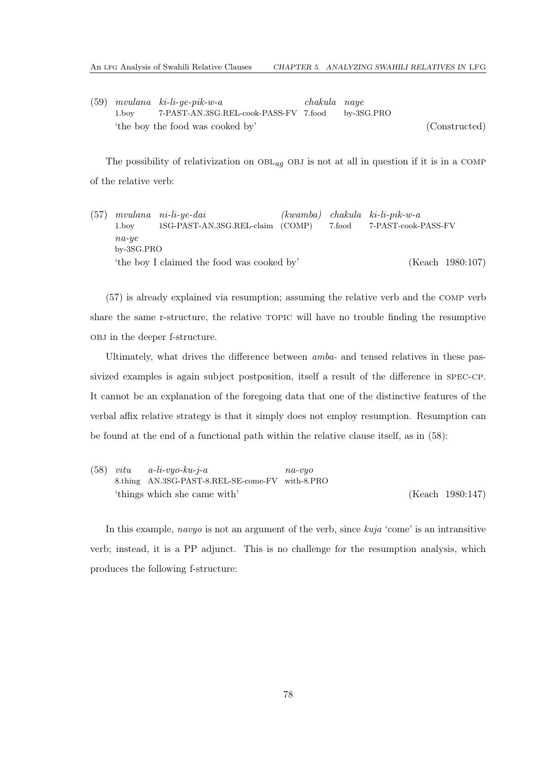[\(59\)](#page-34-0) *mvulana ki-li-ye-pik-w-a* 1.boy 7-PAST-AN.3SG.REL-cook-PASS-FV 7.food *chakula naye* by-3SG.PRO 'the boy the food was cooked by' (Constructed)

The possibility of relativization on  $OBL_{aq}$  OBJ is not at all in question if it is in a COMP of the relative verb:

[\(57\)](#page-33-2) *mvulana ni-li-ye-dai* 1.boy 1SG-PAST-AN.3SG.REL-claim (COMP) *(kwamba) chakula ki-li-pik-w-a* 7.food 7-PAST-cook-PASS-FV *na-ye* by-3SG.PRO 'the boy I claimed the food was cooked by' [\(Keach 1980](#page-111-0):107)

[\(57\)](#page-33-2) is already explained via resumption; assuming the relative verb and the comp verb share the same r-structure, the relative topic will have no trouble finding the resumptive obj in the deeper f-structure.

Ultimately, what drives the difference between *amba-* and tensed relatives in these passivized examples is again subject postposition, itself a result of the difference in spec-cp. It cannot be an explanation of the foregoing data that one of the distinctive features of the verbal affix relative strategy is that it simply does not employ resumption. Resumption can be found at the end of a functional path within the relative clause itself, as in [\(58\)](#page-33-3):

[\(58\)](#page-33-3) *vitu* 8.thing AN.3SG-PAST-8.REL-SE-come-FV with-8.PRO *a-li-vyo-ku-j-a na-vyo* 'things which she came with' [\(Keach 1980](#page-111-0):147)

In this example, *navyo* is not an argument of the verb, since *kuja* 'come' is an intransitive verb; instead, it is a PP adjunct. This is no challenge for the resumption analysis, which produces the following f-structure: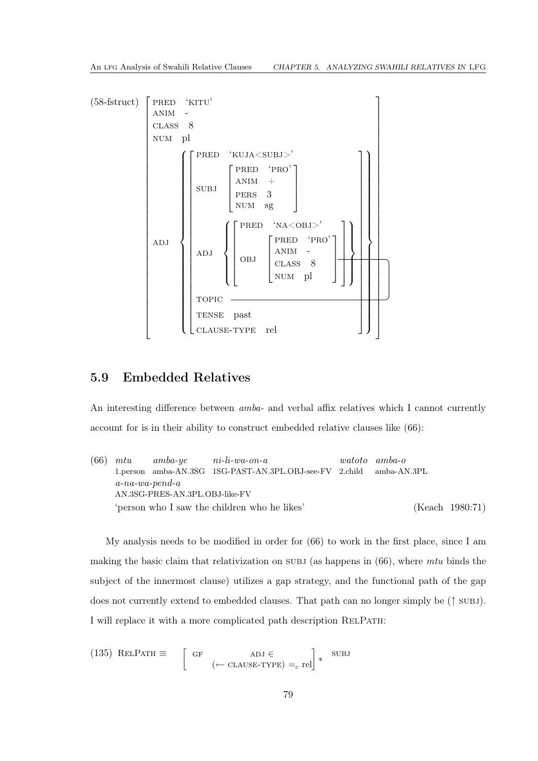

## 5.9 Embedded Relatives

An interesting difference between *amba-* and verbal affix relatives which I cannot currently account for is in their ability to construct embedded relative clauses like [\(66\)](#page-36-0):

[\(66\)](#page-36-0) *mtu* 1.person amba-AN.3SG 1SG-PAST-AN.3PL.OBJ-see-FV 2.child *amba-ye ni-li-wa-on-a watoto amba-o* amba-AN.3PL *a-na-wa-pend-a* AN.3SG-PRES-AN.3PL.OBJ-like-FV 'person who I saw the children who he likes' [\(Keach 1980](#page-111-0):71)

My analysis needs to be modified in order for [\(66\)](#page-36-0) to work in the first place, since I am making the basic claim that relativization on subj (as happens in [\(66\)](#page-36-0), where *mtu* binds the subject of the innermost clause) utilizes a gap strategy, and the functional path of the gap does not currently extend to embedded clauses. That path can no longer simply be (↑ subj). I will replace it with a more complicated path description RELPATH:

(135) ReLPATH 
$$
\equiv
$$
  $\begin{bmatrix} GF & ADJ \in \\ \leftarrow \text{CLASS-TYPE} \end{bmatrix} * \text{SUBJ}$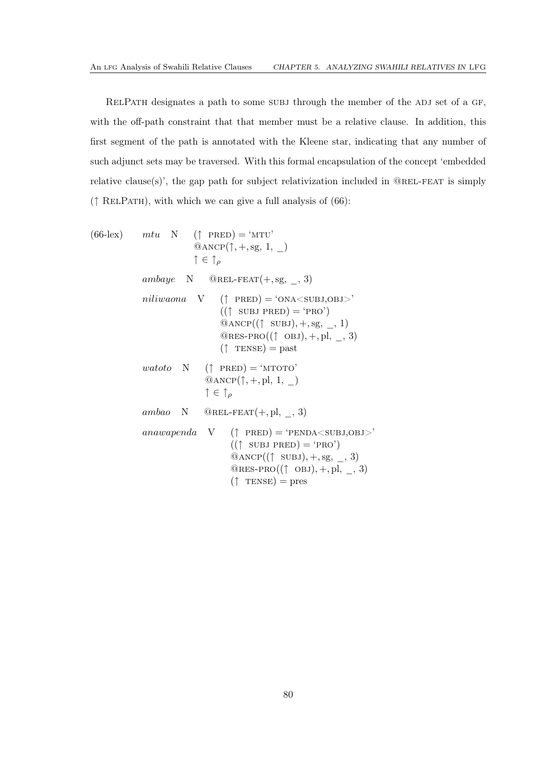RELPATH designates a path to some SUBJ through the member of the ADJ set of a GF, with the off-path constraint that that member must be a relative clause. In addition, this first segment of the path is annotated with the Kleene star, indicating that any number of such adjunct sets may be traversed. With this formal encapsulation of the concept 'embedded relative clause(s)', the gap path for subject relativization included in  $@REL-FEAT$  is simply  $(†$  RELPATH), with which we can give a full analysis of [\(66\)](#page-36-0):

(66-lex) *mtu* N (
$$
\uparrow
$$
 PRED) = 'MTU'  
\n@ANCP( $\uparrow$ , +, sg, 1, \_)  
\n $\uparrow \in \uparrow_{\rho}$   
\n*ambaye* N @REL-FEAT(+, sg, \_, 3)  
\n*niliwaona* V ( $\uparrow$  PRED) = 'ONA<sup>'</sup>SUBJ,OBJ>'  
\n(( $\uparrow$  SUBJ PRED) = 'PRO')  
\n@ANCP(( $\uparrow$  SUBJ), +, sg, \_, 1)  
\n@RES-PRO(( $\uparrow$  OBJ), +, pl, \_, 3)  
\n( $\uparrow$  TENSE) = past  
\n*watoto* N ( $\uparrow$  PRED) = 'MTOTO'  
\n@ANCP( $\uparrow$ , +, pl, 1, \_)  
\n $\uparrow \in \uparrow_{\rho}$   
\n*ambao* N @REL-FEAT(+, pl, \_, 3)  
\n*anawapenda* V ( $\uparrow$  PRED) = 'PENDA<sup>'</sup>SUBJ,OBJ>'  
\n(( $\uparrow$  SUBJ PRED) = 'PRO')  
\n@ANCP(( $\uparrow$  SUBJ), +, sg, \_, 3)  
\n@RES-PRO(( $\uparrow$  OBJ), +, pl, \_, 3)  
\n( $\uparrow$  TENSE) = pres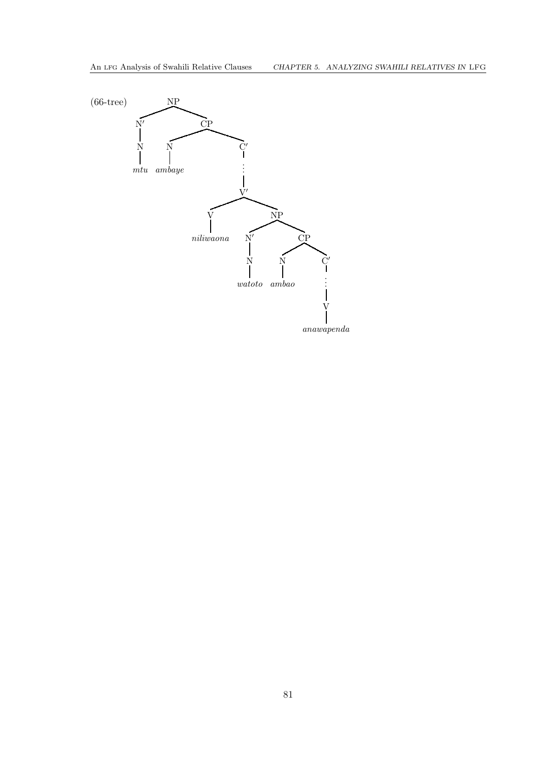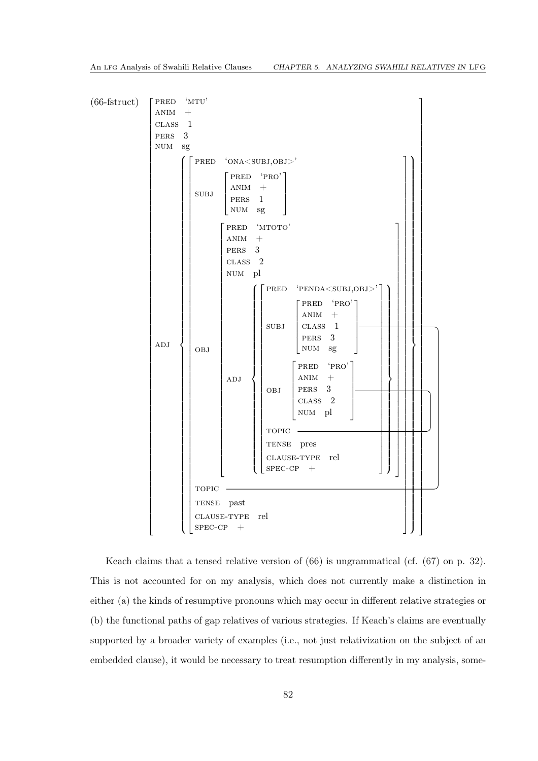

Keach claims that a tensed relative version of [\(66\)](#page-36-0) is ungrammatical (cf. [\(67\)](#page-36-1) on p. [32\)](#page-36-1). This is not accounted for on my analysis, which does not currently make a distinction in either (a) the kinds of resumptive pronouns which may occur in different relative strategies or (b) the functional paths of gap relatives of various strategies. If Keach's claims are eventually supported by a broader variety of examples (i.e., not just relativization on the subject of an embedded clause), it would be necessary to treat resumption differently in my analysis, some-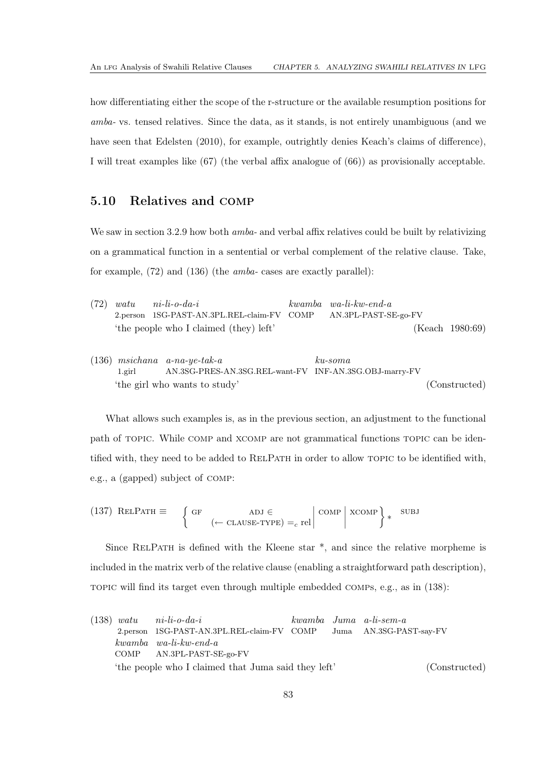how differentiating either the scope of the r-structure or the available resumption positions for *amba-* vs. tensed relatives. Since the data, as it stands, is not entirely unambiguous (and we have seen that [Edelsten \(2010](#page-111-1)), for example, outrightly denies Keach's claims of difference), I will treat examples like [\(67\)](#page-36-1) (the verbal affix analogue of [\(66\)](#page-36-0)) as provisionally acceptable.

## <span id="page-87-0"></span>5.10 Relatives and comp

We saw in section [3.2.9](#page-37-0) how both *amba-* and verbal affix relatives could be built by relativizing on a grammatical function in a sentential or verbal complement of the relative clause. Take, for example, [\(72\)](#page-38-0) and [\(136\)](#page-87-1) (the *amba-* cases are exactly parallel):

|  | $(72)$ watu ni-li-o-da-i                                        | $kwamba$ wa-li-kw-end-a |                    |
|--|-----------------------------------------------------------------|-------------------------|--------------------|
|  | 2.person 1SG-PAST-AN.3PL.REL-claim-FV COMP AN.3PL-PAST-SE-go-FV |                         |                    |
|  | 'the people who I claimed (they) left'                          |                         | (Keach $1980:69$ ) |

<span id="page-87-1"></span>(136) *msichana a-na-ye-tak-a* 1.girl AN.3SG-PRES-AN.3SG.REL-want-FV INF-AN.3SG.OBJ-marry-FV *ku-soma* 'the girl who wants to study' (Constructed)

What allows such examples is, as in the previous section, an adjustment to the functional path of topic. While comp and xcomp are not grammatical functions topic can be identified with, they need to be added to RELPATH in order to allow TOPIC to be identified with, e.g., a (gapped) subject of comp:

<span id="page-87-3"></span> $(137)$  RELPATH  $\equiv$  $\int$  GF ADJ  $\in$  $(-$  CLAUSE-TYPE) = c rel  $\begin{array}{c} \begin{array}{c} \begin{array}{c} \end{array} \\ \begin{array}{c} \end{array} \end{array} \end{array}$  $\begin{array}{c} \text{COMP} \\ \end{array}$ xcomp ∗ subj

Since RELPATH is defined with the Kleene star  $*$ , and since the relative morpheme is included in the matrix verb of the relative clause (enabling a straightforward path description), topic will find its target even through multiple embedded comps, e.g., as in [\(138\)](#page-87-2):

<span id="page-87-2"></span>

|                                                     | $(138)$ watu ni-li-o-da-i                                          |  |  | kwamba Juma a-li-sem-a |
|-----------------------------------------------------|--------------------------------------------------------------------|--|--|------------------------|
|                                                     | 2.person 1SG-PAST-AN.3PL.REL-claim-FV COMP Juma AN.3SG-PAST-say-FV |  |  |                        |
|                                                     | $kwamba$ $wa-li-kw-end-a$                                          |  |  |                        |
|                                                     | COMP AN.3PL-PAST-SE-go-FV                                          |  |  |                        |
| 'the people who I claimed that Juma said they left' |                                                                    |  |  | (Constructed)          |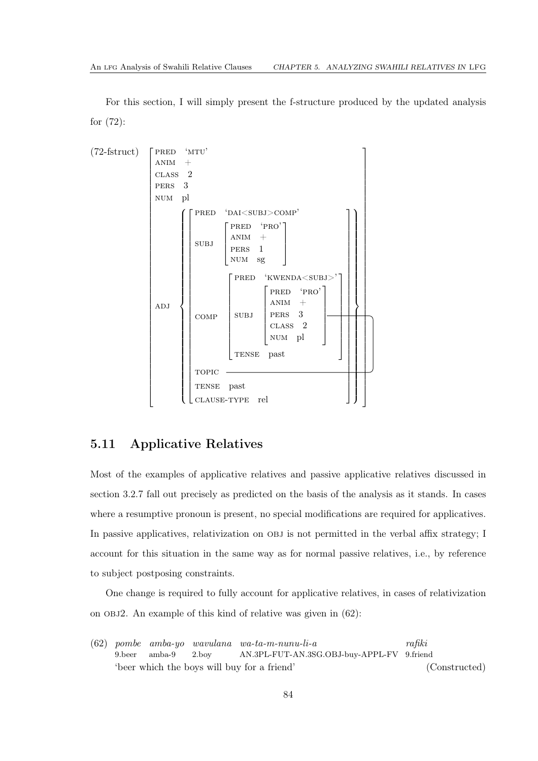For this section, I will simply present the f-structure produced by the updated analysis for [\(72\)](#page-38-0):



## 5.11 Applicative Relatives

Most of the examples of applicative relatives and passive applicative relatives discussed in section [3.2.7](#page-34-1) fall out precisely as predicted on the basis of the analysis as it stands. In cases where a resumptive pronoun is present, no special modifications are required for applicatives. In passive applicatives, relativization on OBJ is not permitted in the verbal affix strategy; I account for this situation in the same way as for normal passive relatives, i.e., by reference to subject postposing constraints.

One change is required to fully account for applicative relatives, in cases of relativization on obj2. An example of this kind of relative was given in [\(62\)](#page-35-0):

[\(62\)](#page-35-0) *pombe amba-yo wavulana wa-ta-m-nunu-li-a* 9.beer amba-9 2.boy AN.3PL-FUT-AN.3SG.OBJ-buy-APPL-FV 9.friend *rafiki* 'beer which the boys will buy for a friend' (Constructed)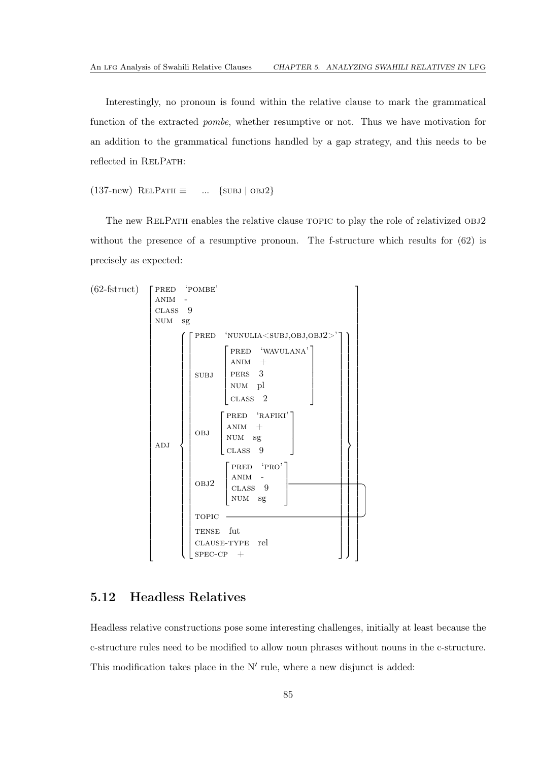Interestingly, no pronoun is found within the relative clause to mark the grammatical function of the extracted *pombe*, whether resumptive or not. Thus we have motivation for an addition to the grammatical functions handled by a gap strategy, and this needs to be reflected in RELPATH:

[\(137-](#page-87-3)new) RELPATH  $\equiv$  ... {SUBJ | OBJ2}

The new RELPATH enables the relative clause TOPIC to play the role of relativized OBJ2 without the presence of a resumptive pronoun. The f-structure which results for  $(62)$  is precisely as expected:



## 5.12 Headless Relatives

Headless relative constructions pose some interesting challenges, initially at least because the c-structure rules need to be modified to allow noun phrases without nouns in the c-structure. This modification takes place in the N' rule, where a new disjunct is added: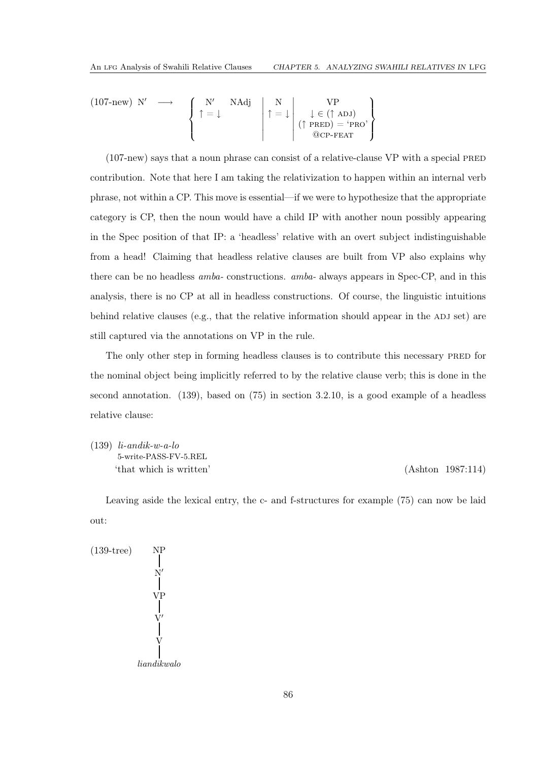(107-new) N' 
$$
\longrightarrow
$$
  $\left\{\begin{array}{ccc} N' & NAdj \\ \uparrow = \downarrow & \\ & \end{array}\right\}$   $\uparrow = \downarrow$   $\left\{\begin{array}{ccc} N' & NAdj \\ \uparrow = \downarrow & \\ & \end{array}\right\}$   $\left\{\begin{array}{ccc} VP \\ \downarrow \in (\uparrow ADJ) \\ & \text{(PRED)} = 'PRO' \\ & \text{(OCP-FEAT)} \end{array}\right\}$ 

 $(107$ -new) says that a noun phrase can consist of a relative-clause VP with a special PRED contribution. Note that here I am taking the relativization to happen within an internal verb phrase, not within a CP. This move is essential—if we were to hypothesize that the appropriate category is CP, then the noun would have a child IP with another noun possibly appearing in the Spec position of that IP: a 'headless' relative with an overt subject indistinguishable from a head! Claiming that headless relative clauses are built from VP also explains why there can be no headless *amba-* constructions. *amba-* always appears in Spec-CP, and in this analysis, there is no CP at all in headless constructions. Of course, the linguistic intuitions behind relative clauses (e.g., that the relative information should appear in the ADJ set) are still captured via the annotations on VP in the rule.

The only other step in forming headless clauses is to contribute this necessary PRED for the nominal object being implicitly referred to by the relative clause verb; this is done in the second annotation. [\(139\)](#page-90-0), based on [\(75\)](#page-39-0) in section [3.2.10,](#page-38-1) is a good example of a headless relative clause:

<span id="page-90-0"></span>(139) *li-andik-w-a-lo* 5-write-PASS-FV-5.REL 'that which is written' [\(Ashton 1987](#page-110-1):114)

Leaving aside the lexical entry, the c- and f-structures for example [\(75\)](#page-39-0) can now be laid out:

(139-tree)  
\n
$$
NP
$$
\n
$$
V
$$
\n
$$
V
$$
\n
$$
V'
$$
\n
$$
V'
$$
\n
$$
V'
$$
\n
$$
\\lian dikwalo
$$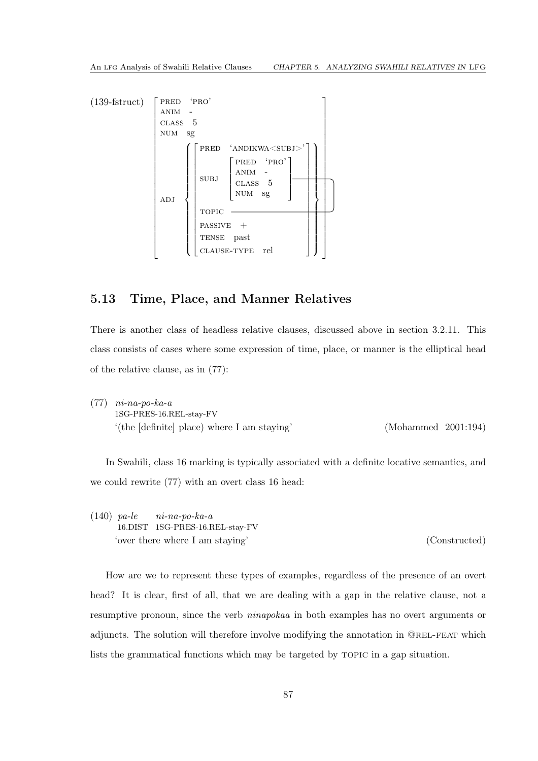

## 5.13 Time, Place, and Manner Relatives

There is another class of headless relative clauses, discussed above in section [3.2.11.](#page-39-1) This class consists of cases where some expression of time, place, or manner is the elliptical head of the relative clause, as in [\(77\)](#page-40-0):

| $(77)$ $ni$ -na-po-ka-a                       |                     |  |
|-----------------------------------------------|---------------------|--|
| 1SG-PRES-16.REL-stay-FV                       |                     |  |
| $'(the [definite] place) where I am staying'$ | (Mohammed 2001:194) |  |

In Swahili, class 16 marking is typically associated with a definite locative semantics, and we could rewrite [\(77\)](#page-40-0) with an overt class 16 head:

(140) *pa-le* 16.DIST 1SG-PRES-16.REL-stay-FV *ni-na-po-ka-a* 'over there where I am staying' (Constructed)

How are we to represent these types of examples, regardless of the presence of an overt head? It is clear, first of all, that we are dealing with a gap in the relative clause, not a resumptive pronoun, since the verb *ninapokaa* in both examples has no overt arguments or adjuncts. The solution will therefore involve modifying the annotation in @rel-feat which lists the grammatical functions which may be targeted by topic in a gap situation.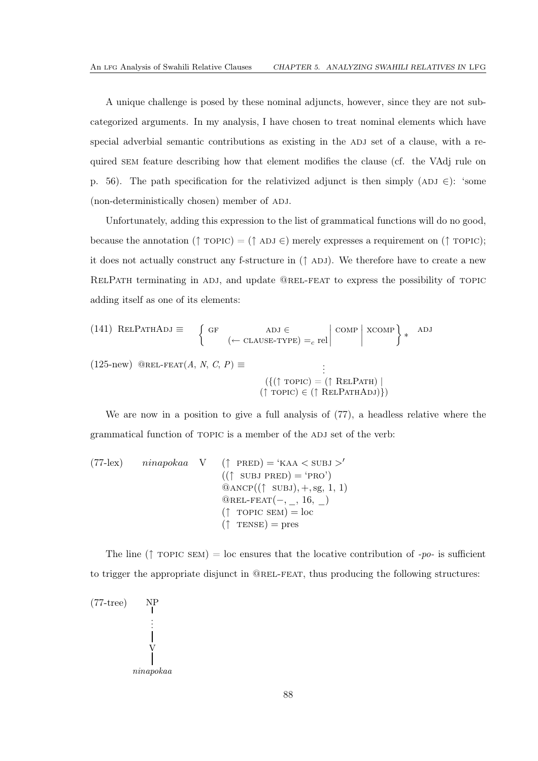A unique challenge is posed by these nominal adjuncts, however, since they are not subcategorized arguments. In my analysis, I have chosen to treat nominal elements which have special adverbial semantic contributions as existing in the ADJ set of a clause, with a required sem feature describing how that element modifies the clause (cf. the VAdj rule on p. [56\)](#page-60-2). The path specification for the relativized adjunct is then simply (ADJ  $\in$ ): 'some (non-deterministically chosen) member of ADJ.

Unfortunately, adding this expression to the list of grammatical functions will do no good, because the annotation ( $\uparrow$  TOPIC) = ( $\uparrow$  ADJ ∈) merely expresses a requirement on ( $\uparrow$  TOPIC); it does not actually construct any f-structure in  $(† ADJ)$ . We therefore have to create a new RELPATH terminating in ADJ, and update @REL-FEAT to express the possibility of TOPIC adding itself as one of its elements:

(141) ReLParHADJ 
$$
\equiv
$$
 {GF  
  $(\leftarrow$  CLAUSE-TYPE) =<sub>c</sub> rel  $|\text{COMP}|$  XCOMP }

 $(125-new)$  $(125-new)$  @REL-FEAT $(A, N, C, P) \equiv$ 

$$
(\{\uparrow \text{topic}) = (\uparrow \text{ReLUPartH}) \mid
$$
  

$$
(\uparrow \text{topic}) \in (\uparrow \text{ReLUPartHADJ}\})
$$

.

We are now in a position to give a full analysis of  $(77)$ , a headless relative where the grammatical function of TOPIC is a member of the ADJ set of the verb:

(77-lex) *ninapokaa* V 
$$
(\uparrow
$$
 PRED) = 'KAA < SUBJ >' $((\uparrow$  SUBJ PRED) = 'PRO')  $\textcircled{0} \text{ANCP}((\uparrow$  SUBJ), +, sg, 1, 1)  $\textcircled{0} \text{REL-FEAT}(-, \_, 16, \_)$  $(\uparrow$  TOPIC SEM) = loc  $(\uparrow$  TENSE) = pres

The line ( $\uparrow$  TOPIC SEM) = loc ensures that the locative contribution of *-po-* is sufficient to trigger the appropriate disjunct in @rel-feat, thus producing the following structures:

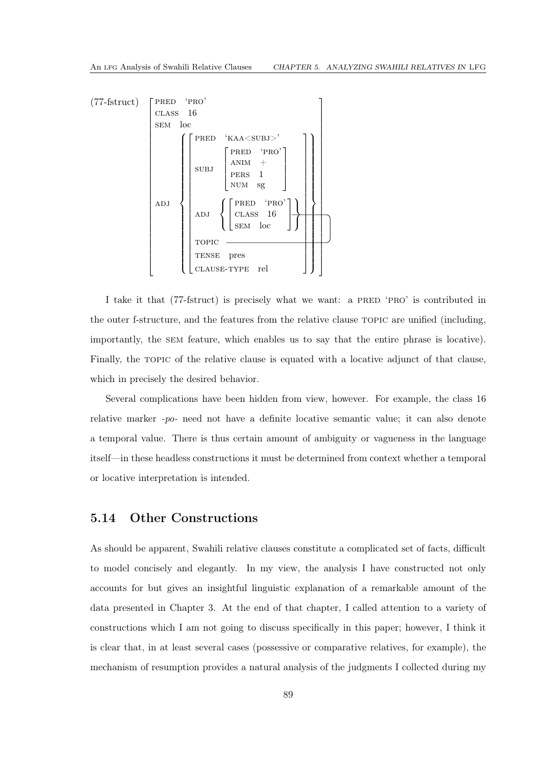

I take it that [\(77-](#page-40-0)fstruct) is precisely what we want: a PRED 'PRO' is contributed in the outer f-structure, and the features from the relative clause topic are unified (including, importantly, the sem feature, which enables us to say that the entire phrase is locative). Finally, the TOPIC of the relative clause is equated with a locative adjunct of that clause, which in precisely the desired behavior.

Several complications have been hidden from view, however. For example, the class 16 relative marker *-po-* need not have a definite locative semantic value; it can also denote a temporal value. There is thus certain amount of ambiguity or vagueness in the language itself—in these headless constructions it must be determined from context whether a temporal or locative interpretation is intended.

### 5.14 Other Constructions

As should be apparent, Swahili relative clauses constitute a complicated set of facts, difficult to model concisely and elegantly. In my view, the analysis I have constructed not only accounts for but gives an insightful linguistic explanation of a remarkable amount of the data presented in Chapter [3.](#page-18-0) At the end of that chapter, I called attention to a variety of constructions which I am not going to discuss specifically in this paper; however, I think it is clear that, in at least several cases (possessive or comparative relatives, for example), the mechanism of resumption provides a natural analysis of the judgments I collected during my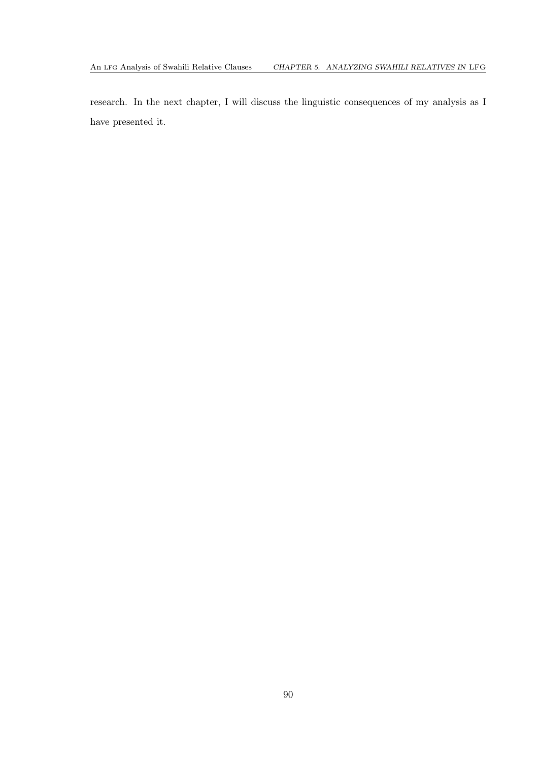research. In the next chapter, I will discuss the linguistic consequences of my analysis as I have presented it.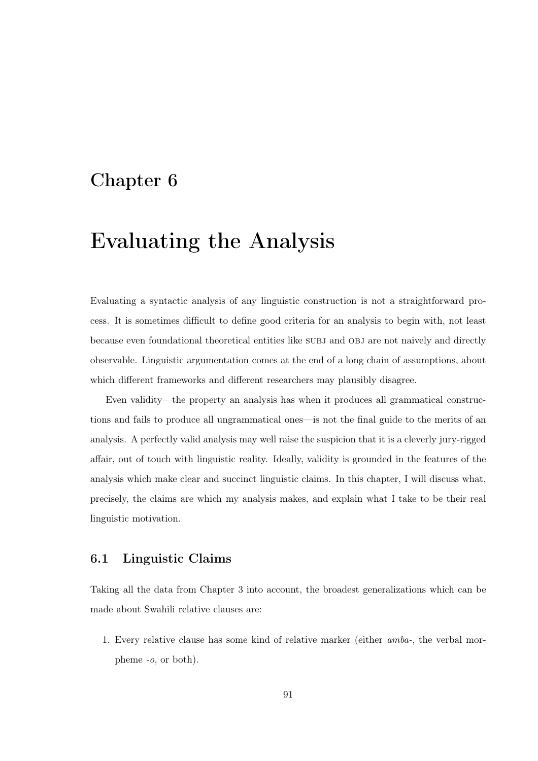## Chapter 6

# Evaluating the Analysis

Evaluating a syntactic analysis of any linguistic construction is not a straightforward process. It is sometimes difficult to define good criteria for an analysis to begin with, not least because even foundational theoretical entities like subj and obj are not naively and directly observable. Linguistic argumentation comes at the end of a long chain of assumptions, about which different frameworks and different researchers may plausibly disagree.

Even validity—the property an analysis has when it produces all grammatical constructions and fails to produce all ungrammatical ones—is not the final guide to the merits of an analysis. A perfectly valid analysis may well raise the suspicion that it is a cleverly jury-rigged affair, out of touch with linguistic reality. Ideally, validity is grounded in the features of the analysis which make clear and succinct linguistic claims. In this chapter, I will discuss what, precisely, the claims are which my analysis makes, and explain what I take to be their real linguistic motivation.

## 6.1 Linguistic Claims

Taking all the data from Chapter [3](#page-18-0) into account, the broadest generalizations which can be made about Swahili relative clauses are:

1. Every relative clause has some kind of relative marker (either *amba-*, the verbal morpheme *-o*, or both).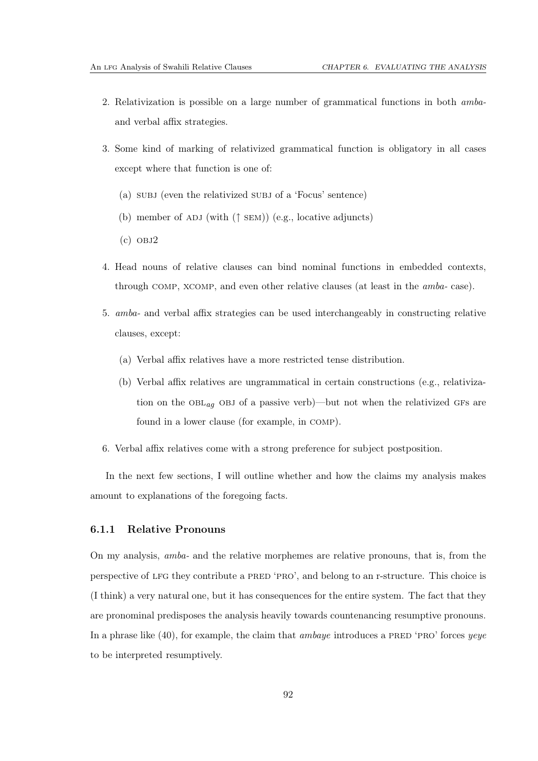- 2. Relativization is possible on a large number of grammatical functions in both *amba*and verbal affix strategies.
- 3. Some kind of marking of relativized grammatical function is obligatory in all cases except where that function is one of:
	- (a) subj (even the relativized subj of a 'Focus' sentence)
	- (b) member of ADJ (with  $(†$  SEM)) (e.g., locative adjuncts)
	- $(c)$  OBJ $2$
- 4. Head nouns of relative clauses can bind nominal functions in embedded contexts, through comp, xcomp, and even other relative clauses (at least in the *amba-* case).
- 5. *amba-* and verbal affix strategies can be used interchangeably in constructing relative clauses, except:
	- (a) Verbal affix relatives have a more restricted tense distribution.
	- (b) Verbal affix relatives are ungrammatical in certain constructions (e.g., relativization on the  $OBL_{aq}$  OBJ of a passive verb)—but not when the relativized GFs are found in a lower clause (for example, in comp).
- 6. Verbal affix relatives come with a strong preference for subject postposition.

In the next few sections, I will outline whether and how the claims my analysis makes amount to explanations of the foregoing facts.

### 6.1.1 Relative Pronouns

On my analysis, *amba-* and the relative morphemes are relative pronouns, that is, from the perspective of lfg they contribute a pred 'pro', and belong to an r-structure. This choice is (I think) a very natural one, but it has consequences for the entire system. The fact that they are pronominal predisposes the analysis heavily towards countenancing resumptive pronouns. In a phrase like [\(40\)](#page-29-1), for example, the claim that *ambaye* introduces a pred 'pro' forces *yeye* to be interpreted resumptively.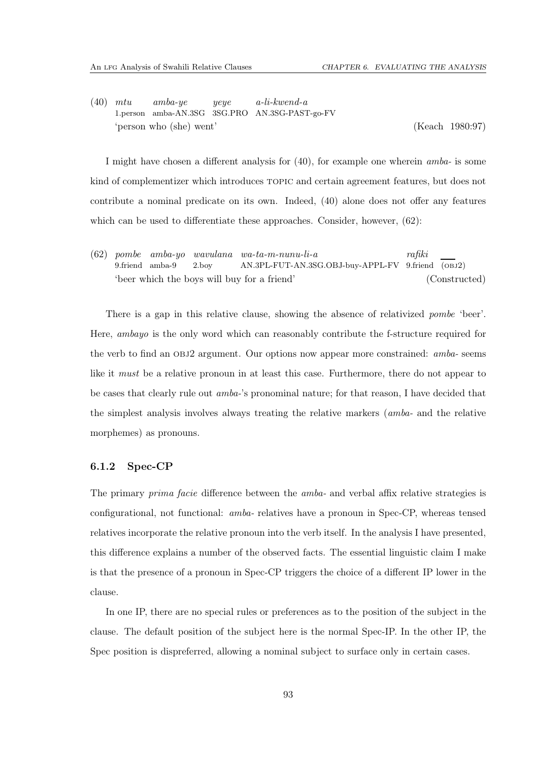[\(40\)](#page-29-1) *mtu* 1.person amba-AN.3SG 3SG.PRO AN.3SG-PAST-go-FV *amba-ye yeye a-li-kwend-a* 'person who (she) went' [\(Keach 1980](#page-111-0):97)

I might have chosen a different analysis for [\(40\)](#page-29-1), for example one wherein *amba-* is some kind of complementizer which introduces topic and certain agreement features, but does not contribute a nominal predicate on its own. Indeed, [\(40\)](#page-29-1) alone does not offer any features which can be used to differentiate these approaches. Consider, however,  $(62)$ :

[\(62\)](#page-35-0) *pombe amba-yo wavulana wa-ta-m-nunu-li-a* 9.friend amba-9 2.boy AN.3PL-FUT-AN.3SG.OBJ-buy-APPL-FV 9.friend (obj2) *rafiki* 'beer which the boys will buy for a friend' (Constructed)

There is a gap in this relative clause, showing the absence of relativized *pombe* 'beer'. Here, *ambayo* is the only word which can reasonably contribute the f-structure required for the verb to find an obj2 argument. Our options now appear more constrained: *amba-* seems like it *must* be a relative pronoun in at least this case. Furthermore, there do not appear to be cases that clearly rule out *amba-*'s pronominal nature; for that reason, I have decided that the simplest analysis involves always treating the relative markers (*amba-* and the relative morphemes) as pronouns.

### 6.1.2 Spec-CP

The primary *prima facie* difference between the *amba-* and verbal affix relative strategies is configurational, not functional: *amba-* relatives have a pronoun in Spec-CP, whereas tensed relatives incorporate the relative pronoun into the verb itself. In the analysis I have presented, this difference explains a number of the observed facts. The essential linguistic claim I make is that the presence of a pronoun in Spec-CP triggers the choice of a different IP lower in the clause.

In one IP, there are no special rules or preferences as to the position of the subject in the clause. The default position of the subject here is the normal Spec-IP. In the other IP, the Spec position is dispreferred, allowing a nominal subject to surface only in certain cases.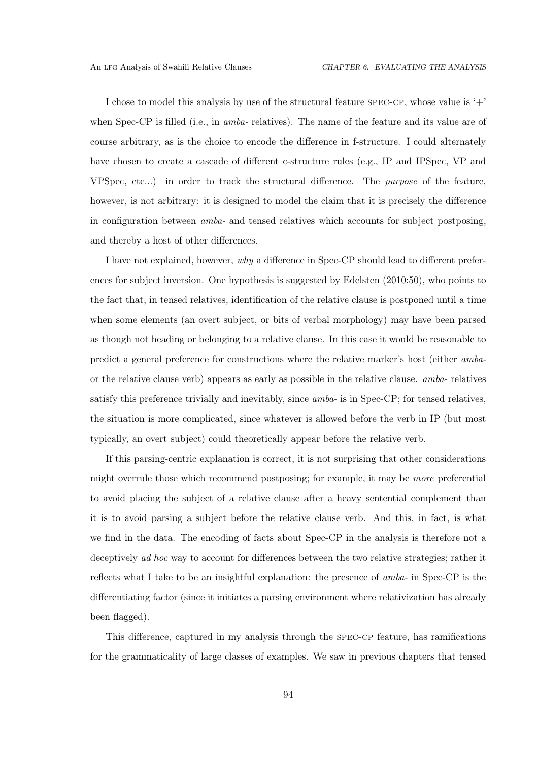I chose to model this analysis by use of the structural feature spec-cp, whose value is  $'+'$ when Spec-CP is filled (i.e., in *amba-* relatives). The name of the feature and its value are of course arbitrary, as is the choice to encode the difference in f-structure. I could alternately have chosen to create a cascade of different c-structure rules (e.g., IP and IPSpec, VP and VPSpec, etc...) in order to track the structural difference. The *purpose* of the feature, however, is not arbitrary: it is designed to model the claim that it is precisely the difference in configuration between *amba-* and tensed relatives which accounts for subject postposing, and thereby a host of other differences.

I have not explained, however, *why* a difference in Spec-CP should lead to different preferences for subject inversion. One hypothesis is suggested by [Edelsten \(2010](#page-111-1):50), who points to the fact that, in tensed relatives, identification of the relative clause is postponed until a time when some elements (an overt subject, or bits of verbal morphology) may have been parsed as though not heading or belonging to a relative clause. In this case it would be reasonable to predict a general preference for constructions where the relative marker's host (either *amba*or the relative clause verb) appears as early as possible in the relative clause. *amba-* relatives satisfy this preference trivially and inevitably, since *amba-* is in Spec-CP; for tensed relatives, the situation is more complicated, since whatever is allowed before the verb in IP (but most typically, an overt subject) could theoretically appear before the relative verb.

If this parsing-centric explanation is correct, it is not surprising that other considerations might overrule those which recommend postposing; for example, it may be *more* preferential to avoid placing the subject of a relative clause after a heavy sentential complement than it is to avoid parsing a subject before the relative clause verb. And this, in fact, is what we find in the data. The encoding of facts about Spec-CP in the analysis is therefore not a deceptively *ad hoc* way to account for differences between the two relative strategies; rather it reflects what I take to be an insightful explanation: the presence of *amba-* in Spec-CP is the differentiating factor (since it initiates a parsing environment where relativization has already been flagged).

This difference, captured in my analysis through the spec-cp feature, has ramifications for the grammaticality of large classes of examples. We saw in previous chapters that tensed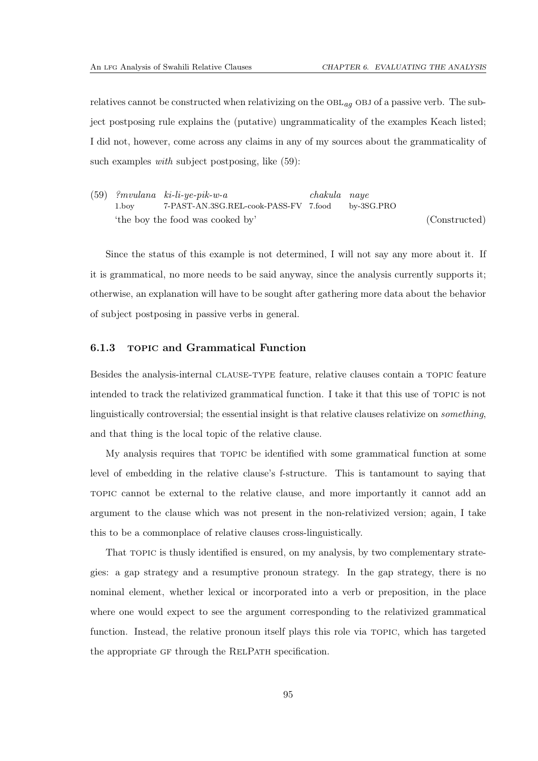relatives cannot be constructed when relativizing on the  $OBL_{aq}$  OBJ of a passive verb. The subject postposing rule explains the (putative) ungrammaticality of the examples Keach listed; I did not, however, come across any claims in any of my sources about the grammaticality of such examples *with* subject postposing, like [\(59\)](#page-34-0):

[\(59\)](#page-34-0) *?mvulana ki-li-ye-pik-w-a* 1.boy 7-PAST-AN.3SG.REL-cook-PASS-FV 7.food *chakula naye* by-3SG.PRO 'the boy the food was cooked by' (Constructed)

Since the status of this example is not determined, I will not say any more about it. If it is grammatical, no more needs to be said anyway, since the analysis currently supports it; otherwise, an explanation will have to be sought after gathering more data about the behavior of subject postposing in passive verbs in general.

### 6.1.3 topic and Grammatical Function

Besides the analysis-internal clause-type feature, relative clauses contain a topic feature intended to track the relativized grammatical function. I take it that this use of topic is not linguistically controversial; the essential insight is that relative clauses relativize on *something*, and that thing is the local topic of the relative clause.

My analysis requires that topic be identified with some grammatical function at some level of embedding in the relative clause's f-structure. This is tantamount to saying that topic cannot be external to the relative clause, and more importantly it cannot add an argument to the clause which was not present in the non-relativized version; again, I take this to be a commonplace of relative clauses cross-linguistically.

That topic is thusly identified is ensured, on my analysis, by two complementary strategies: a gap strategy and a resumptive pronoun strategy. In the gap strategy, there is no nominal element, whether lexical or incorporated into a verb or preposition, in the place where one would expect to see the argument corresponding to the relativized grammatical function. Instead, the relative pronoun itself plays this role via topic, which has targeted the appropriate GF through the RELPATH specification.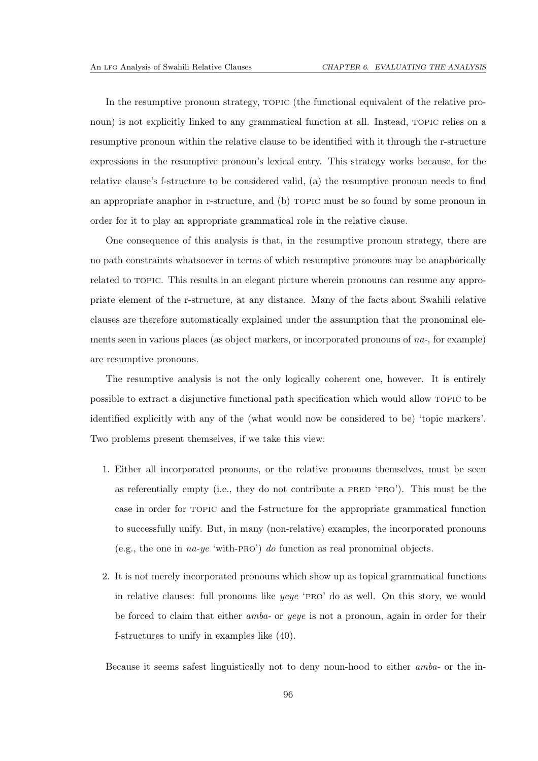In the resumptive pronoun strategy, TOPIC (the functional equivalent of the relative pronoun) is not explicitly linked to any grammatical function at all. Instead, TOPIC relies on a resumptive pronoun within the relative clause to be identified with it through the r-structure expressions in the resumptive pronoun's lexical entry. This strategy works because, for the relative clause's f-structure to be considered valid, (a) the resumptive pronoun needs to find an appropriate anaphor in r-structure, and (b) TOPIC must be so found by some pronoun in order for it to play an appropriate grammatical role in the relative clause.

One consequence of this analysis is that, in the resumptive pronoun strategy, there are no path constraints whatsoever in terms of which resumptive pronouns may be anaphorically related to TOPIC. This results in an elegant picture wherein pronouns can resume any appropriate element of the r-structure, at any distance. Many of the facts about Swahili relative clauses are therefore automatically explained under the assumption that the pronominal elements seen in various places (as object markers, or incorporated pronouns of *na-*, for example) are resumptive pronouns.

The resumptive analysis is not the only logically coherent one, however. It is entirely possible to extract a disjunctive functional path specification which would allow topic to be identified explicitly with any of the (what would now be considered to be) 'topic markers'. Two problems present themselves, if we take this view:

- 1. Either all incorporated pronouns, or the relative pronouns themselves, must be seen as referentially empty (i.e., they do not contribute a PRED 'PRO'). This must be the case in order for topic and the f-structure for the appropriate grammatical function to successfully unify. But, in many (non-relative) examples, the incorporated pronouns (e.g., the one in *na-ye* 'with-pro') *do* function as real pronominal objects.
- 2. It is not merely incorporated pronouns which show up as topical grammatical functions in relative clauses: full pronouns like *yeye* 'pro' do as well. On this story, we would be forced to claim that either *amba-* or *yeye* is not a pronoun, again in order for their f-structures to unify in examples like [\(40\)](#page-29-1).

Because it seems safest linguistically not to deny noun-hood to either *amba-* or the in-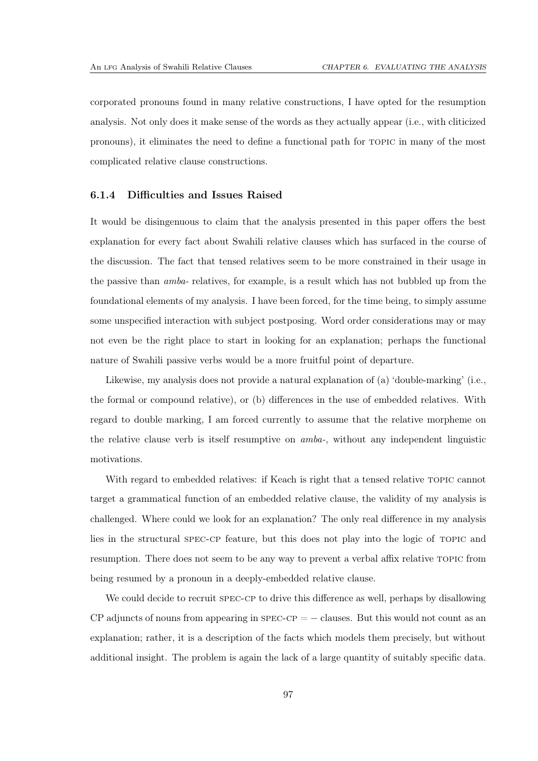corporated pronouns found in many relative constructions, I have opted for the resumption analysis. Not only does it make sense of the words as they actually appear (i.e., with cliticized pronouns), it eliminates the need to define a functional path for topic in many of the most complicated relative clause constructions.

### 6.1.4 Difficulties and Issues Raised

It would be disingenuous to claim that the analysis presented in this paper offers the best explanation for every fact about Swahili relative clauses which has surfaced in the course of the discussion. The fact that tensed relatives seem to be more constrained in their usage in the passive than *amba-* relatives, for example, is a result which has not bubbled up from the foundational elements of my analysis. I have been forced, for the time being, to simply assume some unspecified interaction with subject postposing. Word order considerations may or may not even be the right place to start in looking for an explanation; perhaps the functional nature of Swahili passive verbs would be a more fruitful point of departure.

Likewise, my analysis does not provide a natural explanation of (a) 'double-marking' (i.e., the formal or compound relative), or (b) differences in the use of embedded relatives. With regard to double marking, I am forced currently to assume that the relative morpheme on the relative clause verb is itself resumptive on *amba-*, without any independent linguistic motivations.

With regard to embedded relatives: if Keach is right that a tensed relative TOPIC cannot target a grammatical function of an embedded relative clause, the validity of my analysis is challenged. Where could we look for an explanation? The only real difference in my analysis lies in the structural spec-cp feature, but this does not play into the logic of topic and resumption. There does not seem to be any way to prevent a verbal affix relative topic from being resumed by a pronoun in a deeply-embedded relative clause.

We could decide to recruit  $SPEC-CP$  to drive this difference as well, perhaps by disallowing  $CP$  adjuncts of nouns from appearing in  $SPEC-CP = -$  clauses. But this would not count as an explanation; rather, it is a description of the facts which models them precisely, but without additional insight. The problem is again the lack of a large quantity of suitably specific data.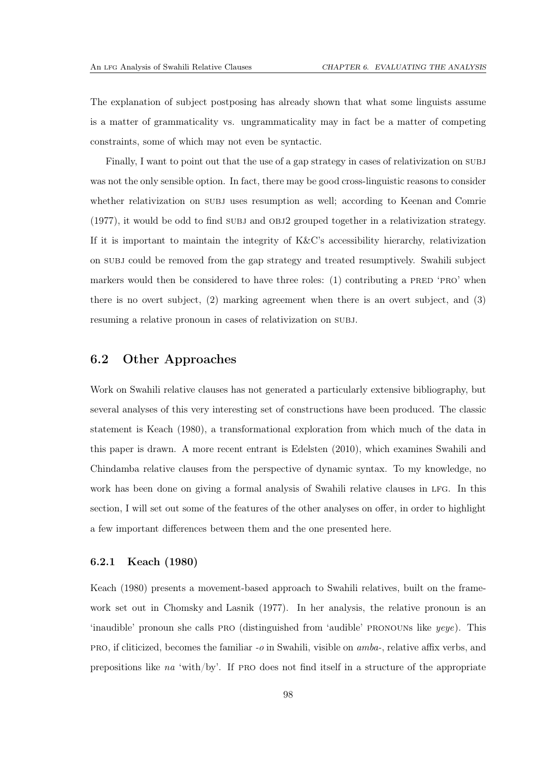The explanation of subject postposing has already shown that what some linguists assume is a matter of grammaticality vs. ungrammaticality may in fact be a matter of competing constraints, some of which may not even be syntactic.

Finally, I want to point out that the use of a gap strategy in cases of relativization on subj was not the only sensible option. In fact, there may be good cross-linguistic reasons to consider whether relativization on SUBJ uses resumption as well; according to [Keenan and Comrie](#page-111-2)  $(1977)$ , it would be odd to find SUBJ and OBJ2 grouped together in a relativization strategy. If it is important to maintain the integrity of K&C's accessibility hierarchy, relativization on subj could be removed from the gap strategy and treated resumptively. Swahili subject markers would then be considered to have three roles:  $(1)$  contributing a PRED 'PRO' when there is no overt subject, (2) marking agreement when there is an overt subject, and (3) resuming a relative pronoun in cases of relativization on subj.

## 6.2 Other Approaches

Work on Swahili relative clauses has not generated a particularly extensive bibliography, but several analyses of this very interesting set of constructions have been produced. The classic statement is [Keach \(1980\)](#page-111-0), a transformational exploration from which much of the data in this paper is drawn. A more recent entrant is [Edelsten \(2010\)](#page-111-1), which examines Swahili and Chindamba relative clauses from the perspective of dynamic syntax. To my knowledge, no work has been done on giving a formal analysis of Swahili relative clauses in LFG. In this section, I will set out some of the features of the other analyses on offer, in order to highlight a few important differences between them and the one presented here.

### 6.2.1 Keach (1980)

[Keach \(1980\)](#page-111-0) presents a movement-based approach to Swahili relatives, built on the framework set out in [Chomsky and Lasnik \(1977](#page-110-2)). In her analysis, the relative pronoun is an 'inaudible' pronoun she calls pro (distinguished from 'audible' pronouns like *yeye*). This pro, if cliticized, becomes the familiar *-o* in Swahili, visible on *amba-*, relative affix verbs, and prepositions like *na* 'with/by'. If pro does not find itself in a structure of the appropriate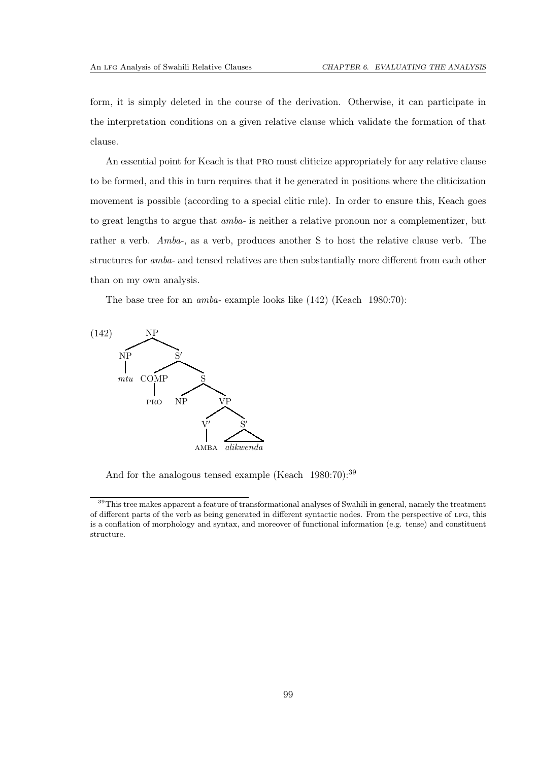form, it is simply deleted in the course of the derivation. Otherwise, it can participate in the interpretation conditions on a given relative clause which validate the formation of that clause.

An essential point for Keach is that pro must cliticize appropriately for any relative clause to be formed, and this in turn requires that it be generated in positions where the cliticization movement is possible (according to a special clitic rule). In order to ensure this, Keach goes to great lengths to argue that *amba-* is neither a relative pronoun nor a complementizer, but rather a verb. *Amba-*, as a verb, produces another S to host the relative clause verb. The structures for *amba-* and tensed relatives are then substantially more different from each other than on my own analysis.

The base tree for an *amba-* example looks like [\(142\)](#page-103-0) [\(Keach 1980](#page-111-0):70):

<span id="page-103-0"></span>

And for the analogous tensed example [\(Keach 1980](#page-111-0):70):<sup>[39](#page-103-1)</sup>

<span id="page-103-1"></span><sup>&</sup>lt;sup>39</sup>This tree makes apparent a feature of transformational analyses of Swahili in general, namely the treatment of different parts of the verb as being generated in different syntactic nodes. From the perspective of lfg, this is a conflation of morphology and syntax, and moreover of functional information (e.g. tense) and constituent structure.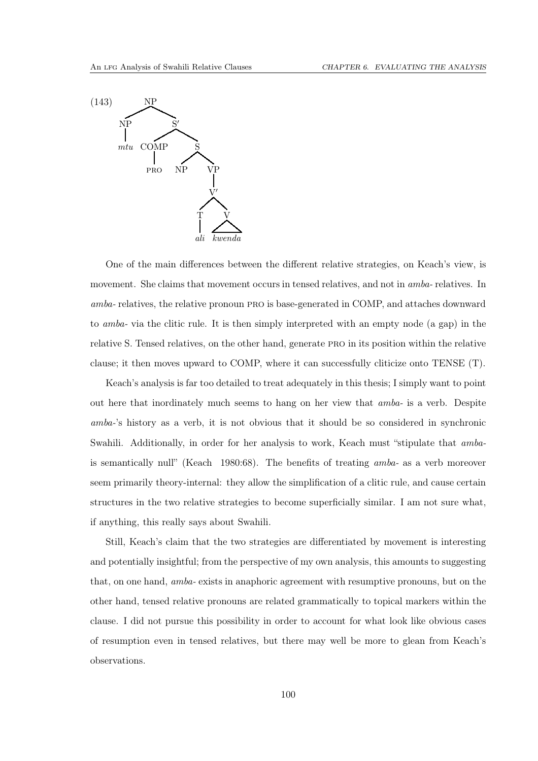

One of the main differences between the different relative strategies, on Keach's view, is movement. She claims that movement occurs in tensed relatives, and not in *amba-* relatives. In *amba-* relatives, the relative pronoun pro is base-generated in COMP, and attaches downward to *amba-* via the clitic rule. It is then simply interpreted with an empty node (a gap) in the relative S. Tensed relatives, on the other hand, generate pro in its position within the relative clause; it then moves upward to COMP, where it can successfully cliticize onto TENSE (T).

Keach's analysis is far too detailed to treat adequately in this thesis; I simply want to point out here that inordinately much seems to hang on her view that *amba-* is a verb. Despite *amba-*'s history as a verb, it is not obvious that it should be so considered in synchronic Swahili. Additionally, in order for her analysis to work, Keach must "stipulate that *amba*is semantically null" [\(Keach 1980](#page-111-0):68). The benefits of treating *amba-* as a verb moreover seem primarily theory-internal: they allow the simplification of a clitic rule, and cause certain structures in the two relative strategies to become superficially similar. I am not sure what, if anything, this really says about Swahili.

Still, Keach's claim that the two strategies are differentiated by movement is interesting and potentially insightful; from the perspective of my own analysis, this amounts to suggesting that, on one hand, *amba-* exists in anaphoric agreement with resumptive pronouns, but on the other hand, tensed relative pronouns are related grammatically to topical markers within the clause. I did not pursue this possibility in order to account for what look like obvious cases of resumption even in tensed relatives, but there may well be more to glean from Keach's observations.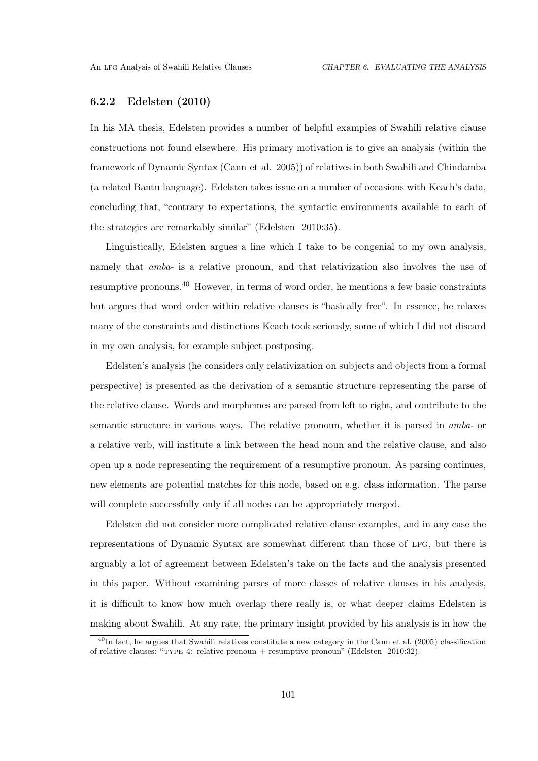### 6.2.2 Edelsten (2010)

In his MA thesis, Edelsten provides a number of helpful examples of Swahili relative clause constructions not found elsewhere. His primary motivation is to give an analysis (within the framework of Dynamic Syntax [\(Cann et al. 2005](#page-110-3))) of relatives in both Swahili and Chindamba (a related Bantu language). Edelsten takes issue on a number of occasions with Keach's data, concluding that, "contrary to expectations, the syntactic environments available to each of the strategies are remarkably similar" [\(Edelsten 2010](#page-111-1):35).

Linguistically, Edelsten argues a line which I take to be congenial to my own analysis, namely that *amba*- is a relative pronoun, and that relativization also involves the use of resumptive pronouns.[40](#page-105-0) However, in terms of word order, he mentions a few basic constraints but argues that word order within relative clauses is "basically free". In essence, he relaxes many of the constraints and distinctions Keach took seriously, some of which I did not discard in my own analysis, for example subject postposing.

Edelsten's analysis (he considers only relativization on subjects and objects from a formal perspective) is presented as the derivation of a semantic structure representing the parse of the relative clause. Words and morphemes are parsed from left to right, and contribute to the semantic structure in various ways. The relative pronoun, whether it is parsed in *amba-* or a relative verb, will institute a link between the head noun and the relative clause, and also open up a node representing the requirement of a resumptive pronoun. As parsing continues, new elements are potential matches for this node, based on e.g. class information. The parse will complete successfully only if all nodes can be appropriately merged.

Edelsten did not consider more complicated relative clause examples, and in any case the representations of Dynamic Syntax are somewhat different than those of LFG, but there is arguably a lot of agreement between Edelsten's take on the facts and the analysis presented in this paper. Without examining parses of more classes of relative clauses in his analysis, it is difficult to know how much overlap there really is, or what deeper claims Edelsten is making about Swahili. At any rate, the primary insight provided by his analysis is in how the

<span id="page-105-0"></span><sup>&</sup>lt;sup>40</sup>In fact, he argues that Swahili relatives constitute a new category in the [Cann et al. \(2005](#page-110-3)) classification of relative clauses: "TYPE 4: relative pronoun + resumptive pronoun" [\(Edelsten 2010](#page-111-1):32).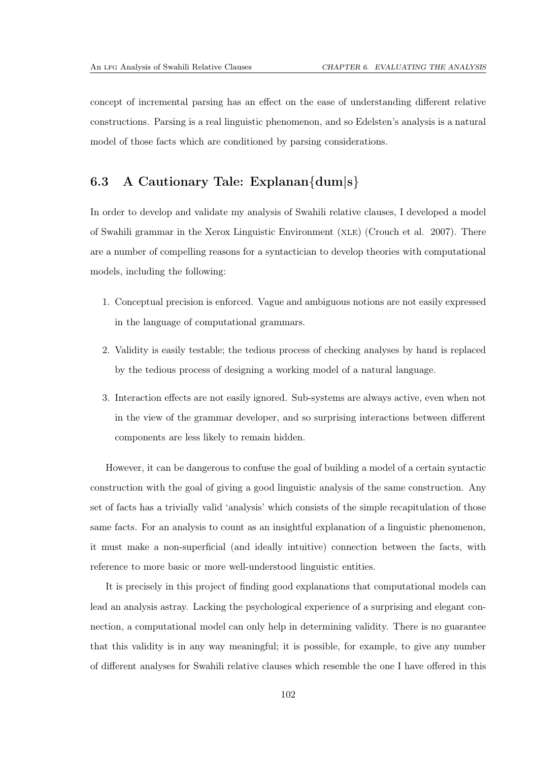concept of incremental parsing has an effect on the ease of understanding different relative constructions. Parsing is a real linguistic phenomenon, and so Edelsten's analysis is a natural model of those facts which are conditioned by parsing considerations.

## 6.3 A Cautionary Tale: Explanan{dum|s}

In order to develop and validate my analysis of Swahili relative clauses, I developed a model of Swahili grammar in the Xerox Linguistic Environment (xle) [\(Crouch et al. 2007\)](#page-111-3). There are a number of compelling reasons for a syntactician to develop theories with computational models, including the following:

- 1. Conceptual precision is enforced. Vague and ambiguous notions are not easily expressed in the language of computational grammars.
- 2. Validity is easily testable; the tedious process of checking analyses by hand is replaced by the tedious process of designing a working model of a natural language.
- 3. Interaction effects are not easily ignored. Sub-systems are always active, even when not in the view of the grammar developer, and so surprising interactions between different components are less likely to remain hidden.

However, it can be dangerous to confuse the goal of building a model of a certain syntactic construction with the goal of giving a good linguistic analysis of the same construction. Any set of facts has a trivially valid 'analysis' which consists of the simple recapitulation of those same facts. For an analysis to count as an insightful explanation of a linguistic phenomenon, it must make a non-superficial (and ideally intuitive) connection between the facts, with reference to more basic or more well-understood linguistic entities.

It is precisely in this project of finding good explanations that computational models can lead an analysis astray. Lacking the psychological experience of a surprising and elegant connection, a computational model can only help in determining validity. There is no guarantee that this validity is in any way meaningful; it is possible, for example, to give any number of different analyses for Swahili relative clauses which resemble the one I have offered in this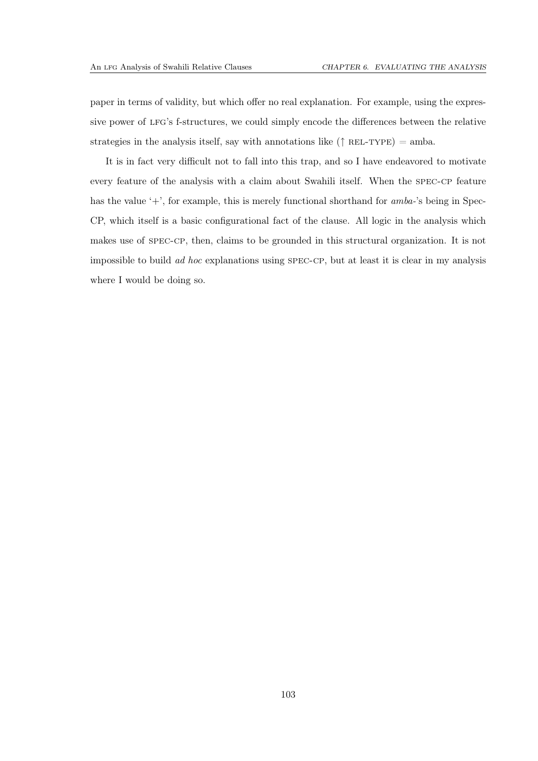paper in terms of validity, but which offer no real explanation. For example, using the expressive power of lfg's f-structures, we could simply encode the differences between the relative strategies in the analysis itself, say with annotations like ( $\uparrow$  REL-TYPE) = amba.

It is in fact very difficult not to fall into this trap, and so I have endeavored to motivate every feature of the analysis with a claim about Swahili itself. When the spec-cp feature has the value '+', for example, this is merely functional shorthand for *amba-*'s being in Spec-CP, which itself is a basic configurational fact of the clause. All logic in the analysis which makes use of spec-cp, then, claims to be grounded in this structural organization. It is not impossible to build *ad hoc* explanations using spec-cp, but at least it is clear in my analysis where I would be doing so.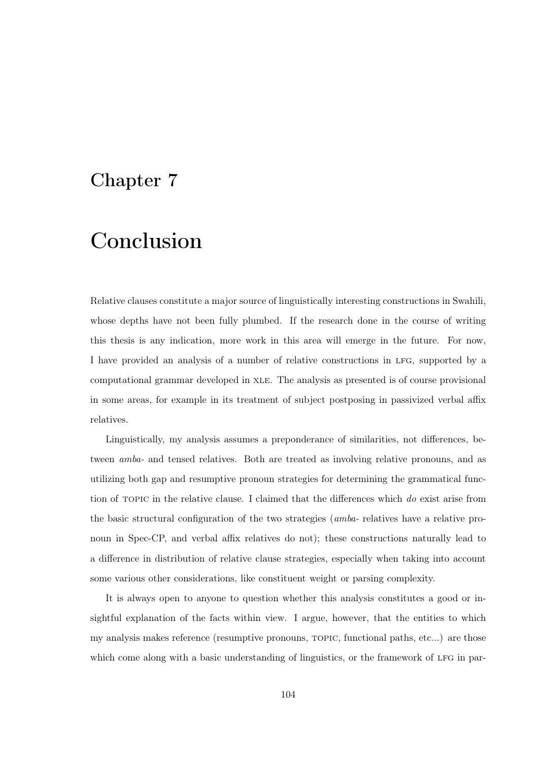## Chapter 7

## Conclusion

Relative clauses constitute a major source of linguistically interesting constructions in Swahili, whose depths have not been fully plumbed. If the research done in the course of writing this thesis is any indication, more work in this area will emerge in the future. For now, I have provided an analysis of a number of relative constructions in lfg, supported by a computational grammar developed in xle. The analysis as presented is of course provisional in some areas, for example in its treatment of subject postposing in passivized verbal affix relatives.

Linguistically, my analysis assumes a preponderance of similarities, not differences, between *amba-* and tensed relatives. Both are treated as involving relative pronouns, and as utilizing both gap and resumptive pronoun strategies for determining the grammatical function of topic in the relative clause. I claimed that the differences which *do* exist arise from the basic structural configuration of the two strategies (*amba-* relatives have a relative pronoun in Spec-CP, and verbal affix relatives do not); these constructions naturally lead to a difference in distribution of relative clause strategies, especially when taking into account some various other considerations, like constituent weight or parsing complexity.

It is always open to anyone to question whether this analysis constitutes a good or insightful explanation of the facts within view. I argue, however, that the entities to which my analysis makes reference (resumptive pronouns, topic, functional paths, etc...) are those which come along with a basic understanding of linguistics, or the framework of LFG in par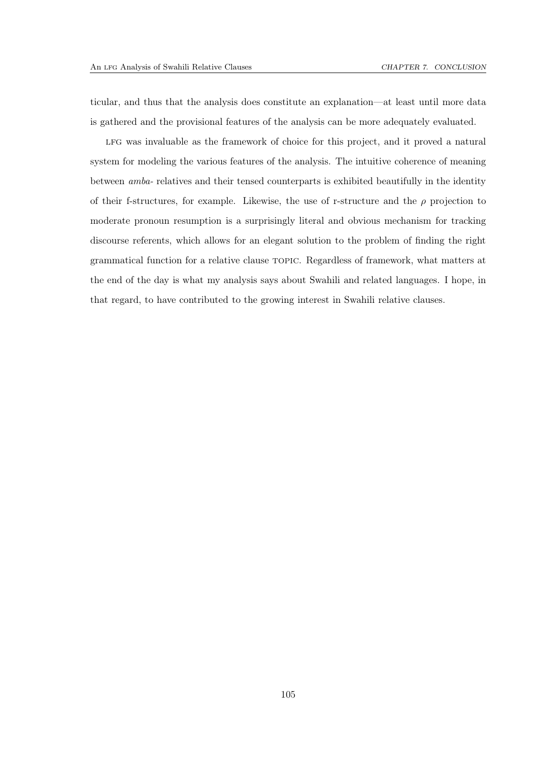ticular, and thus that the analysis does constitute an explanation—at least until more data is gathered and the provisional features of the analysis can be more adequately evaluated.

LFG was invaluable as the framework of choice for this project, and it proved a natural system for modeling the various features of the analysis. The intuitive coherence of meaning between *amba-* relatives and their tensed counterparts is exhibited beautifully in the identity of their f-structures, for example. Likewise, the use of r-structure and the  $\rho$  projection to moderate pronoun resumption is a surprisingly literal and obvious mechanism for tracking discourse referents, which allows for an elegant solution to the problem of finding the right grammatical function for a relative clause topic. Regardless of framework, what matters at the end of the day is what my analysis says about Swahili and related languages. I hope, in that regard, to have contributed to the growing interest in Swahili relative clauses.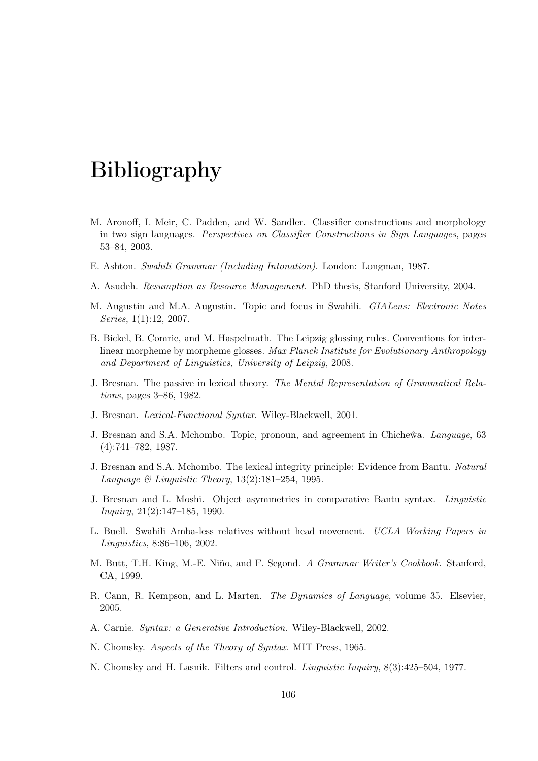## Bibliography

- M. Aronoff, I. Meir, C. Padden, and W. Sandler. Classifier constructions and morphology in two sign languages. *Perspectives on Classifier Constructions in Sign Languages*, pages 53–84, 2003.
- E. Ashton. *Swahili Grammar (Including Intonation)*. London: Longman, 1987.
- A. Asudeh. *Resumption as Resource Management*. PhD thesis, Stanford University, 2004.
- M. Augustin and M.A. Augustin. Topic and focus in Swahili. *GIALens: Electronic Notes Series*, 1(1):12, 2007.
- B. Bickel, B. Comrie, and M. Haspelmath. The Leipzig glossing rules. Conventions for interlinear morpheme by morpheme glosses. *Max Planck Institute for Evolutionary Anthropology and Department of Linguistics, University of Leipzig*, 2008.
- J. Bresnan. The passive in lexical theory. *The Mental Representation of Grammatical Relations*, pages 3–86, 1982.
- J. Bresnan. *Lexical-Functional Syntax*. Wiley-Blackwell, 2001.
- J. Bresnan and S.A. Mchombo. Topic, pronoun, and agreement in Chicheˆwa. *Language*, 63 (4):741–782, 1987.
- J. Bresnan and S.A. Mchombo. The lexical integrity principle: Evidence from Bantu. *Natural Language & Linguistic Theory*, 13(2):181–254, 1995.
- J. Bresnan and L. Moshi. Object asymmetries in comparative Bantu syntax. *Linguistic Inquiry*, 21(2):147–185, 1990.
- L. Buell. Swahili Amba-less relatives without head movement. *UCLA Working Papers in Linguistics*, 8:86–106, 2002.
- M. Butt, T.H. King, M.-E. Niño, and F. Segond. *A Grammar Writer's Cookbook*. Stanford, CA, 1999.
- R. Cann, R. Kempson, and L. Marten. *The Dynamics of Language*, volume 35. Elsevier, 2005.
- A. Carnie. *Syntax: a Generative Introduction*. Wiley-Blackwell, 2002.
- N. Chomsky. *Aspects of the Theory of Syntax*. MIT Press, 1965.
- N. Chomsky and H. Lasnik. Filters and control. *Linguistic Inquiry*, 8(3):425–504, 1977.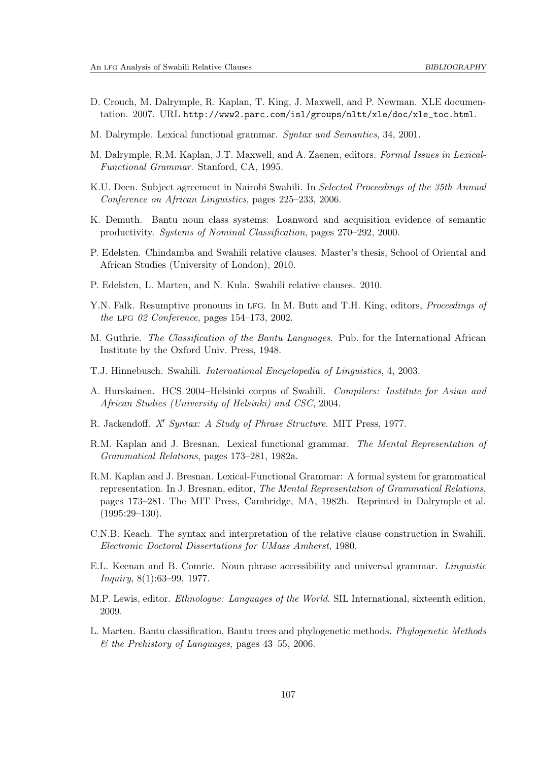- D. Crouch, M. Dalrymple, R. Kaplan, T. King, J. Maxwell, and P. Newman. XLE documentation. 2007. URL [http://www2.parc.com/isl/groups/nltt/xle/doc/xle\\_toc.html](http://www2.parc.com/isl/groups/nltt/xle/doc/xle_toc.html).
- M. Dalrymple. Lexical functional grammar. *Syntax and Semantics*, 34, 2001.
- <span id="page-111-0"></span>M. Dalrymple, R.M. Kaplan, J.T. Maxwell, and A. Zaenen, editors. *Formal Issues in Lexical-Functional Grammar*. Stanford, CA, 1995.
- K.U. Deen. Subject agreement in Nairobi Swahili. In *Selected Proceedings of the 35th Annual Conference on African Linguistics*, pages 225–233, 2006.
- K. Demuth. Bantu noun class systems: Loanword and acquisition evidence of semantic productivity. *Systems of Nominal Classification*, pages 270–292, 2000.
- P. Edelsten. Chindamba and Swahili relative clauses. Master's thesis, School of Oriental and African Studies (University of London), 2010.
- P. Edelsten, L. Marten, and N. Kula. Swahili relative clauses. 2010.
- Y.N. Falk. Resumptive pronouns in lfg. In M. Butt and T.H. King, editors, *Proceedings of the* lfg *02 Conference*, pages 154–173, 2002.
- M. Guthrie. *The Classification of the Bantu Languages*. Pub. for the International African Institute by the Oxford Univ. Press, 1948.
- T.J. Hinnebusch. Swahili. *International Encyclopedia of Linguistics*, 4, 2003.
- A. Hurskainen. HCS 2004–Helsinki corpus of Swahili. *Compilers: Institute for Asian and African Studies (University of Helsinki) and CSC*, 2004.
- R. Jackendoff. *X*′ *Syntax: A Study of Phrase Structure*. MIT Press, 1977.
- R.M. Kaplan and J. Bresnan. Lexical functional grammar. *The Mental Representation of Grammatical Relations*, pages 173–281, 1982a.
- R.M. Kaplan and J. Bresnan. Lexical-Functional Grammar: A formal system for grammatical representation. In J. Bresnan, editor, *The Mental Representation of Grammatical Relations*, pages 173–281. The MIT Press, Cambridge, MA, 1982b. Reprinted in [Dalrymple et al.](#page-111-0)  $(1995:29-130).$  $(1995:29-130).$
- C.N.B. Keach. The syntax and interpretation of the relative clause construction in Swahili. *Electronic Doctoral Dissertations for UMass Amherst*, 1980.
- E.L. Keenan and B. Comrie. Noun phrase accessibility and universal grammar. *Linguistic Inquiry*, 8(1):63–99, 1977.
- M.P. Lewis, editor. *Ethnologue: Languages of the World*. SIL International, sixteenth edition, 2009.
- L. Marten. Bantu classification, Bantu trees and phylogenetic methods. *Phylogenetic Methods & the Prehistory of Languages*, pages 43–55, 2006.